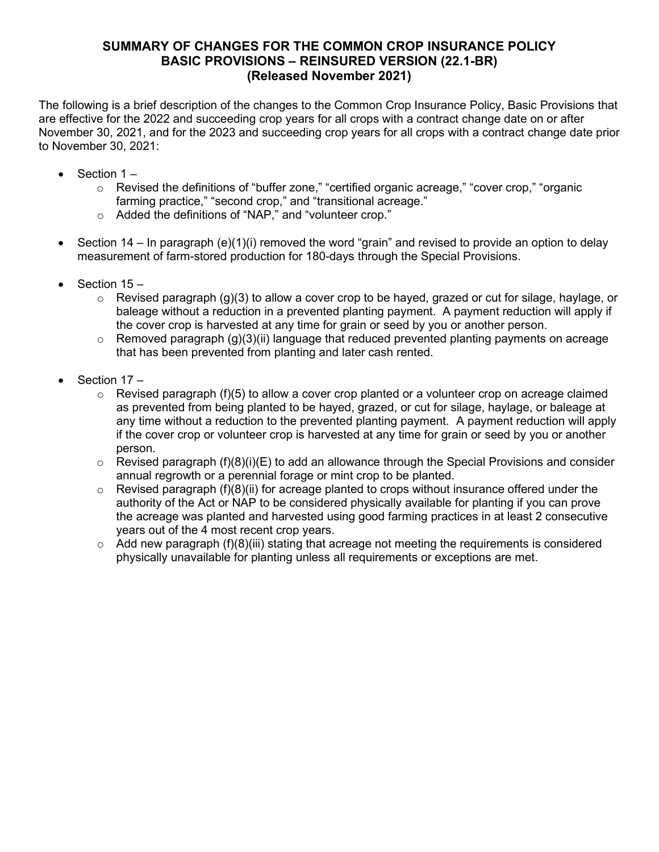# **SUMMARY OF CHANGES FOR THE COMMON CROP INSURANCE POLICY BASIC PROVISIONS – REINSURED VERSION (22.1-BR) (Released November 2021)**

The following is a brief description of the changes to the Common Crop Insurance Policy, Basic Provisions that are effective for the 2022 and succeeding crop years for all crops with a contract change date on or after November 30, 2021, and for the 2023 and succeeding crop years for all crops with a contract change date prior to November 30, 2021:

- Section 1
	- o Revised the definitions of "buffer zone," "certified organic acreage," "cover crop," "organic farming practice," "second crop," and "transitional acreage."
	- o Added the definitions of "NAP," and "volunteer crop."
- Section 14 In paragraph (e)(1)(i) removed the word "grain" and revised to provide an option to delay measurement of farm-stored production for 180-days through the Special Provisions.
- Section 15 -
	- $\circ$  Revised paragraph (g)(3) to allow a cover crop to be hayed, grazed or cut for silage, haylage, or baleage without a reduction in a prevented planting payment. A payment reduction will apply if the cover crop is harvested at any time for grain or seed by you or another person.
	- $\circ$  Removed paragraph (g)(3)(ii) language that reduced prevented planting payments on acreage that has been prevented from planting and later cash rented.
- Section 17 -
	- $\circ$  Revised paragraph (f)(5) to allow a cover crop planted or a volunteer crop on acreage claimed as prevented from being planted to be hayed, grazed, or cut for silage, haylage, or baleage at any time without a reduction to the prevented planting payment. A payment reduction will apply if the cover crop or volunteer crop is harvested at any time for grain or seed by you or another person.
	- $\circ$  Revised paragraph (f)(8)(i)(E) to add an allowance through the Special Provisions and consider annual regrowth or a perennial forage or mint crop to be planted.
	- $\circ$  Revised paragraph (f)(8)(ii) for acreage planted to crops without insurance offered under the authority of the Act or NAP to be considered physically available for planting if you can prove the acreage was planted and harvested using good farming practices in at least 2 consecutive years out of the 4 most recent crop years.
	- $\circ$  Add new paragraph (f)(8)(iii) stating that acreage not meeting the requirements is considered physically unavailable for planting unless all requirements or exceptions are met.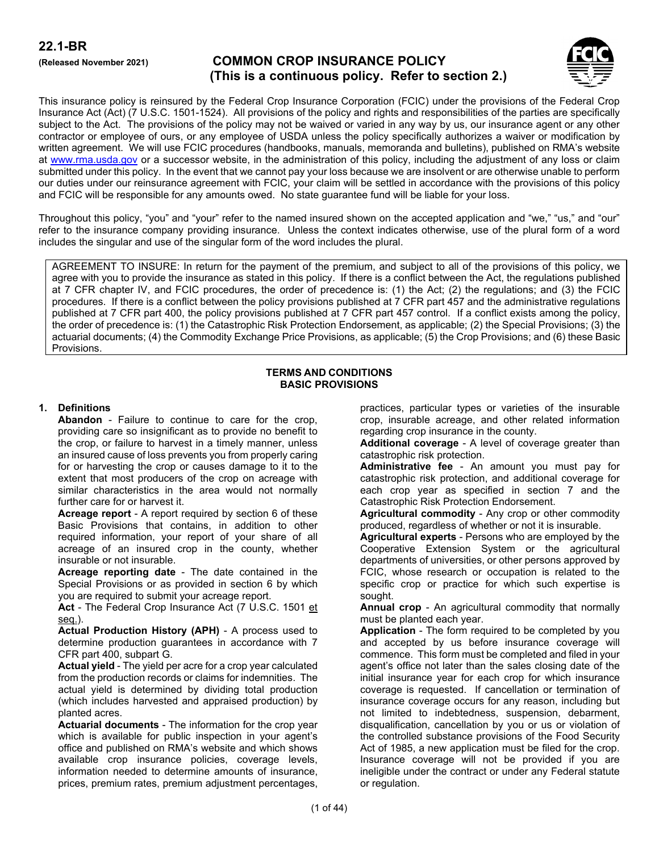# **(Released November 2021) COMMON CROP INSURANCE POLICY (This is a continuous policy. Refer to section 2.)**



This insurance policy is reinsured by the Federal Crop Insurance Corporation (FCIC) under the provisions of the Federal Crop Insurance Act (Act) (7 U.S.C. 1501-1524). All provisions of the policy and rights and responsibilities of the parties are specifically subject to the Act. The provisions of the policy may not be waived or varied in any way by us, our insurance agent or any other contractor or employee of ours, or any employee of USDA unless the policy specifically authorizes a waiver or modification by written agreement. We will use FCIC procedures (handbooks, manuals, memoranda and bulletins), published on RMA's website at [www.rma.usda.gov](https://usdagcc.sharepoint.com/sites/rma-pasd/BP/WorkingDocs/www.rma.usda.gov) or a successor website, in the administration of this policy, including the adjustment of any loss or claim submitted under this policy. In the event that we cannot pay your loss because we are insolvent or are otherwise unable to perform our duties under our reinsurance agreement with FCIC, your claim will be settled in accordance with the provisions of this policy and FCIC will be responsible for any amounts owed. No state guarantee fund will be liable for your loss.

Throughout this policy, "you" and "your" refer to the named insured shown on the accepted application and "we," "us," and "our" refer to the insurance company providing insurance. Unless the context indicates otherwise, use of the plural form of a word includes the singular and use of the singular form of the word includes the plural.

AGREEMENT TO INSURE: In return for the payment of the premium, and subject to all of the provisions of this policy, we agree with you to provide the insurance as stated in this policy. If there is a conflict between the Act, the regulations published at 7 CFR chapter IV, and FCIC procedures, the order of precedence is: (1) the Act; (2) the regulations; and (3) the FCIC procedures. If there is a conflict between the policy provisions published at 7 CFR part 457 and the administrative regulations published at 7 CFR part 400, the policy provisions published at 7 CFR part 457 control. If a conflict exists among the policy, the order of precedence is: (1) the Catastrophic Risk Protection Endorsement, as applicable; (2) the Special Provisions; (3) the actuarial documents; (4) the Commodity Exchange Price Provisions, as applicable; (5) the Crop Provisions; and (6) these Basic Provisions.

#### **TERMS AND CONDITIONS BASIC PROVISIONS**

## **1. Definitions**

**Abandon** - Failure to continue to care for the crop, providing care so insignificant as to provide no benefit to the crop, or failure to harvest in a timely manner, unless an insured cause of loss prevents you from properly caring for or harvesting the crop or causes damage to it to the extent that most producers of the crop on acreage with similar characteristics in the area would not normally further care for or harvest it.

**Acreage report** - A report required by section 6 of these Basic Provisions that contains, in addition to other required information, your report of your share of all acreage of an insured crop in the county, whether insurable or not insurable.

**Acreage reporting date** - The date contained in the Special Provisions or as provided in section 6 by which you are required to submit your acreage report.

**Act** - The Federal Crop Insurance Act (7 U.S.C. 1501 et seq.).

**Actual Production History (APH)** - A process used to determine production guarantees in accordance with 7 CFR part 400, subpart G.

**Actual yield** - The yield per acre for a crop year calculated from the production records or claims for indemnities. The actual yield is determined by dividing total production (which includes harvested and appraised production) by planted acres.

**Actuarial documents** - The information for the crop year which is available for public inspection in your agent's office and published on RMA's website and which shows available crop insurance policies, coverage levels, information needed to determine amounts of insurance, prices, premium rates, premium adjustment percentages,

practices, particular types or varieties of the insurable crop, insurable acreage, and other related information regarding crop insurance in the county.

**Additional coverage** - A level of coverage greater than catastrophic risk protection.

**Administrative fee** - An amount you must pay for catastrophic risk protection, and additional coverage for each crop year as specified in section 7 and the Catastrophic Risk Protection Endorsement.

**Agricultural commodity** - Any crop or other commodity produced, regardless of whether or not it is insurable.

**Agricultural experts** - Persons who are employed by the Cooperative Extension System or the agricultural departments of universities, or other persons approved by FCIC, whose research or occupation is related to the specific crop or practice for which such expertise is sought.

**Annual crop** - An agricultural commodity that normally must be planted each year.

**Application** - The form required to be completed by you and accepted by us before insurance coverage will commence. This form must be completed and filed in your agent's office not later than the sales closing date of the initial insurance year for each crop for which insurance coverage is requested. If cancellation or termination of insurance coverage occurs for any reason, including but not limited to indebtedness, suspension, debarment, disqualification, cancellation by you or us or violation of the controlled substance provisions of the Food Security Act of 1985, a new application must be filed for the crop. Insurance coverage will not be provided if you are ineligible under the contract or under any Federal statute or regulation.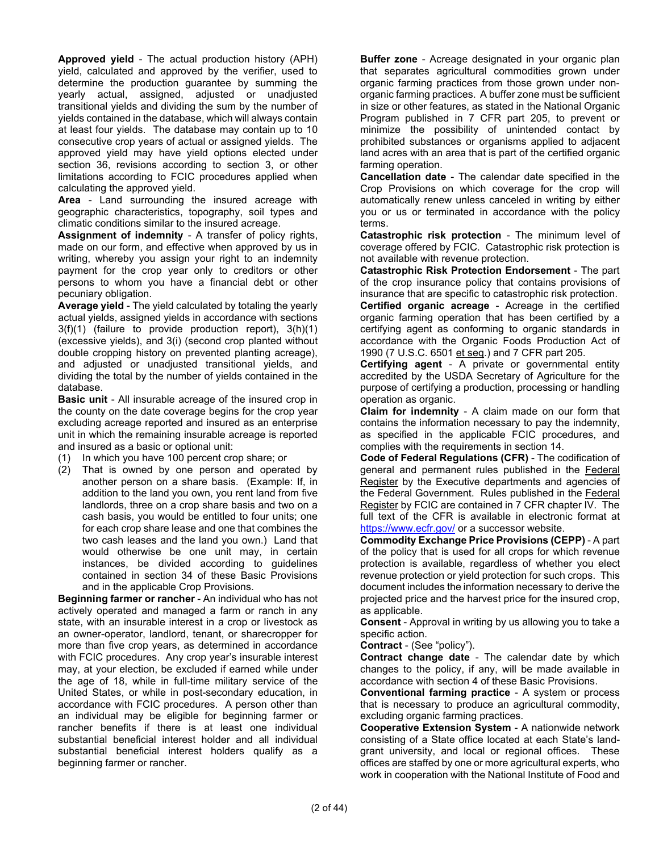**Approved yield** - The actual production history (APH) yield, calculated and approved by the verifier, used to determine the production guarantee by summing the yearly actual, assigned, adjusted or unadjusted transitional yields and dividing the sum by the number of yields contained in the database, which will always contain at least four yields. The database may contain up to 10 consecutive crop years of actual or assigned yields. The approved yield may have yield options elected under section 36, revisions according to section 3, or other limitations according to FCIC procedures applied when calculating the approved yield.

**Area** - Land surrounding the insured acreage with geographic characteristics, topography, soil types and climatic conditions similar to the insured acreage.

**Assignment of indemnity** - A transfer of policy rights, made on our form, and effective when approved by us in writing, whereby you assign your right to an indemnity payment for the crop year only to creditors or other persons to whom you have a financial debt or other pecuniary obligation.

**Average yield** - The yield calculated by totaling the yearly actual yields, assigned yields in accordance with sections 3(f)(1) (failure to provide production report), 3(h)(1) (excessive yields), and 3(i) (second crop planted without double cropping history on prevented planting acreage), and adjusted or unadjusted transitional yields, and dividing the total by the number of yields contained in the database.

**Basic unit** - All insurable acreage of the insured crop in the county on the date coverage begins for the crop year excluding acreage reported and insured as an enterprise unit in which the remaining insurable acreage is reported and insured as a basic or optional unit:

- (1) In which you have 100 percent crop share; or
- (2) That is owned by one person and operated by another person on a share basis. (Example: If, in addition to the land you own, you rent land from five landlords, three on a crop share basis and two on a cash basis, you would be entitled to four units; one for each crop share lease and one that combines the two cash leases and the land you own.) Land that would otherwise be one unit may, in certain instances, be divided according to guidelines contained in section 34 of these Basic Provisions and in the applicable Crop Provisions.

**Beginning farmer or rancher** - An individual who has not actively operated and managed a farm or ranch in any state, with an insurable interest in a crop or livestock as an owner-operator, landlord, tenant, or sharecropper for more than five crop years, as determined in accordance with FCIC procedures. Any crop year's insurable interest may, at your election, be excluded if earned while under the age of 18, while in full-time military service of the United States, or while in post-secondary education, in accordance with FCIC procedures. A person other than an individual may be eligible for beginning farmer or rancher benefits if there is at least one individual substantial beneficial interest holder and all individual substantial beneficial interest holders qualify as a beginning farmer or rancher.

**Buffer zone** - Acreage designated in your organic plan that separates agricultural commodities grown under organic farming practices from those grown under nonorganic farming practices. A buffer zone must be sufficient in size or other features, as stated in the National Organic Program published in 7 CFR part 205, to prevent or minimize the possibility of unintended contact by prohibited substances or organisms applied to adjacent land acres with an area that is part of the certified organic farming operation.

**Cancellation date** - The calendar date specified in the Crop Provisions on which coverage for the crop will automatically renew unless canceled in writing by either you or us or terminated in accordance with the policy terms.

**Catastrophic risk protection** - The minimum level of coverage offered by FCIC. Catastrophic risk protection is not available with revenue protection.

**Catastrophic Risk Protection Endorsement** - The part of the crop insurance policy that contains provisions of insurance that are specific to catastrophic risk protection.

**Certified organic acreage** - Acreage in the certified organic farming operation that has been certified by a certifying agent as conforming to organic standards in accordance with the Organic Foods Production Act of 1990 (7 U.S.C. 6501 et seq.) and 7 CFR part 205.

**Certifying agent** - A private or governmental entity accredited by the USDA Secretary of Agriculture for the purpose of certifying a production, processing or handling operation as organic.

**Claim for indemnity** - A claim made on our form that contains the information necessary to pay the indemnity, as specified in the applicable FCIC procedures, and complies with the requirements in section 14.

**Code of Federal Regulations (CFR)** - The codification of general and permanent rules published in the Federal Register by the Executive departments and agencies of the Federal Government. Rules published in the Federal Register by FCIC are contained in 7 CFR chapter IV. The full text of the CFR is available in electronic format at <https://www.ecfr.gov/> or a successor website.

**Commodity Exchange Price Provisions (CEPP)** - A part of the policy that is used for all crops for which revenue protection is available, regardless of whether you elect revenue protection or yield protection for such crops. This document includes the information necessary to derive the projected price and the harvest price for the insured crop, as applicable.

**Consent** - Approval in writing by us allowing you to take a specific action.

**Contract** - (See "policy").

**Contract change date** - The calendar date by which changes to the policy, if any, will be made available in accordance with section 4 of these Basic Provisions.

**Conventional farming practice** - A system or process that is necessary to produce an agricultural commodity, excluding organic farming practices.

**Cooperative Extension System** - A nationwide network consisting of a State office located at each State's landgrant university, and local or regional offices. These offices are staffed by one or more agricultural experts, who work in cooperation with the National Institute of Food and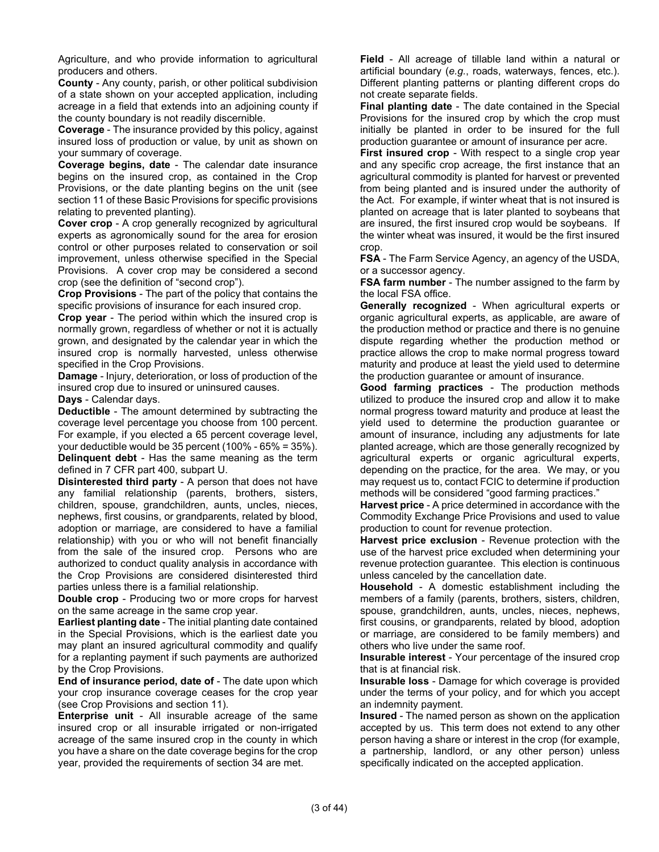Agriculture, and who provide information to agricultural producers and others.

**County** - Any county, parish, or other political subdivision of a state shown on your accepted application, including acreage in a field that extends into an adjoining county if the county boundary is not readily discernible.

**Coverage** - The insurance provided by this policy, against insured loss of production or value, by unit as shown on your summary of coverage.

**Coverage begins, date** - The calendar date insurance begins on the insured crop, as contained in the Crop Provisions, or the date planting begins on the unit (see section 11 of these Basic Provisions for specific provisions relating to prevented planting).

**Cover crop** - A crop generally recognized by agricultural experts as agronomically sound for the area for erosion control or other purposes related to conservation or soil improvement, unless otherwise specified in the Special Provisions. A cover crop may be considered a second crop (see the definition of "second crop").

**Crop Provisions** - The part of the policy that contains the specific provisions of insurance for each insured crop.

**Crop year** - The period within which the insured crop is normally grown, regardless of whether or not it is actually grown, and designated by the calendar year in which the insured crop is normally harvested, unless otherwise specified in the Crop Provisions.

**Damage** - Injury, deterioration, or loss of production of the insured crop due to insured or uninsured causes.

**Days** - Calendar days.

**Deductible** - The amount determined by subtracting the coverage level percentage you choose from 100 percent. For example, if you elected a 65 percent coverage level, your deductible would be 35 percent (100% - 65% = 35%). **Delinquent debt** - Has the same meaning as the term defined in 7 CFR part 400, subpart U.

**Disinterested third party** - A person that does not have any familial relationship (parents, brothers, sisters, children, spouse, grandchildren, aunts, uncles, nieces, nephews, first cousins, or grandparents, related by blood, adoption or marriage, are considered to have a familial relationship) with you or who will not benefit financially from the sale of the insured crop. Persons who are authorized to conduct quality analysis in accordance with the Crop Provisions are considered disinterested third parties unless there is a familial relationship.

**Double crop** - Producing two or more crops for harvest on the same acreage in the same crop year.

**Earliest planting date** - The initial planting date contained in the Special Provisions, which is the earliest date you may plant an insured agricultural commodity and qualify for a replanting payment if such payments are authorized by the Crop Provisions.

**End of insurance period, date of** - The date upon which your crop insurance coverage ceases for the crop year (see Crop Provisions and section 11).

**Enterprise unit** - All insurable acreage of the same insured crop or all insurable irrigated or non-irrigated acreage of the same insured crop in the county in which you have a share on the date coverage begins for the crop year, provided the requirements of section 34 are met.

**Field** - All acreage of tillable land within a natural or artificial boundary (*e.g.*, roads, waterways, fences, etc.). Different planting patterns or planting different crops do not create separate fields.

**Final planting date** - The date contained in the Special Provisions for the insured crop by which the crop must initially be planted in order to be insured for the full production guarantee or amount of insurance per acre.

**First insured crop** - With respect to a single crop year and any specific crop acreage, the first instance that an agricultural commodity is planted for harvest or prevented from being planted and is insured under the authority of the Act. For example, if winter wheat that is not insured is planted on acreage that is later planted to soybeans that are insured, the first insured crop would be soybeans. If the winter wheat was insured, it would be the first insured crop.

**FSA** - The Farm Service Agency, an agency of the USDA, or a successor agency.

**FSA farm number** - The number assigned to the farm by the local FSA office.

**Generally recognized** - When agricultural experts or organic agricultural experts, as applicable, are aware of the production method or practice and there is no genuine dispute regarding whether the production method or practice allows the crop to make normal progress toward maturity and produce at least the yield used to determine the production guarantee or amount of insurance.

**Good farming practices** - The production methods utilized to produce the insured crop and allow it to make normal progress toward maturity and produce at least the yield used to determine the production guarantee or amount of insurance, including any adjustments for late planted acreage, which are those generally recognized by agricultural experts or organic agricultural experts, depending on the practice, for the area. We may, or you may request us to, contact FCIC to determine if production methods will be considered "good farming practices."

**Harvest price** - A price determined in accordance with the Commodity Exchange Price Provisions and used to value production to count for revenue protection.

**Harvest price exclusion** - Revenue protection with the use of the harvest price excluded when determining your revenue protection guarantee. This election is continuous unless canceled by the cancellation date.

**Household** - A domestic establishment including the members of a family (parents, brothers, sisters, children, spouse, grandchildren, aunts, uncles, nieces, nephews, first cousins, or grandparents, related by blood, adoption or marriage, are considered to be family members) and others who live under the same roof.

**Insurable interest** - Your percentage of the insured crop that is at financial risk.

**Insurable loss** - Damage for which coverage is provided under the terms of your policy, and for which you accept an indemnity payment.

**Insured** - The named person as shown on the application accepted by us. This term does not extend to any other person having a share or interest in the crop (for example, a partnership, landlord, or any other person) unless specifically indicated on the accepted application.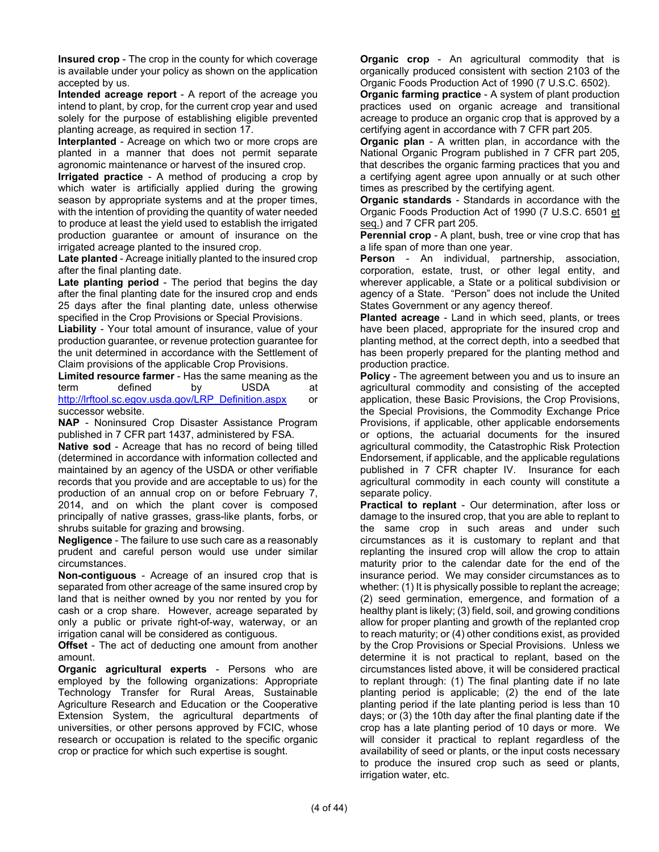**Insured crop** - The crop in the county for which coverage is available under your policy as shown on the application accepted by us.

**Intended acreage report** - A report of the acreage you intend to plant, by crop, for the current crop year and used solely for the purpose of establishing eligible prevented planting acreage, as required in section 17.

**Interplanted** - Acreage on which two or more crops are planted in a manner that does not permit separate agronomic maintenance or harvest of the insured crop.

**Irrigated practice** - A method of producing a crop by which water is artificially applied during the growing season by appropriate systems and at the proper times, with the intention of providing the quantity of water needed to produce at least the yield used to establish the irrigated production guarantee or amount of insurance on the irrigated acreage planted to the insured crop.

**Late planted** - Acreage initially planted to the insured crop after the final planting date.

**Late planting period** - The period that begins the day after the final planting date for the insured crop and ends 25 days after the final planting date, unless otherwise specified in the Crop Provisions or Special Provisions.

**Liability** - Your total amount of insurance, value of your production guarantee, or revenue protection guarantee for the unit determined in accordance with the Settlement of Claim provisions of the applicable Crop Provisions.

**Limited resource farmer** - Has the same meaning as the term defined by USDA at [http://lrftool.sc.egov.usda.gov/LRP\\_Definition.aspx](http://lrftool.sc.egov.usda.gov/LRP_Definition.aspx) or successor website.

**NAP** - Noninsured Crop Disaster Assistance Program published in 7 CFR part 1437, administered by FSA.

**Native sod** - Acreage that has no record of being tilled (determined in accordance with information collected and maintained by an agency of the USDA or other verifiable records that you provide and are acceptable to us) for the production of an annual crop on or before February 7, 2014, and on which the plant cover is composed principally of native grasses, grass-like plants, forbs, or shrubs suitable for grazing and browsing.

**Negligence** - The failure to use such care as a reasonably prudent and careful person would use under similar circumstances.

**Non-contiguous** - Acreage of an insured crop that is separated from other acreage of the same insured crop by land that is neither owned by you nor rented by you for cash or a crop share. However, acreage separated by only a public or private right-of-way, waterway, or an irrigation canal will be considered as contiguous.

**Offset** - The act of deducting one amount from another amount.

**Organic agricultural experts** - Persons who are employed by the following organizations: Appropriate Technology Transfer for Rural Areas, Sustainable Agriculture Research and Education or the Cooperative Extension System, the agricultural departments of universities, or other persons approved by FCIC, whose research or occupation is related to the specific organic crop or practice for which such expertise is sought.

**Organic crop** - An agricultural commodity that is organically produced consistent with section 2103 of the Organic Foods Production Act of 1990 (7 U.S.C. 6502).

**Organic farming practice** - A system of plant production practices used on organic acreage and transitional acreage to produce an organic crop that is approved by a certifying agent in accordance with 7 CFR part 205.

**Organic plan** - A written plan, in accordance with the National Organic Program published in 7 CFR part 205, that describes the organic farming practices that you and a certifying agent agree upon annually or at such other times as prescribed by the certifying agent.

**Organic standards** - Standards in accordance with the Organic Foods Production Act of 1990 (7 U.S.C. 6501 et seq.) and 7 CFR part 205.

**Perennial crop** - A plant, bush, tree or vine crop that has a life span of more than one year.

**Person** - An individual, partnership, association, corporation, estate, trust, or other legal entity, and wherever applicable, a State or a political subdivision or agency of a State. "Person" does not include the United States Government or any agency thereof.

**Planted acreage** - Land in which seed, plants, or trees have been placed, appropriate for the insured crop and planting method, at the correct depth, into a seedbed that has been properly prepared for the planting method and production practice.

**Policy** - The agreement between you and us to insure an agricultural commodity and consisting of the accepted application, these Basic Provisions, the Crop Provisions, the Special Provisions, the Commodity Exchange Price Provisions, if applicable, other applicable endorsements or options, the actuarial documents for the insured agricultural commodity, the Catastrophic Risk Protection Endorsement, if applicable, and the applicable regulations published in 7 CFR chapter IV. Insurance for each agricultural commodity in each county will constitute a separate policy.

**Practical to replant** - Our determination, after loss or damage to the insured crop, that you are able to replant to the same crop in such areas and under such circumstances as it is customary to replant and that replanting the insured crop will allow the crop to attain maturity prior to the calendar date for the end of the insurance period. We may consider circumstances as to whether: (1) It is physically possible to replant the acreage; (2) seed germination, emergence, and formation of a healthy plant is likely; (3) field, soil, and growing conditions allow for proper planting and growth of the replanted crop to reach maturity; or (4) other conditions exist, as provided by the Crop Provisions or Special Provisions. Unless we determine it is not practical to replant, based on the circumstances listed above, it will be considered practical to replant through: (1) The final planting date if no late planting period is applicable; (2) the end of the late planting period if the late planting period is less than 10 days; or (3) the 10th day after the final planting date if the crop has a late planting period of 10 days or more. We will consider it practical to replant regardless of the availability of seed or plants, or the input costs necessary to produce the insured crop such as seed or plants, irrigation water, etc.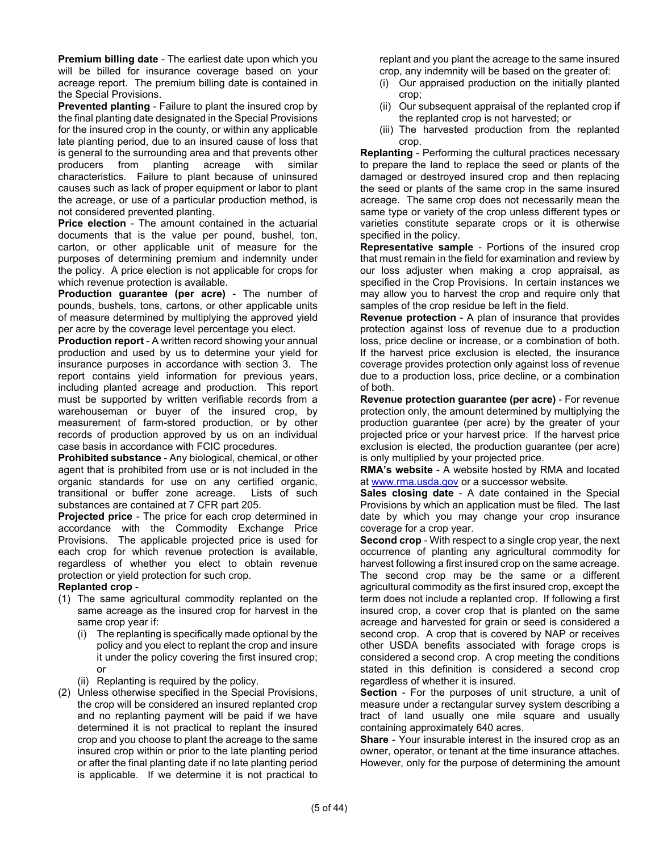**Premium billing date** - The earliest date upon which you will be billed for insurance coverage based on your acreage report. The premium billing date is contained in the Special Provisions.

**Prevented planting** - Failure to plant the insured crop by the final planting date designated in the Special Provisions for the insured crop in the county, or within any applicable late planting period, due to an insured cause of loss that is general to the surrounding area and that prevents other producers from planting acreage with similar characteristics. Failure to plant because of uninsured causes such as lack of proper equipment or labor to plant the acreage, or use of a particular production method, is not considered prevented planting.

**Price election** - The amount contained in the actuarial documents that is the value per pound, bushel, ton, carton, or other applicable unit of measure for the purposes of determining premium and indemnity under the policy. A price election is not applicable for crops for which revenue protection is available.

**Production guarantee (per acre)** - The number of pounds, bushels, tons, cartons, or other applicable units of measure determined by multiplying the approved yield per acre by the coverage level percentage you elect.

**Production report** - A written record showing your annual production and used by us to determine your yield for insurance purposes in accordance with section 3. The report contains yield information for previous years, including planted acreage and production. This report must be supported by written verifiable records from a warehouseman or buyer of the insured crop, by measurement of farm-stored production, or by other records of production approved by us on an individual case basis in accordance with FCIC procedures.

**Prohibited substance** - Any biological, chemical, or other agent that is prohibited from use or is not included in the organic standards for use on any certified organic, transitional or buffer zone acreage. Lists of such substances are contained at 7 CFR part 205.

**Projected price** - The price for each crop determined in accordance with the Commodity Exchange Price Provisions. The applicable projected price is used for each crop for which revenue protection is available, regardless of whether you elect to obtain revenue protection or yield protection for such crop.

#### **Replanted crop** -

- (1) The same agricultural commodity replanted on the same acreage as the insured crop for harvest in the same crop year if:
	- (i) The replanting is specifically made optional by the policy and you elect to replant the crop and insure it under the policy covering the first insured crop; or
	- (ii) Replanting is required by the policy.
- (2) Unless otherwise specified in the Special Provisions, the crop will be considered an insured replanted crop and no replanting payment will be paid if we have determined it is not practical to replant the insured crop and you choose to plant the acreage to the same insured crop within or prior to the late planting period or after the final planting date if no late planting period is applicable. If we determine it is not practical to

replant and you plant the acreage to the same insured crop, any indemnity will be based on the greater of:

- (i) Our appraised production on the initially planted crop;
- (ii) Our subsequent appraisal of the replanted crop if the replanted crop is not harvested; or
- (iii) The harvested production from the replanted crop.

**Replanting** - Performing the cultural practices necessary to prepare the land to replace the seed or plants of the damaged or destroyed insured crop and then replacing the seed or plants of the same crop in the same insured acreage. The same crop does not necessarily mean the same type or variety of the crop unless different types or varieties constitute separate crops or it is otherwise specified in the policy.

**Representative sample** - Portions of the insured crop that must remain in the field for examination and review by our loss adjuster when making a crop appraisal, as specified in the Crop Provisions. In certain instances we may allow you to harvest the crop and require only that samples of the crop residue be left in the field.

**Revenue protection** - A plan of insurance that provides protection against loss of revenue due to a production loss, price decline or increase, or a combination of both. If the harvest price exclusion is elected, the insurance coverage provides protection only against loss of revenue due to a production loss, price decline, or a combination of both.

**Revenue protection guarantee (per acre)** - For revenue protection only, the amount determined by multiplying the production guarantee (per acre) by the greater of your projected price or your harvest price. If the harvest price exclusion is elected, the production guarantee (per acre) is only multiplied by your projected price.

**RMA's website** - A website hosted by RMA and located at [www.rma.usda.gov](http://www.rma.usda.gov/) or a successor website.

**Sales closing date** - A date contained in the Special Provisions by which an application must be filed. The last date by which you may change your crop insurance coverage for a crop year.

**Second crop** - With respect to a single crop year, the next occurrence of planting any agricultural commodity for harvest following a first insured crop on the same acreage. The second crop may be the same or a different agricultural commodity as the first insured crop, except the term does not include a replanted crop. If following a first insured crop, a cover crop that is planted on the same acreage and harvested for grain or seed is considered a second crop. A crop that is covered by NAP or receives other USDA benefits associated with forage crops is considered a second crop. A crop meeting the conditions stated in this definition is considered a second crop regardless of whether it is insured.

**Section** - For the purposes of unit structure, a unit of measure under a rectangular survey system describing a tract of land usually one mile square and usually containing approximately 640 acres.

**Share** - Your insurable interest in the insured crop as an owner, operator, or tenant at the time insurance attaches. However, only for the purpose of determining the amount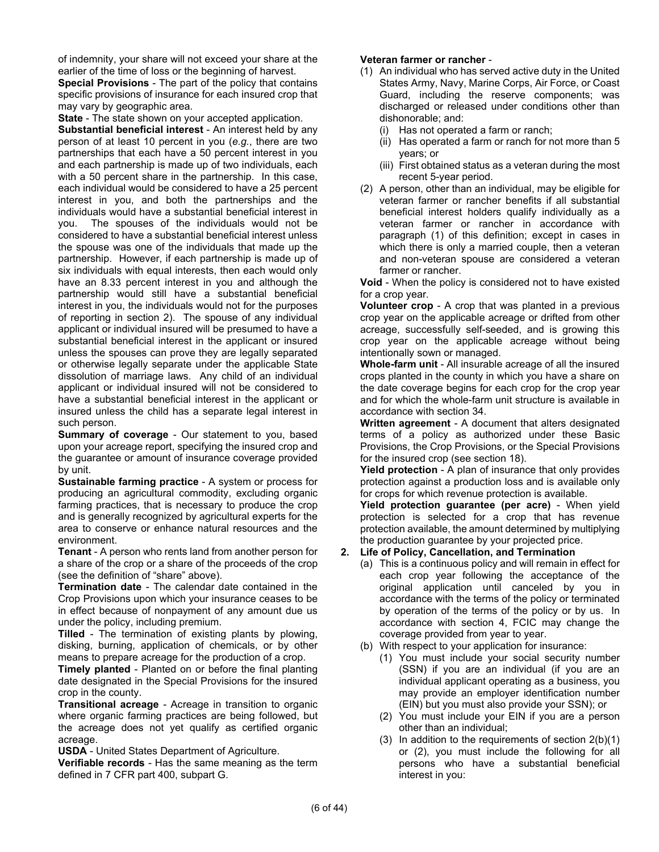of indemnity, your share will not exceed your share at the earlier of the time of loss or the beginning of harvest.

**Special Provisions** - The part of the policy that contains specific provisions of insurance for each insured crop that may vary by geographic area.

**State** - The state shown on your accepted application.

**Substantial beneficial interest** - An interest held by any person of at least 10 percent in you (*e.g.*, there are two partnerships that each have a 50 percent interest in you and each partnership is made up of two individuals, each with a 50 percent share in the partnership. In this case, each individual would be considered to have a 25 percent interest in you, and both the partnerships and the individuals would have a substantial beneficial interest in you. The spouses of the individuals would not be considered to have a substantial beneficial interest unless the spouse was one of the individuals that made up the partnership. However, if each partnership is made up of six individuals with equal interests, then each would only have an 8.33 percent interest in you and although the partnership would still have a substantial beneficial interest in you, the individuals would not for the purposes of reporting in section 2). The spouse of any individual applicant or individual insured will be presumed to have a substantial beneficial interest in the applicant or insured unless the spouses can prove they are legally separated or otherwise legally separate under the applicable State dissolution of marriage laws. Any child of an individual applicant or individual insured will not be considered to have a substantial beneficial interest in the applicant or insured unless the child has a separate legal interest in such person.

**Summary of coverage** - Our statement to you, based upon your acreage report, specifying the insured crop and the guarantee or amount of insurance coverage provided by unit.

**Sustainable farming practice** - A system or process for producing an agricultural commodity, excluding organic farming practices, that is necessary to produce the crop and is generally recognized by agricultural experts for the area to conserve or enhance natural resources and the environment.

**Tenant** - A person who rents land from another person for a share of the crop or a share of the proceeds of the crop (see the definition of "share" above).

**Termination date** - The calendar date contained in the Crop Provisions upon which your insurance ceases to be in effect because of nonpayment of any amount due us under the policy, including premium.

**Tilled** - The termination of existing plants by plowing, disking, burning, application of chemicals, or by other means to prepare acreage for the production of a crop.

**Timely planted** - Planted on or before the final planting date designated in the Special Provisions for the insured crop in the county.

**Transitional acreage** - Acreage in transition to organic where organic farming practices are being followed, but the acreage does not yet qualify as certified organic acreage.

**USDA** - United States Department of Agriculture.

**Verifiable records** - Has the same meaning as the term defined in 7 CFR part 400, subpart G.

#### **Veteran farmer or rancher** -

- (1) An individual who has served active duty in the United States Army, Navy, Marine Corps, Air Force, or Coast Guard, including the reserve components; was discharged or released under conditions other than dishonorable; and:
	- (i) Has not operated a farm or ranch;
	- (ii) Has operated a farm or ranch for not more than 5 years; or
	- (iii) First obtained status as a veteran during the most recent 5-year period.
- (2) A person, other than an individual, may be eligible for veteran farmer or rancher benefits if all substantial beneficial interest holders qualify individually as a veteran farmer or rancher in accordance with paragraph (1) of this definition; except in cases in which there is only a married couple, then a veteran and non-veteran spouse are considered a veteran farmer or rancher.

**Void** - When the policy is considered not to have existed for a crop year.

**Volunteer crop** - A crop that was planted in a previous crop year on the applicable acreage or drifted from other acreage, successfully self-seeded, and is growing this crop year on the applicable acreage without being intentionally sown or managed.

**Whole-farm unit** - All insurable acreage of all the insured crops planted in the county in which you have a share on the date coverage begins for each crop for the crop year and for which the whole-farm unit structure is available in accordance with section 34.

**Written agreement** - A document that alters designated terms of a policy as authorized under these Basic Provisions, the Crop Provisions, or the Special Provisions for the insured crop (see section 18).

**Yield protection** - A plan of insurance that only provides protection against a production loss and is available only for crops for which revenue protection is available.

**Yield protection guarantee (per acre)** - When yield protection is selected for a crop that has revenue protection available, the amount determined by multiplying the production guarantee by your projected price.

#### **2. Life of Policy, Cancellation, and Termination**

- (a) This is a continuous policy and will remain in effect for each crop year following the acceptance of the original application until canceled by you in accordance with the terms of the policy or terminated by operation of the terms of the policy or by us. In accordance with section 4, FCIC may change the coverage provided from year to year.
- (b) With respect to your application for insurance:
	- (1) You must include your social security number (SSN) if you are an individual (if you are an individual applicant operating as a business, you may provide an employer identification number (EIN) but you must also provide your SSN); or
	- (2) You must include your EIN if you are a person other than an individual;
	- (3) In addition to the requirements of section 2(b)(1) or (2), you must include the following for all persons who have a substantial beneficial interest in you: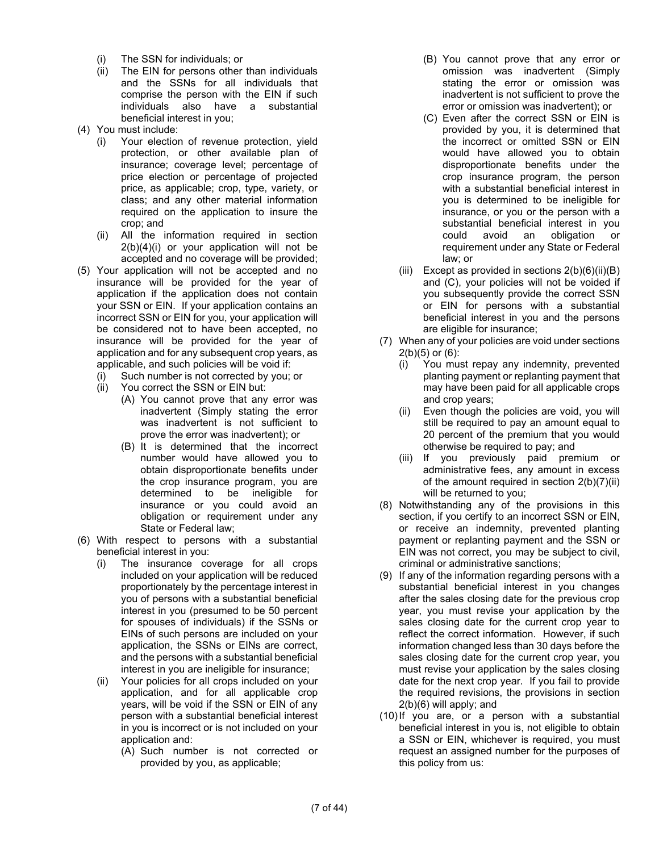- (i) The SSN for individuals; or
- (ii) The EIN for persons other than individuals and the SSNs for all individuals that comprise the person with the EIN if such individuals also have a substantial beneficial interest in you;
- (4) You must include:
	- (i) Your election of revenue protection, yield protection, or other available plan of insurance; coverage level; percentage of price election or percentage of projected price, as applicable; crop, type, variety, or class; and any other material information required on the application to insure the crop; and
	- (ii) All the information required in section 2(b)(4)(i) or your application will not be accepted and no coverage will be provided;
- (5) Your application will not be accepted and no insurance will be provided for the year of application if the application does not contain your SSN or EIN. If your application contains an incorrect SSN or EIN for you, your application will be considered not to have been accepted, no insurance will be provided for the year of application and for any subsequent crop years, as applicable, and such policies will be void if:
	- (i) Such number is not corrected by you; or
	- (ii) You correct the SSN or EIN but:
		- (A) You cannot prove that any error was inadvertent (Simply stating the error was inadvertent is not sufficient to prove the error was inadvertent); or
		- (B) It is determined that the incorrect number would have allowed you to obtain disproportionate benefits under the crop insurance program, you are determined to be ineligible for insurance or you could avoid an obligation or requirement under any State or Federal law;
- (6) With respect to persons with a substantial beneficial interest in you:
	- (i) The insurance coverage for all crops included on your application will be reduced proportionately by the percentage interest in you of persons with a substantial beneficial interest in you (presumed to be 50 percent for spouses of individuals) if the SSNs or EINs of such persons are included on your application, the SSNs or EINs are correct, and the persons with a substantial beneficial interest in you are ineligible for insurance;
	- (ii) Your policies for all crops included on your application, and for all applicable crop years, will be void if the SSN or EIN of any person with a substantial beneficial interest in you is incorrect or is not included on your application and:
		- (A) Such number is not corrected or provided by you, as applicable;
- (B) You cannot prove that any error or omission was inadvertent (Simply stating the error or omission was inadvertent is not sufficient to prove the error or omission was inadvertent); or
- (C) Even after the correct SSN or EIN is provided by you, it is determined that the incorrect or omitted SSN or EIN would have allowed you to obtain disproportionate benefits under the crop insurance program, the person with a substantial beneficial interest in you is determined to be ineligible for insurance, or you or the person with a substantial beneficial interest in you could avoid an obligation or requirement under any State or Federal law; or
- (iii) Except as provided in sections  $2(b)(6)(ii)(B)$ and (C), your policies will not be voided if you subsequently provide the correct SSN or EIN for persons with a substantial beneficial interest in you and the persons are eligible for insurance;
- (7) When any of your policies are void under sections  $2(b)(5)$  or  $(6)$ :
	- (i) You must repay any indemnity, prevented planting payment or replanting payment that may have been paid for all applicable crops and crop years;
	- (ii) Even though the policies are void, you will still be required to pay an amount equal to 20 percent of the premium that you would otherwise be required to pay; and
	- (iii) If you previously paid premium or administrative fees, any amount in excess of the amount required in section 2(b)(7)(ii) will be returned to you;
- (8) Notwithstanding any of the provisions in this section, if you certify to an incorrect SSN or EIN. or receive an indemnity, prevented planting payment or replanting payment and the SSN or EIN was not correct, you may be subject to civil, criminal or administrative sanctions;
- (9) If any of the information regarding persons with a substantial beneficial interest in you changes after the sales closing date for the previous crop year, you must revise your application by the sales closing date for the current crop year to reflect the correct information. However, if such information changed less than 30 days before the sales closing date for the current crop year, you must revise your application by the sales closing date for the next crop year. If you fail to provide the required revisions, the provisions in section 2(b)(6) will apply; and
- (10)If you are, or a person with a substantial beneficial interest in you is, not eligible to obtain a SSN or EIN, whichever is required, you must request an assigned number for the purposes of this policy from us: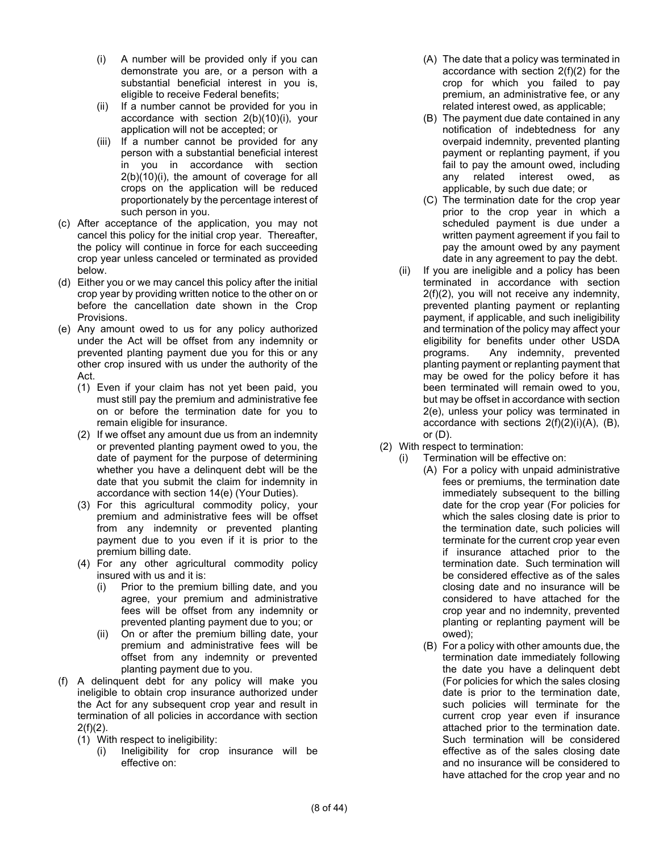- (i) A number will be provided only if you can demonstrate you are, or a person with a substantial beneficial interest in you is, eligible to receive Federal benefits;
- (ii) If a number cannot be provided for you in accordance with section 2(b)(10)(i), your application will not be accepted; or
- (iii) If a number cannot be provided for any person with a substantial beneficial interest in you in accordance with section 2(b)(10)(i), the amount of coverage for all crops on the application will be reduced proportionately by the percentage interest of such person in you.
- (c) After acceptance of the application, you may not cancel this policy for the initial crop year. Thereafter, the policy will continue in force for each succeeding crop year unless canceled or terminated as provided below.
- (d) Either you or we may cancel this policy after the initial crop year by providing written notice to the other on or before the cancellation date shown in the Crop Provisions.
- (e) Any amount owed to us for any policy authorized under the Act will be offset from any indemnity or prevented planting payment due you for this or any other crop insured with us under the authority of the Act.
	- (1) Even if your claim has not yet been paid, you must still pay the premium and administrative fee on or before the termination date for you to remain eligible for insurance.
	- (2) If we offset any amount due us from an indemnity or prevented planting payment owed to you, the date of payment for the purpose of determining whether you have a delinquent debt will be the date that you submit the claim for indemnity in accordance with section 14(e) (Your Duties).
	- (3) For this agricultural commodity policy, your premium and administrative fees will be offset from any indemnity or prevented planting payment due to you even if it is prior to the premium billing date.
	- (4) For any other agricultural commodity policy insured with us and it is:
		- (i) Prior to the premium billing date, and you agree, your premium and administrative fees will be offset from any indemnity or prevented planting payment due to you; or
		- (ii) On or after the premium billing date, your premium and administrative fees will be offset from any indemnity or prevented planting payment due to you.
- (f) A delinquent debt for any policy will make you ineligible to obtain crop insurance authorized under the Act for any subsequent crop year and result in termination of all policies in accordance with section  $2(f)(2)$ .
	- (1) With respect to ineligibility:
		- (i) Ineligibility for crop insurance will be effective on:
- (A) The date that a policy was terminated in accordance with section 2(f)(2) for the crop for which you failed to pay premium, an administrative fee, or any related interest owed, as applicable;
- (B) The payment due date contained in any notification of indebtedness for any overpaid indemnity, prevented planting payment or replanting payment, if you fail to pay the amount owed, including any related interest owed, as applicable, by such due date; or
- (C) The termination date for the crop year prior to the crop year in which a scheduled payment is due under a written payment agreement if you fail to pay the amount owed by any payment date in any agreement to pay the debt.
- (ii) If you are ineligible and a policy has been terminated in accordance with section 2(f)(2), you will not receive any indemnity, prevented planting payment or replanting payment, if applicable, and such ineligibility and termination of the policy may affect your eligibility for benefits under other USDA programs. Any indemnity, prevented planting payment or replanting payment that may be owed for the policy before it has been terminated will remain owed to you, but may be offset in accordance with section 2(e), unless your policy was terminated in accordance with sections 2(f)(2)(i)(A), (B), or (D).
- (2) With respect to termination:
	- (i) Termination will be effective on:
		- (A) For a policy with unpaid administrative fees or premiums, the termination date immediately subsequent to the billing date for the crop year (For policies for which the sales closing date is prior to the termination date, such policies will terminate for the current crop year even if insurance attached prior to the termination date. Such termination will be considered effective as of the sales closing date and no insurance will be considered to have attached for the crop year and no indemnity, prevented planting or replanting payment will be owed);
		- (B) For a policy with other amounts due, the termination date immediately following the date you have a delinquent debt (For policies for which the sales closing date is prior to the termination date, such policies will terminate for the current crop year even if insurance attached prior to the termination date. Such termination will be considered effective as of the sales closing date and no insurance will be considered to have attached for the crop year and no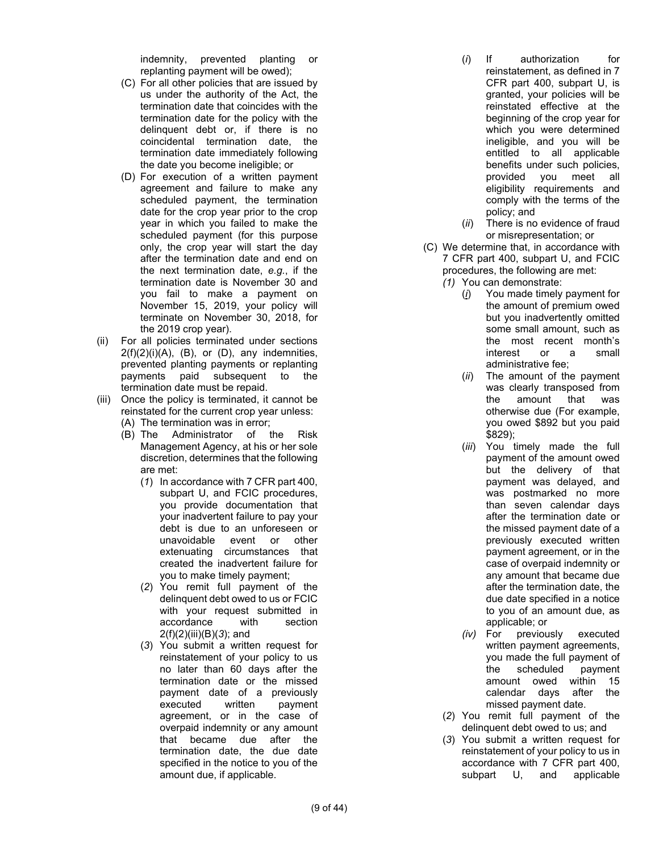indemnity, prevented planting or replanting payment will be owed);

- (C) For all other policies that are issued by us under the authority of the Act, the termination date that coincides with the termination date for the policy with the delinquent debt or, if there is no coincidental termination date, the termination date immediately following the date you become ineligible; or
- (D) For execution of a written payment agreement and failure to make any scheduled payment, the termination date for the crop year prior to the crop year in which you failed to make the scheduled payment (for this purpose only, the crop year will start the day after the termination date and end on the next termination date, *e.g.*, if the termination date is November 30 and you fail to make a payment on November 15, 2019, your policy will terminate on November 30, 2018, for the 2019 crop year).
- (ii) For all policies terminated under sections  $2(f)(2)(i)(A)$ ,  $(B)$ , or  $(D)$ , any indemnities, prevented planting payments or replanting payments paid subsequent to the termination date must be repaid.
- (iii) Once the policy is terminated, it cannot be reinstated for the current crop year unless:
	- (A) The termination was in error;
	- (B) The Administrator of the Risk Management Agency, at his or her sole discretion, determines that the following are met:
		- (*1*) In accordance with 7 CFR part 400, subpart U, and FCIC procedures, you provide documentation that your inadvertent failure to pay your debt is due to an unforeseen or unavoidable event or other extenuating circumstances that created the inadvertent failure for you to make timely payment;
		- (*2*) You remit full payment of the delinquent debt owed to us or FCIC with your request submitted in accordance with section 2(f)(2)(iii)(B)(*3*); and
		- (*3*) You submit a written request for reinstatement of your policy to us no later than 60 days after the termination date or the missed payment date of a previously executed written payment agreement, or in the case of overpaid indemnity or any amount that became due after the termination date, the due date specified in the notice to you of the amount due, if applicable.
- (*i*) If authorization for reinstatement, as defined in 7 CFR part 400, subpart U, is granted, your policies will be reinstated effective at the beginning of the crop year for which you were determined ineligible, and you will be entitled to all applicable benefits under such policies, provided you meet all eligibility requirements and comply with the terms of the policy; and
- (*ii*) There is no evidence of fraud or misrepresentation; or
- (C) We determine that, in accordance with 7 CFR part 400, subpart U, and FCIC procedures, the following are met:
	- *(1)* You can demonstrate:
		- (*i*) You made timely payment for the amount of premium owed but you inadvertently omitted some small amount, such as the most recent month's interest or a small administrative fee;
		- (*ii*) The amount of the payment was clearly transposed from the amount that was otherwise due (For example, you owed \$892 but you paid \$829);
		- (*iii*) You timely made the full payment of the amount owed but the delivery of that payment was delayed, and was postmarked no more than seven calendar days after the termination date or the missed payment date of a previously executed written payment agreement, or in the case of overpaid indemnity or any amount that became due after the termination date, the due date specified in a notice to you of an amount due, as applicable; or
		- *(iv)* For previously executed written payment agreements, you made the full payment of the scheduled payment amount owed within 15 calendar days after the missed payment date.
	- (*2*) You remit full payment of the delinquent debt owed to us; and
	- (*3*) You submit a written request for reinstatement of your policy to us in accordance with 7 CFR part 400, subpart U, and applicable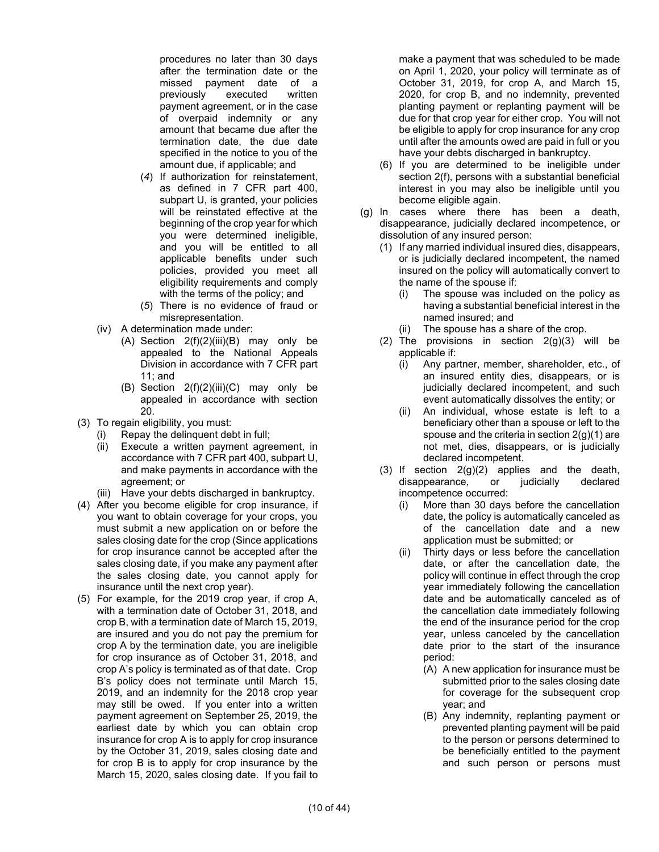procedures no later than 30 days after the termination date or the missed payment date of a previously executed written payment agreement, or in the case of overpaid indemnity or any amount that became due after the termination date, the due date specified in the notice to you of the amount due, if applicable; and

- (*4*) If authorization for reinstatement, as defined in 7 CFR part 400, subpart U, is granted, your policies will be reinstated effective at the beginning of the crop year for which you were determined ineligible, and you will be entitled to all applicable benefits under such policies, provided you meet all eligibility requirements and comply with the terms of the policy; and
- (*5*) There is no evidence of fraud or misrepresentation.
- (iv) A determination made under:
	- (A) Section  $2(f)(2)(iii)(B)$  may only be appealed to the National Appeals Division in accordance with 7 CFR part 11; and
	- (B) Section  $2(f)(2)(iii)(C)$  may only be appealed in accordance with section 20.
- (3) To regain eligibility, you must:
	- (i) Repay the delinquent debt in full;
	- (ii) Execute a written payment agreement, in accordance with 7 CFR part 400, subpart U, and make payments in accordance with the agreement; or
	- (iii) Have your debts discharged in bankruptcy.
- (4) After you become eligible for crop insurance, if you want to obtain coverage for your crops, you must submit a new application on or before the sales closing date for the crop (Since applications for crop insurance cannot be accepted after the sales closing date, if you make any payment after the sales closing date, you cannot apply for insurance until the next crop year).
- (5) For example, for the 2019 crop year, if crop A, with a termination date of October 31, 2018, and crop B, with a termination date of March 15, 2019, are insured and you do not pay the premium for crop A by the termination date, you are ineligible for crop insurance as of October 31, 2018, and crop A's policy is terminated as of that date. Crop B's policy does not terminate until March 15, 2019, and an indemnity for the 2018 crop year may still be owed. If you enter into a written payment agreement on September 25, 2019, the earliest date by which you can obtain crop insurance for crop A is to apply for crop insurance by the October 31, 2019, sales closing date and for crop B is to apply for crop insurance by the March 15, 2020, sales closing date. If you fail to

make a payment that was scheduled to be made on April 1, 2020, your policy will terminate as of October 31, 2019, for crop A, and March 15, 2020, for crop B, and no indemnity, prevented planting payment or replanting payment will be due for that crop year for either crop. You will not be eligible to apply for crop insurance for any crop until after the amounts owed are paid in full or you have your debts discharged in bankruptcy.

- (6) If you are determined to be ineligible under section 2(f), persons with a substantial beneficial interest in you may also be ineligible until you become eligible again.
- (g) In cases where there has been a death, disappearance, judicially declared incompetence, or dissolution of any insured person:
	- (1) If any married individual insured dies, disappears, or is judicially declared incompetent, the named insured on the policy will automatically convert to the name of the spouse if:
		- (i) The spouse was included on the policy as having a substantial beneficial interest in the named insured; and
		- (ii) The spouse has a share of the crop.
	- (2) The provisions in section 2(g)(3) will be applicable if:
		- (i) Any partner, member, shareholder, etc., of an insured entity dies, disappears, or is judicially declared incompetent, and such event automatically dissolves the entity; or
		- (ii) An individual, whose estate is left to a beneficiary other than a spouse or left to the spouse and the criteria in section  $2(q)(1)$  are not met, dies, disappears, or is judicially declared incompetent.
	- (3) If section  $2(g)(2)$  applies and the death, disappearance, or judicially declared incompetence occurred:
		- (i) More than 30 days before the cancellation date, the policy is automatically canceled as of the cancellation date and a new application must be submitted; or
		- (ii) Thirty days or less before the cancellation date, or after the cancellation date, the policy will continue in effect through the crop year immediately following the cancellation date and be automatically canceled as of the cancellation date immediately following the end of the insurance period for the crop year, unless canceled by the cancellation date prior to the start of the insurance period:
			- (A) A new application for insurance must be submitted prior to the sales closing date for coverage for the subsequent crop year; and
			- (B) Any indemnity, replanting payment or prevented planting payment will be paid to the person or persons determined to be beneficially entitled to the payment and such person or persons must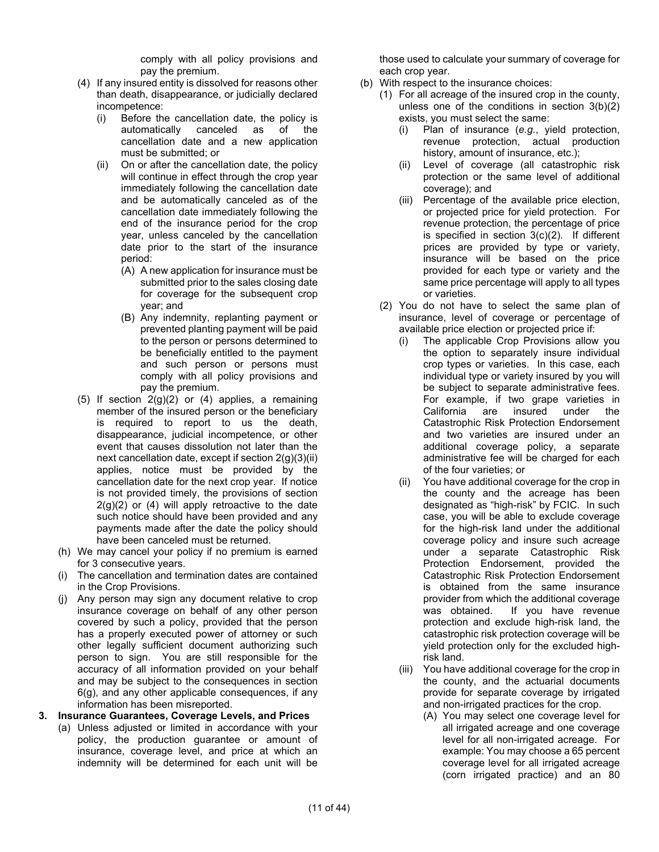comply with all policy provisions and pay the premium.

- (4) If any insured entity is dissolved for reasons other than death, disappearance, or judicially declared incompetence:
	- (i) Before the cancellation date, the policy is automatically canceled as of the cancellation date and a new application must be submitted; or
	- (ii) On or after the cancellation date, the policy will continue in effect through the crop year immediately following the cancellation date and be automatically canceled as of the cancellation date immediately following the end of the insurance period for the crop year, unless canceled by the cancellation date prior to the start of the insurance period:
		- (A) A new application for insurance must be submitted prior to the sales closing date for coverage for the subsequent crop year; and
		- (B) Any indemnity, replanting payment or prevented planting payment will be paid to the person or persons determined to be beneficially entitled to the payment and such person or persons must comply with all policy provisions and pay the premium.
- (5) If section  $2(g)(2)$  or (4) applies, a remaining member of the insured person or the beneficiary is required to report to us the death, disappearance, judicial incompetence, or other event that causes dissolution not later than the next cancellation date, except if section 2(g)(3)(ii) applies, notice must be provided by the cancellation date for the next crop year. If notice is not provided timely, the provisions of section  $2(q)(2)$  or  $(4)$  will apply retroactive to the date such notice should have been provided and any payments made after the date the policy should have been canceled must be returned.
- (h) We may cancel your policy if no premium is earned for 3 consecutive years.
- (i) The cancellation and termination dates are contained in the Crop Provisions.
- (j) Any person may sign any document relative to crop insurance coverage on behalf of any other person covered by such a policy, provided that the person has a properly executed power of attorney or such other legally sufficient document authorizing such person to sign. You are still responsible for the accuracy of all information provided on your behalf and may be subject to the consequences in section 6(g), and any other applicable consequences, if any information has been misreported.

## **3. Insurance Guarantees, Coverage Levels, and Prices**

(a) Unless adjusted or limited in accordance with your policy, the production guarantee or amount of insurance, coverage level, and price at which an indemnity will be determined for each unit will be those used to calculate your summary of coverage for each crop year.

- (b) With respect to the insurance choices:
	- (1) For all acreage of the insured crop in the county, unless one of the conditions in section 3(b)(2) exists, you must select the same:
		- (i) Plan of insurance (*e.g.*, yield protection, revenue protection, actual production history, amount of insurance, etc.);
		- (ii) Level of coverage (all catastrophic risk protection or the same level of additional coverage); and
		- (iii) Percentage of the available price election, or projected price for yield protection. For revenue protection, the percentage of price is specified in section 3(c)(2). If different prices are provided by type or variety, insurance will be based on the price provided for each type or variety and the same price percentage will apply to all types or varieties.
	- (2) You do not have to select the same plan of insurance, level of coverage or percentage of available price election or projected price if:
		- (i) The applicable Crop Provisions allow you the option to separately insure individual crop types or varieties. In this case, each individual type or variety insured by you will be subject to separate administrative fees. For example, if two grape varieties in California are insured under the Catastrophic Risk Protection Endorsement and two varieties are insured under an additional coverage policy, a separate administrative fee will be charged for each of the four varieties; or
		- (ii) You have additional coverage for the crop in the county and the acreage has been designated as "high-risk" by FCIC. In such case, you will be able to exclude coverage for the high-risk land under the additional coverage policy and insure such acreage under a separate Catastrophic Risk Protection Endorsement, provided the Catastrophic Risk Protection Endorsement is obtained from the same insurance provider from which the additional coverage was obtained. If you have revenue protection and exclude high-risk land, the catastrophic risk protection coverage will be yield protection only for the excluded highrisk land.
		- (iii) You have additional coverage for the crop in the county, and the actuarial documents provide for separate coverage by irrigated and non-irrigated practices for the crop.
			- (A) You may select one coverage level for all irrigated acreage and one coverage level for all non-irrigated acreage. For example: You may choose a 65 percent coverage level for all irrigated acreage (corn irrigated practice) and an 80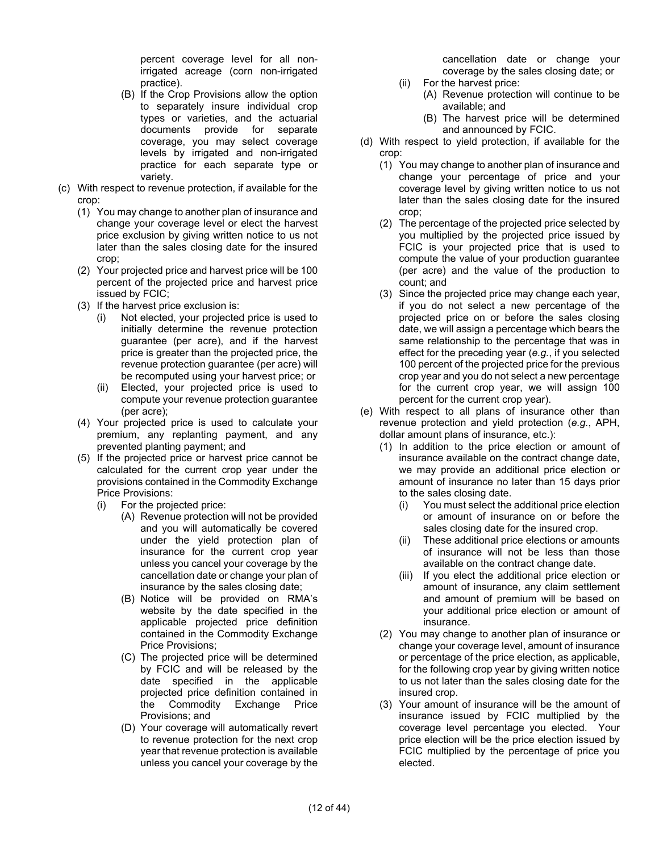percent coverage level for all nonirrigated acreage (corn non-irrigated practice).

- (B) If the Crop Provisions allow the option to separately insure individual crop types or varieties, and the actuarial documents provide for separate coverage, you may select coverage levels by irrigated and non-irrigated practice for each separate type or variety.
- (c) With respect to revenue protection, if available for the crop:
	- (1) You may change to another plan of insurance and change your coverage level or elect the harvest price exclusion by giving written notice to us not later than the sales closing date for the insured crop;
	- (2) Your projected price and harvest price will be 100 percent of the projected price and harvest price issued by FCIC;
	- (3) If the harvest price exclusion is:
		- (i) Not elected, your projected price is used to initially determine the revenue protection guarantee (per acre), and if the harvest price is greater than the projected price, the revenue protection guarantee (per acre) will be recomputed using your harvest price; or
		- (ii) Elected, your projected price is used to compute your revenue protection guarantee (per acre);
	- (4) Your projected price is used to calculate your premium, any replanting payment, and any prevented planting payment; and
	- (5) If the projected price or harvest price cannot be calculated for the current crop year under the provisions contained in the Commodity Exchange Price Provisions:
		- (i) For the projected price:
			- (A) Revenue protection will not be provided and you will automatically be covered under the yield protection plan of insurance for the current crop year unless you cancel your coverage by the cancellation date or change your plan of insurance by the sales closing date;
			- (B) Notice will be provided on RMA's website by the date specified in the applicable projected price definition contained in the Commodity Exchange Price Provisions;
			- (C) The projected price will be determined by FCIC and will be released by the date specified in the applicable projected price definition contained in the Commodity Exchange Price Provisions; and
			- (D) Your coverage will automatically revert to revenue protection for the next crop year that revenue protection is available unless you cancel your coverage by the

cancellation date or change your coverage by the sales closing date; or

- (ii) For the harvest price: (A) Revenue protection will continue to be
	- available; and (B) The harvest price will be determined and announced by FCIC.
- (d) With respect to yield protection, if available for the crop:
	- (1) You may change to another plan of insurance and change your percentage of price and your coverage level by giving written notice to us not later than the sales closing date for the insured crop;
	- (2) The percentage of the projected price selected by you multiplied by the projected price issued by FCIC is your projected price that is used to compute the value of your production guarantee (per acre) and the value of the production to count; and
	- (3) Since the projected price may change each year, if you do not select a new percentage of the projected price on or before the sales closing date, we will assign a percentage which bears the same relationship to the percentage that was in effect for the preceding year (*e.g.*, if you selected 100 percent of the projected price for the previous crop year and you do not select a new percentage for the current crop year, we will assign 100 percent for the current crop year).
- (e) With respect to all plans of insurance other than revenue protection and yield protection (*e.g.*, APH, dollar amount plans of insurance, etc.):
	- (1) In addition to the price election or amount of insurance available on the contract change date, we may provide an additional price election or amount of insurance no later than 15 days prior to the sales closing date.
		- (i) You must select the additional price election or amount of insurance on or before the sales closing date for the insured crop.
		- (ii) These additional price elections or amounts of insurance will not be less than those available on the contract change date.
		- (iii) If you elect the additional price election or amount of insurance, any claim settlement and amount of premium will be based on your additional price election or amount of insurance.
	- (2) You may change to another plan of insurance or change your coverage level, amount of insurance or percentage of the price election, as applicable, for the following crop year by giving written notice to us not later than the sales closing date for the insured crop.
	- (3) Your amount of insurance will be the amount of insurance issued by FCIC multiplied by the coverage level percentage you elected. Your price election will be the price election issued by FCIC multiplied by the percentage of price you elected.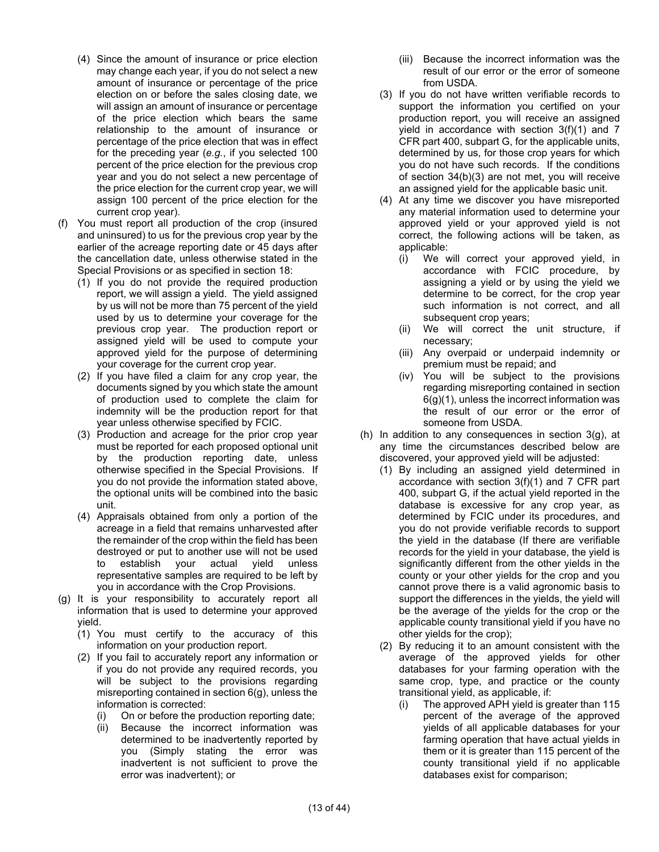- (4) Since the amount of insurance or price election may change each year, if you do not select a new amount of insurance or percentage of the price election on or before the sales closing date, we will assign an amount of insurance or percentage of the price election which bears the same relationship to the amount of insurance or percentage of the price election that was in effect for the preceding year (*e.g.*, if you selected 100 percent of the price election for the previous crop year and you do not select a new percentage of the price election for the current crop year, we will assign 100 percent of the price election for the current crop year).
- (f) You must report all production of the crop (insured and uninsured) to us for the previous crop year by the earlier of the acreage reporting date or 45 days after the cancellation date, unless otherwise stated in the Special Provisions or as specified in section 18:
	- (1) If you do not provide the required production report, we will assign a yield. The yield assigned by us will not be more than 75 percent of the yield used by us to determine your coverage for the previous crop year. The production report or assigned yield will be used to compute your approved yield for the purpose of determining your coverage for the current crop year.
	- (2) If you have filed a claim for any crop year, the documents signed by you which state the amount of production used to complete the claim for indemnity will be the production report for that year unless otherwise specified by FCIC.
	- (3) Production and acreage for the prior crop year must be reported for each proposed optional unit by the production reporting date, unless otherwise specified in the Special Provisions. If you do not provide the information stated above, the optional units will be combined into the basic unit.
	- (4) Appraisals obtained from only a portion of the acreage in a field that remains unharvested after the remainder of the crop within the field has been destroyed or put to another use will not be used to establish your actual yield unless representative samples are required to be left by you in accordance with the Crop Provisions.
- (g) It is your responsibility to accurately report all information that is used to determine your approved yield.
	- (1) You must certify to the accuracy of this information on your production report.
	- (2) If you fail to accurately report any information or if you do not provide any required records, you will be subject to the provisions regarding misreporting contained in section 6(g), unless the information is corrected:
		- (i) On or before the production reporting date;
		- (ii) Because the incorrect information was determined to be inadvertently reported by you (Simply stating the error was inadvertent is not sufficient to prove the error was inadvertent); or
- (iii) Because the incorrect information was the result of our error or the error of someone from USDA.
- (3) If you do not have written verifiable records to support the information you certified on your production report, you will receive an assigned yield in accordance with section 3(f)(1) and 7 CFR part 400, subpart G, for the applicable units, determined by us, for those crop years for which you do not have such records. If the conditions of section 34(b)(3) are not met, you will receive an assigned yield for the applicable basic unit.
- (4) At any time we discover you have misreported any material information used to determine your approved yield or your approved yield is not correct, the following actions will be taken, as applicable:
	- (i) We will correct your approved yield, in accordance with FCIC procedure, by assigning a yield or by using the yield we determine to be correct, for the crop year such information is not correct, and all subsequent crop years;
	- (ii) We will correct the unit structure, if necessary;
	- (iii) Any overpaid or underpaid indemnity or premium must be repaid; and
	- (iv) You will be subject to the provisions regarding misreporting contained in section 6(g)(1), unless the incorrect information was the result of our error or the error of someone from USDA.
- (h) In addition to any consequences in section  $3(q)$ , at any time the circumstances described below are discovered, your approved yield will be adjusted:
	- (1) By including an assigned yield determined in accordance with section 3(f)(1) and 7 CFR part 400, subpart G, if the actual yield reported in the database is excessive for any crop year, as determined by FCIC under its procedures, and you do not provide verifiable records to support the yield in the database (If there are verifiable records for the yield in your database, the yield is significantly different from the other yields in the county or your other yields for the crop and you cannot prove there is a valid agronomic basis to support the differences in the yields, the yield will be the average of the yields for the crop or the applicable county transitional yield if you have no other yields for the crop);
	- (2) By reducing it to an amount consistent with the average of the approved yields for other databases for your farming operation with the same crop, type, and practice or the county transitional yield, as applicable, if:
		- (i) The approved APH yield is greater than 115 percent of the average of the approved yields of all applicable databases for your farming operation that have actual yields in them or it is greater than 115 percent of the county transitional yield if no applicable databases exist for comparison;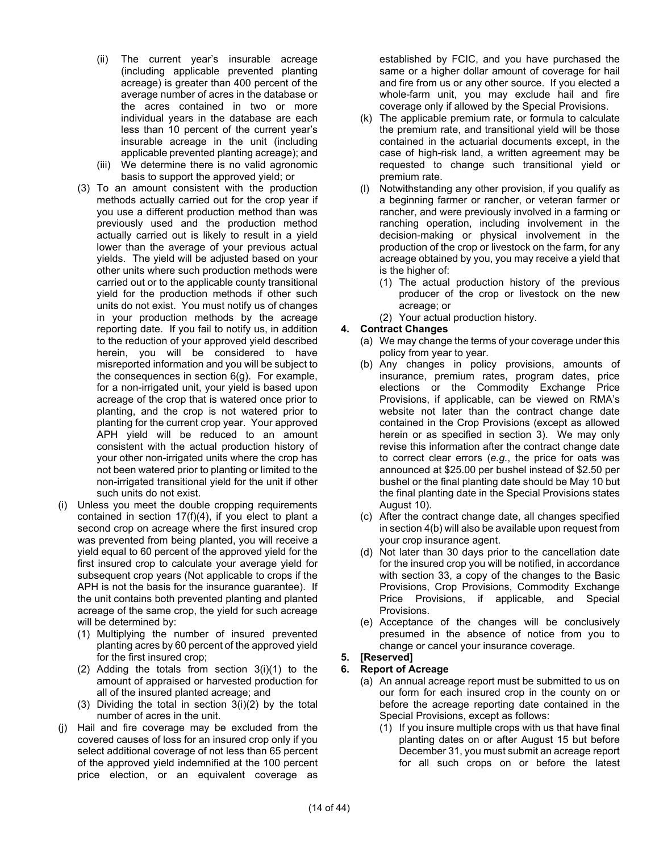- (ii) The current year's insurable acreage (including applicable prevented planting acreage) is greater than 400 percent of the average number of acres in the database or the acres contained in two or more individual years in the database are each less than 10 percent of the current year's insurable acreage in the unit (including applicable prevented planting acreage); and
- (iii) We determine there is no valid agronomic basis to support the approved yield; or
- (3) To an amount consistent with the production methods actually carried out for the crop year if you use a different production method than was previously used and the production method actually carried out is likely to result in a yield lower than the average of your previous actual yields. The yield will be adjusted based on your other units where such production methods were carried out or to the applicable county transitional yield for the production methods if other such units do not exist. You must notify us of changes in your production methods by the acreage reporting date. If you fail to notify us, in addition to the reduction of your approved yield described herein, you will be considered to have misreported information and you will be subject to the consequences in section 6(g). For example, for a non-irrigated unit, your yield is based upon acreage of the crop that is watered once prior to planting, and the crop is not watered prior to planting for the current crop year. Your approved APH yield will be reduced to an amount consistent with the actual production history of your other non-irrigated units where the crop has not been watered prior to planting or limited to the non-irrigated transitional yield for the unit if other such units do not exist.
- (i) Unless you meet the double cropping requirements contained in section 17(f)(4), if you elect to plant a second crop on acreage where the first insured crop was prevented from being planted, you will receive a yield equal to 60 percent of the approved yield for the first insured crop to calculate your average yield for subsequent crop years (Not applicable to crops if the APH is not the basis for the insurance guarantee). If the unit contains both prevented planting and planted acreage of the same crop, the yield for such acreage will be determined by:
	- (1) Multiplying the number of insured prevented planting acres by 60 percent of the approved yield for the first insured crop;
	- (2) Adding the totals from section 3(i)(1) to the amount of appraised or harvested production for all of the insured planted acreage; and
	- (3) Dividing the total in section 3(i)(2) by the total number of acres in the unit.
- (j) Hail and fire coverage may be excluded from the covered causes of loss for an insured crop only if you select additional coverage of not less than 65 percent of the approved yield indemnified at the 100 percent price election, or an equivalent coverage as

established by FCIC, and you have purchased the same or a higher dollar amount of coverage for hail and fire from us or any other source. If you elected a whole-farm unit, you may exclude hail and fire coverage only if allowed by the Special Provisions.

- (k) The applicable premium rate, or formula to calculate the premium rate, and transitional yield will be those contained in the actuarial documents except, in the case of high-risk land, a written agreement may be requested to change such transitional yield or premium rate.
- (l) Notwithstanding any other provision, if you qualify as a beginning farmer or rancher, or veteran farmer or rancher, and were previously involved in a farming or ranching operation, including involvement in the decision-making or physical involvement in the production of the crop or livestock on the farm, for any acreage obtained by you, you may receive a yield that is the higher of:
	- (1) The actual production history of the previous producer of the crop or livestock on the new acreage; or
	- (2) Your actual production history.

## **4. Contract Changes**

- (a) We may change the terms of your coverage under this policy from year to year.
- (b) Any changes in policy provisions, amounts of insurance, premium rates, program dates, price elections or the Commodity Exchange Price Provisions, if applicable, can be viewed on RMA's website not later than the contract change date contained in the Crop Provisions (except as allowed herein or as specified in section 3). We may only revise this information after the contract change date to correct clear errors (*e.g.*, the price for oats was announced at \$25.00 per bushel instead of \$2.50 per bushel or the final planting date should be May 10 but the final planting date in the Special Provisions states August 10).
- (c) After the contract change date, all changes specified in section 4(b) will also be available upon request from your crop insurance agent.
- (d) Not later than 30 days prior to the cancellation date for the insured crop you will be notified, in accordance with section 33, a copy of the changes to the Basic Provisions, Crop Provisions, Commodity Exchange Price Provisions, if applicable, and Special Provisions.
- (e) Acceptance of the changes will be conclusively presumed in the absence of notice from you to change or cancel your insurance coverage.

## **5. [Reserved]**

#### **6. Report of Acreage**

- (a) An annual acreage report must be submitted to us on our form for each insured crop in the county on or before the acreage reporting date contained in the Special Provisions, except as follows:
	- (1) If you insure multiple crops with us that have final planting dates on or after August 15 but before December 31, you must submit an acreage report for all such crops on or before the latest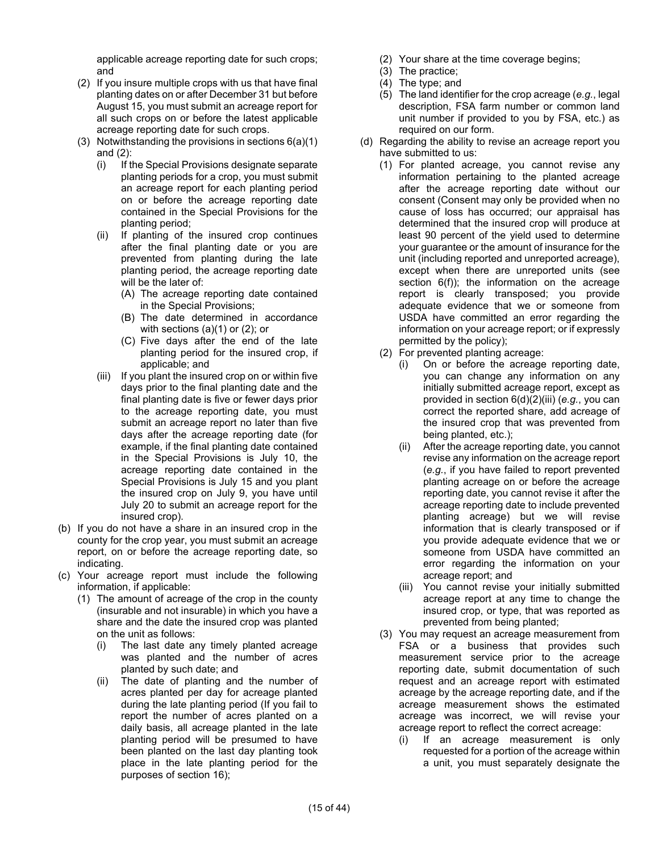applicable acreage reporting date for such crops; and

- (2) If you insure multiple crops with us that have final planting dates on or after December 31 but before August 15, you must submit an acreage report for all such crops on or before the latest applicable acreage reporting date for such crops.
- (3) Notwithstanding the provisions in sections 6(a)(1) and (2):
	- (i) If the Special Provisions designate separate planting periods for a crop, you must submit an acreage report for each planting period on or before the acreage reporting date contained in the Special Provisions for the planting period;
	- (ii) If planting of the insured crop continues after the final planting date or you are prevented from planting during the late planting period, the acreage reporting date will be the later of:
		- (A) The acreage reporting date contained in the Special Provisions;
		- (B) The date determined in accordance with sections (a)(1) or (2); or
		- (C) Five days after the end of the late planting period for the insured crop, if applicable; and
	- (iii) If you plant the insured crop on or within five days prior to the final planting date and the final planting date is five or fewer days prior to the acreage reporting date, you must submit an acreage report no later than five days after the acreage reporting date (for example, if the final planting date contained in the Special Provisions is July 10, the acreage reporting date contained in the Special Provisions is July 15 and you plant the insured crop on July 9, you have until July 20 to submit an acreage report for the insured crop).
- (b) If you do not have a share in an insured crop in the county for the crop year, you must submit an acreage report, on or before the acreage reporting date, so indicating.
- (c) Your acreage report must include the following information, if applicable:
	- (1) The amount of acreage of the crop in the county (insurable and not insurable) in which you have a share and the date the insured crop was planted on the unit as follows:
		- (i) The last date any timely planted acreage was planted and the number of acres planted by such date; and
		- (ii) The date of planting and the number of acres planted per day for acreage planted during the late planting period (If you fail to report the number of acres planted on a daily basis, all acreage planted in the late planting period will be presumed to have been planted on the last day planting took place in the late planting period for the purposes of section 16);
- (2) Your share at the time coverage begins;
- (3) The practice;
- (4) The type; and
- (5) The land identifier for the crop acreage (*e.g.*, legal description, FSA farm number or common land unit number if provided to you by FSA, etc.) as required on our form.
- (d) Regarding the ability to revise an acreage report you have submitted to us:
	- (1) For planted acreage, you cannot revise any information pertaining to the planted acreage after the acreage reporting date without our consent (Consent may only be provided when no cause of loss has occurred; our appraisal has determined that the insured crop will produce at least 90 percent of the yield used to determine your guarantee or the amount of insurance for the unit (including reported and unreported acreage), except when there are unreported units (see section 6(f)); the information on the acreage report is clearly transposed; you provide adequate evidence that we or someone from USDA have committed an error regarding the information on your acreage report; or if expressly permitted by the policy);
	- (2) For prevented planting acreage:
		- (i) On or before the acreage reporting date, you can change any information on any initially submitted acreage report, except as provided in section 6(d)(2)(iii) (*e.g.*, you can correct the reported share, add acreage of the insured crop that was prevented from being planted, etc.);
		- (ii) After the acreage reporting date, you cannot revise any information on the acreage report (*e.g.*, if you have failed to report prevented planting acreage on or before the acreage reporting date, you cannot revise it after the acreage reporting date to include prevented planting acreage) but we will revise information that is clearly transposed or if you provide adequate evidence that we or someone from USDA have committed an error regarding the information on your acreage report; and
		- (iii) You cannot revise your initially submitted acreage report at any time to change the insured crop, or type, that was reported as prevented from being planted;
	- (3) You may request an acreage measurement from FSA or a business that provides such measurement service prior to the acreage reporting date, submit documentation of such request and an acreage report with estimated acreage by the acreage reporting date, and if the acreage measurement shows the estimated acreage was incorrect, we will revise your acreage report to reflect the correct acreage:
		- (i) If an acreage measurement is only requested for a portion of the acreage within a unit, you must separately designate the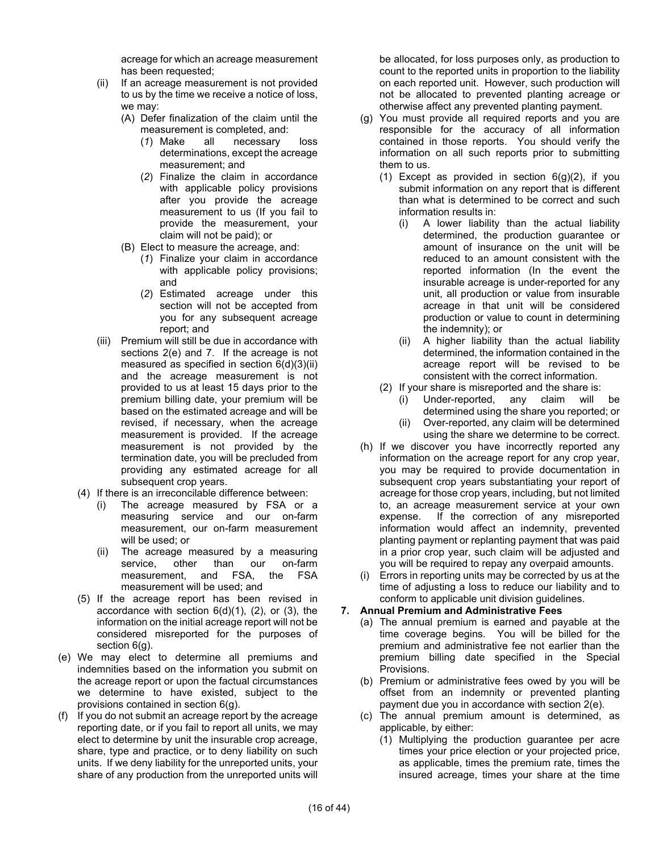acreage for which an acreage measurement has been requested;

- (ii) If an acreage measurement is not provided to us by the time we receive a notice of loss, we may:
	- (A) Defer finalization of the claim until the measurement is completed, and:
		- (*1*) Make all necessary loss determinations, except the acreage measurement; and
		- (*2*) Finalize the claim in accordance with applicable policy provisions after you provide the acreage measurement to us (If you fail to provide the measurement, your claim will not be paid); or
	- (B) Elect to measure the acreage, and:
		- (*1*) Finalize your claim in accordance with applicable policy provisions; and
		- (*2*) Estimated acreage under this section will not be accepted from you for any subsequent acreage report; and
- (iii) Premium will still be due in accordance with sections 2(e) and 7. If the acreage is not measured as specified in section 6(d)(3)(ii) and the acreage measurement is not provided to us at least 15 days prior to the premium billing date, your premium will be based on the estimated acreage and will be revised, if necessary, when the acreage measurement is provided. If the acreage measurement is not provided by the termination date, you will be precluded from providing any estimated acreage for all subsequent crop years.
- (4) If there is an irreconcilable difference between:
	- (i) The acreage measured by FSA or a measuring service and our on-farm measurement, our on-farm measurement will be used; or
	- (ii) The acreage measured by a measuring service, other than our on-farm<br>measurement, and FSA, the FSA measurement, and FSA, measurement will be used; and
- (5) If the acreage report has been revised in accordance with section  $6(d)(1)$ ,  $(2)$ , or  $(3)$ , the information on the initial acreage report will not be considered misreported for the purposes of section 6(g).
- (e) We may elect to determine all premiums and indemnities based on the information you submit on the acreage report or upon the factual circumstances we determine to have existed, subject to the provisions contained in section 6(g).
- (f) If you do not submit an acreage report by the acreage reporting date, or if you fail to report all units, we may elect to determine by unit the insurable crop acreage, share, type and practice, or to deny liability on such units. If we deny liability for the unreported units, your share of any production from the unreported units will

be allocated, for loss purposes only, as production to count to the reported units in proportion to the liability on each reported unit. However, such production will not be allocated to prevented planting acreage or otherwise affect any prevented planting payment.

- (g) You must provide all required reports and you are responsible for the accuracy of all information contained in those reports. You should verify the information on all such reports prior to submitting them to us.
	- (1) Except as provided in section  $6(g)(2)$ , if you submit information on any report that is different than what is determined to be correct and such information results in:
		- (i) A lower liability than the actual liability determined, the production guarantee or amount of insurance on the unit will be reduced to an amount consistent with the reported information (In the event the insurable acreage is under-reported for any unit, all production or value from insurable acreage in that unit will be considered production or value to count in determining the indemnity); or
		- (ii) A higher liability than the actual liability determined, the information contained in the acreage report will be revised to be consistent with the correct information.
	- (2) If your share is misreported and the share is:
		- (i) Under-reported, any claim will be determined using the share you reported; or (ii) Over-reported, any claim will be determined
		- using the share we determine to be correct.
- (h) If we discover you have incorrectly reported any information on the acreage report for any crop year, you may be required to provide documentation in subsequent crop years substantiating your report of acreage for those crop years, including, but not limited to, an acreage measurement service at your own expense. If the correction of any misreported information would affect an indemnity, prevented planting payment or replanting payment that was paid in a prior crop year, such claim will be adjusted and you will be required to repay any overpaid amounts.
- (i) Errors in reporting units may be corrected by us at the time of adjusting a loss to reduce our liability and to conform to applicable unit division guidelines.

## **7. Annual Premium and Administrative Fees**

- (a) The annual premium is earned and payable at the time coverage begins. You will be billed for the premium and administrative fee not earlier than the premium billing date specified in the Special Provisions.
- (b) Premium or administrative fees owed by you will be offset from an indemnity or prevented planting payment due you in accordance with section 2(e).
- (c) The annual premium amount is determined, as applicable, by either:
	- (1) Multiplying the production guarantee per acre times your price election or your projected price, as applicable, times the premium rate, times the insured acreage, times your share at the time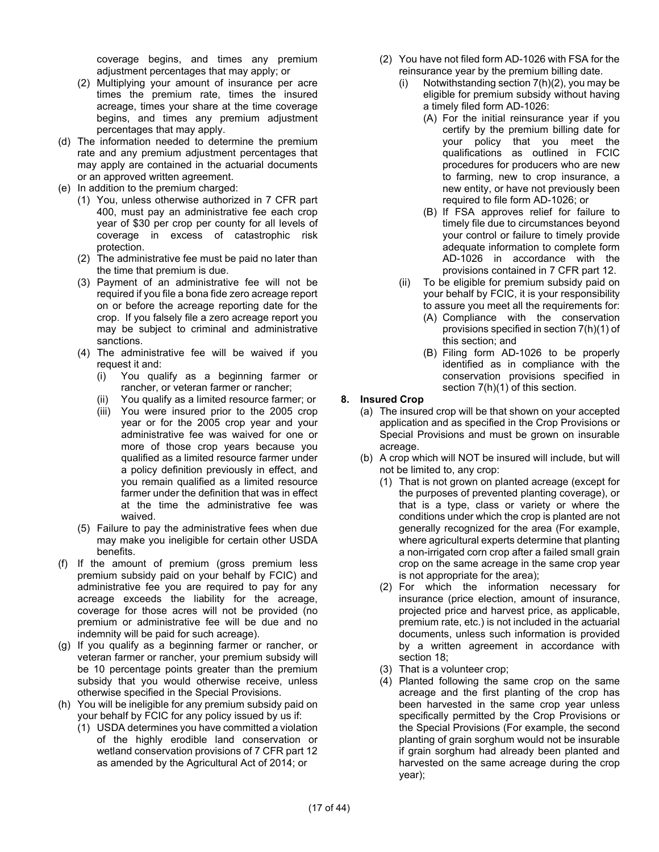coverage begins, and times any premium adjustment percentages that may apply; or

- (2) Multiplying your amount of insurance per acre times the premium rate, times the insured acreage, times your share at the time coverage begins, and times any premium adjustment percentages that may apply.
- (d) The information needed to determine the premium rate and any premium adjustment percentages that may apply are contained in the actuarial documents or an approved written agreement.
- (e) In addition to the premium charged:
	- (1) You, unless otherwise authorized in 7 CFR part 400, must pay an administrative fee each crop year of \$30 per crop per county for all levels of coverage in excess of catastrophic risk protection.
	- (2) The administrative fee must be paid no later than the time that premium is due.
	- (3) Payment of an administrative fee will not be required if you file a bona fide zero acreage report on or before the acreage reporting date for the crop. If you falsely file a zero acreage report you may be subject to criminal and administrative sanctions.
	- (4) The administrative fee will be waived if you request it and:
		- (i) You qualify as a beginning farmer or rancher, or veteran farmer or rancher;
		- You qualify as a limited resource farmer; or
		- (iii) You were insured prior to the 2005 crop year or for the 2005 crop year and your administrative fee was waived for one or more of those crop years because you qualified as a limited resource farmer under a policy definition previously in effect, and you remain qualified as a limited resource farmer under the definition that was in effect at the time the administrative fee was waived.
	- (5) Failure to pay the administrative fees when due may make you ineligible for certain other USDA benefits.
- (f) If the amount of premium (gross premium less premium subsidy paid on your behalf by FCIC) and administrative fee you are required to pay for any acreage exceeds the liability for the acreage, coverage for those acres will not be provided (no premium or administrative fee will be due and no indemnity will be paid for such acreage).
- (g) If you qualify as a beginning farmer or rancher, or veteran farmer or rancher, your premium subsidy will be 10 percentage points greater than the premium subsidy that you would otherwise receive, unless otherwise specified in the Special Provisions.
- (h) You will be ineligible for any premium subsidy paid on your behalf by FCIC for any policy issued by us if:
	- (1) USDA determines you have committed a violation of the highly erodible land conservation or wetland conservation provisions of 7 CFR part 12 as amended by the Agricultural Act of 2014; or
- (2) You have not filed form AD-1026 with FSA for the reinsurance year by the premium billing date.
	- (i) Notwithstanding section 7(h)(2), you may be eligible for premium subsidy without having a timely filed form AD-1026:
		- (A) For the initial reinsurance year if you certify by the premium billing date for your policy that you meet the qualifications as outlined in FCIC procedures for producers who are new to farming, new to crop insurance, a new entity, or have not previously been required to file form AD-1026; or
		- (B) If FSA approves relief for failure to timely file due to circumstances beyond your control or failure to timely provide adequate information to complete form AD-1026 in accordance with the provisions contained in 7 CFR part 12.
	- (ii) To be eligible for premium subsidy paid on your behalf by FCIC, it is your responsibility to assure you meet all the requirements for:
		- (A) Compliance with the conservation provisions specified in section 7(h)(1) of this section; and
		- (B) Filing form AD-1026 to be properly identified as in compliance with the conservation provisions specified in section 7(h)(1) of this section.

#### **8. Insured Crop**

- (a) The insured crop will be that shown on your accepted application and as specified in the Crop Provisions or Special Provisions and must be grown on insurable acreage.
- (b) A crop which will NOT be insured will include, but will not be limited to, any crop:
	- (1) That is not grown on planted acreage (except for the purposes of prevented planting coverage), or that is a type, class or variety or where the conditions under which the crop is planted are not generally recognized for the area (For example, where agricultural experts determine that planting a non-irrigated corn crop after a failed small grain crop on the same acreage in the same crop year is not appropriate for the area);
	- (2) For which the information necessary for insurance (price election, amount of insurance, projected price and harvest price, as applicable, premium rate, etc.) is not included in the actuarial documents, unless such information is provided by a written agreement in accordance with section 18;
	- (3) That is a volunteer crop;
	- (4) Planted following the same crop on the same acreage and the first planting of the crop has been harvested in the same crop year unless specifically permitted by the Crop Provisions or the Special Provisions (For example, the second planting of grain sorghum would not be insurable if grain sorghum had already been planted and harvested on the same acreage during the crop year);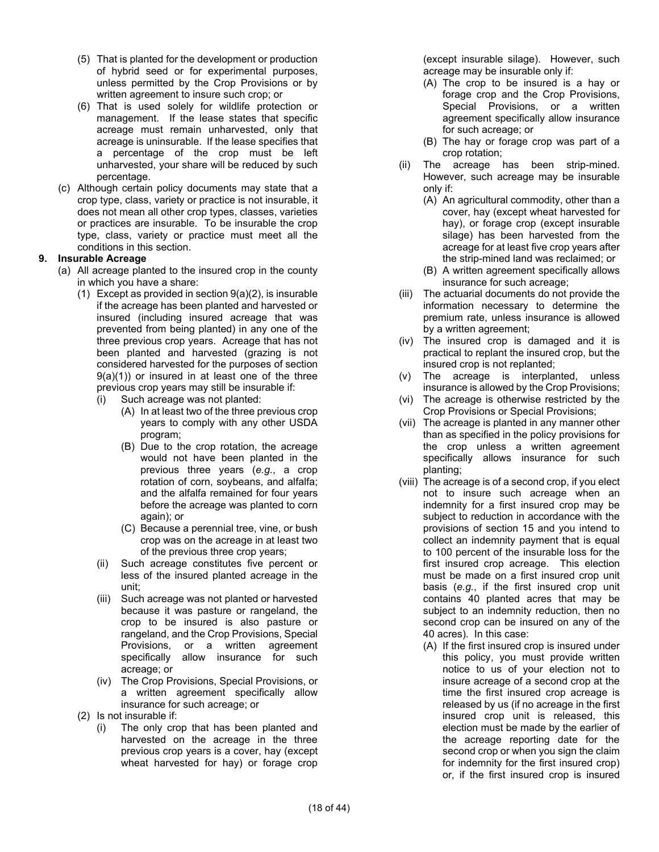- (5) That is planted for the development or production of hybrid seed or for experimental purposes, unless permitted by the Crop Provisions or by written agreement to insure such crop; or
- (6) That is used solely for wildlife protection or management. If the lease states that specific acreage must remain unharvested, only that acreage is uninsurable. If the lease specifies that a percentage of the crop must be left unharvested, your share will be reduced by such percentage.
- (c) Although certain policy documents may state that a crop type, class, variety or practice is not insurable, it does not mean all other crop types, classes, varieties or practices are insurable. To be insurable the crop type, class, variety or practice must meet all the conditions in this section.

## **9. Insurable Acreage**

- (a) All acreage planted to the insured crop in the county in which you have a share:
	- (1) Except as provided in section 9(a)(2), is insurable if the acreage has been planted and harvested or insured (including insured acreage that was prevented from being planted) in any one of the three previous crop years. Acreage that has not been planted and harvested (grazing is not considered harvested for the purposes of section 9(a)(1)) or insured in at least one of the three previous crop years may still be insurable if:
		- (i) Such acreage was not planted:
			- (A) In at least two of the three previous crop years to comply with any other USDA program;
			- (B) Due to the crop rotation, the acreage would not have been planted in the previous three years (*e.g.*, a crop rotation of corn, soybeans, and alfalfa; and the alfalfa remained for four years before the acreage was planted to corn again); or
			- (C) Because a perennial tree, vine, or bush crop was on the acreage in at least two of the previous three crop years;
		- (ii) Such acreage constitutes five percent or less of the insured planted acreage in the unit;
		- (iii) Such acreage was not planted or harvested because it was pasture or rangeland, the crop to be insured is also pasture or rangeland, and the Crop Provisions, Special Provisions, or a written agreement specifically allow insurance for such acreage; or
		- (iv) The Crop Provisions, Special Provisions, or a written agreement specifically allow insurance for such acreage; or
	- (2) Is not insurable if:
		- (i) The only crop that has been planted and harvested on the acreage in the three previous crop years is a cover, hay (except wheat harvested for hay) or forage crop

(except insurable silage). However, such acreage may be insurable only if:

- (A) The crop to be insured is a hay or forage crop and the Crop Provisions, Special Provisions, or a written agreement specifically allow insurance for such acreage; or
- (B) The hay or forage crop was part of a crop rotation;
- (ii) The acreage has been strip-mined. However, such acreage may be insurable only if:
	- (A) An agricultural commodity, other than a cover, hay (except wheat harvested for hay), or forage crop (except insurable silage) has been harvested from the acreage for at least five crop years after the strip-mined land was reclaimed; or
	- (B) A written agreement specifically allows insurance for such acreage;
- (iii) The actuarial documents do not provide the information necessary to determine the premium rate, unless insurance is allowed by a written agreement;
- (iv) The insured crop is damaged and it is practical to replant the insured crop, but the insured crop is not replanted;
- (v) The acreage is interplanted, unless insurance is allowed by the Crop Provisions;
- (vi) The acreage is otherwise restricted by the Crop Provisions or Special Provisions;
- (vii) The acreage is planted in any manner other than as specified in the policy provisions for the crop unless a written agreement specifically allows insurance for such planting;
- (viii) The acreage is of a second crop, if you elect not to insure such acreage when an indemnity for a first insured crop may be subject to reduction in accordance with the provisions of section 15 and you intend to collect an indemnity payment that is equal to 100 percent of the insurable loss for the first insured crop acreage. This election must be made on a first insured crop unit basis (*e.g.*, if the first insured crop unit contains 40 planted acres that may be subject to an indemnity reduction, then no second crop can be insured on any of the 40 acres). In this case:
	- (A) If the first insured crop is insured under this policy, you must provide written notice to us of your election not to insure acreage of a second crop at the time the first insured crop acreage is released by us (if no acreage in the first insured crop unit is released, this election must be made by the earlier of the acreage reporting date for the second crop or when you sign the claim for indemnity for the first insured crop) or, if the first insured crop is insured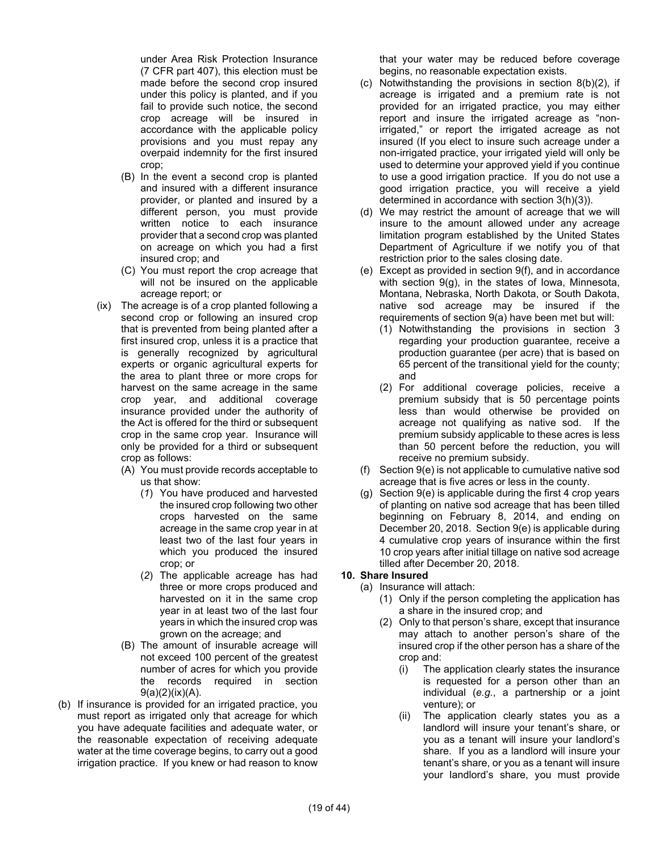under Area Risk Protection Insurance (7 CFR part 407), this election must be made before the second crop insured under this policy is planted, and if you fail to provide such notice, the second crop acreage will be insured in accordance with the applicable policy provisions and you must repay any overpaid indemnity for the first insured crop;

- (B) In the event a second crop is planted and insured with a different insurance provider, or planted and insured by a different person, you must provide written notice to each insurance provider that a second crop was planted on acreage on which you had a first insured crop; and
- (C) You must report the crop acreage that will not be insured on the applicable acreage report; or
- (ix) The acreage is of a crop planted following a second crop or following an insured crop that is prevented from being planted after a first insured crop, unless it is a practice that is generally recognized by agricultural experts or organic agricultural experts for the area to plant three or more crops for harvest on the same acreage in the same crop year, and additional coverage insurance provided under the authority of the Act is offered for the third or subsequent crop in the same crop year. Insurance will only be provided for a third or subsequent crop as follows:
	- (A) You must provide records acceptable to us that show:
		- (*1*) You have produced and harvested the insured crop following two other crops harvested on the same acreage in the same crop year in at least two of the last four years in which you produced the insured crop; or
		- (*2*) The applicable acreage has had three or more crops produced and harvested on it in the same crop year in at least two of the last four years in which the insured crop was grown on the acreage; and
	- (B) The amount of insurable acreage will not exceed 100 percent of the greatest number of acres for which you provide the records required in section  $9(a)(2)(ix)(A)$ .
- (b) If insurance is provided for an irrigated practice, you must report as irrigated only that acreage for which you have adequate facilities and adequate water, or the reasonable expectation of receiving adequate water at the time coverage begins, to carry out a good irrigation practice. If you knew or had reason to know

that your water may be reduced before coverage begins, no reasonable expectation exists.

- (c) Notwithstanding the provisions in section 8(b)(2), if acreage is irrigated and a premium rate is not provided for an irrigated practice, you may either report and insure the irrigated acreage as "nonirrigated," or report the irrigated acreage as not insured (If you elect to insure such acreage under a non-irrigated practice, your irrigated yield will only be used to determine your approved yield if you continue to use a good irrigation practice. If you do not use a good irrigation practice, you will receive a yield determined in accordance with section 3(h)(3)).
- (d) We may restrict the amount of acreage that we will insure to the amount allowed under any acreage limitation program established by the United States Department of Agriculture if we notify you of that restriction prior to the sales closing date.
- (e) Except as provided in section 9(f), and in accordance with section 9(g), in the states of Iowa, Minnesota, Montana, Nebraska, North Dakota, or South Dakota, native sod acreage may be insured if the requirements of section 9(a) have been met but will:
	- (1) Notwithstanding the provisions in section 3 regarding your production guarantee, receive a production guarantee (per acre) that is based on 65 percent of the transitional yield for the county; and
	- (2) For additional coverage policies, receive a premium subsidy that is 50 percentage points less than would otherwise be provided on acreage not qualifying as native sod. If the premium subsidy applicable to these acres is less than 50 percent before the reduction, you will receive no premium subsidy.
- (f) Section 9(e) is not applicable to cumulative native sod acreage that is five acres or less in the county.
- (g) Section 9(e) is applicable during the first 4 crop years of planting on native sod acreage that has been tilled beginning on February 8, 2014, and ending on December 20, 2018. Section 9(e) is applicable during 4 cumulative crop years of insurance within the first 10 crop years after initial tillage on native sod acreage tilled after December 20, 2018.

## **10. Share Insured**

- (a) Insurance will attach:
	- (1) Only if the person completing the application has a share in the insured crop; and
	- (2) Only to that person's share, except that insurance may attach to another person's share of the insured crop if the other person has a share of the crop and:
		- (i) The application clearly states the insurance is requested for a person other than an individual (*e.g.*, a partnership or a joint venture); or
		- (ii) The application clearly states you as a landlord will insure your tenant's share, or you as a tenant will insure your landlord's share. If you as a landlord will insure your tenant's share, or you as a tenant will insure your landlord's share, you must provide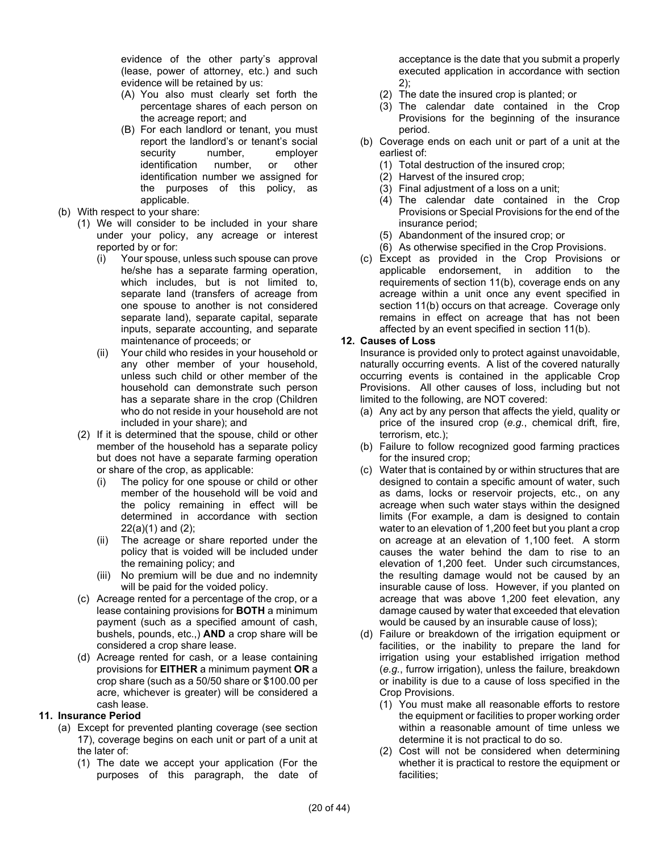evidence of the other party's approval (lease, power of attorney, etc.) and such evidence will be retained by us:

- (A) You also must clearly set forth the percentage shares of each person on the acreage report; and
- (B) For each landlord or tenant, you must report the landlord's or tenant's social security number, employer identification number, or other identification number we assigned for the purposes of this policy, as applicable.
- (b) With respect to your share:
	- (1) We will consider to be included in your share under your policy, any acreage or interest reported by or for:
		- (i) Your spouse, unless such spouse can prove he/she has a separate farming operation, which includes, but is not limited to, separate land (transfers of acreage from one spouse to another is not considered separate land), separate capital, separate inputs, separate accounting, and separate maintenance of proceeds; or
		- (ii) Your child who resides in your household or any other member of your household, unless such child or other member of the household can demonstrate such person has a separate share in the crop (Children who do not reside in your household are not included in your share); and
	- (2) If it is determined that the spouse, child or other member of the household has a separate policy but does not have a separate farming operation or share of the crop, as applicable:
		- (i) The policy for one spouse or child or other member of the household will be void and the policy remaining in effect will be determined in accordance with section 22(a)(1) and (2);
		- (ii) The acreage or share reported under the policy that is voided will be included under the remaining policy; and
		- (iii) No premium will be due and no indemnity will be paid for the voided policy.
	- (c) Acreage rented for a percentage of the crop, or a lease containing provisions for **BOTH** a minimum payment (such as a specified amount of cash, bushels, pounds, etc.,) **AND** a crop share will be considered a crop share lease.
	- (d) Acreage rented for cash, or a lease containing provisions for **EITHER** a minimum payment **OR** a crop share (such as a 50/50 share or \$100.00 per acre, whichever is greater) will be considered a cash lease.

#### **11. Insurance Period**

- (a) Except for prevented planting coverage (see section 17), coverage begins on each unit or part of a unit at the later of:
	- (1) The date we accept your application (For the purposes of this paragraph, the date of

acceptance is the date that you submit a properly executed application in accordance with section 2);

- (2) The date the insured crop is planted; or
- (3) The calendar date contained in the Crop Provisions for the beginning of the insurance period.
- (b) Coverage ends on each unit or part of a unit at the earliest of:
	- (1) Total destruction of the insured crop;
	- (2) Harvest of the insured crop;
	- (3) Final adjustment of a loss on a unit;
	- (4) The calendar date contained in the Crop Provisions or Special Provisions for the end of the insurance period;
	- (5) Abandonment of the insured crop; or
	- (6) As otherwise specified in the Crop Provisions.
- (c) Except as provided in the Crop Provisions or applicable endorsement, in addition to the requirements of section 11(b), coverage ends on any acreage within a unit once any event specified in section 11(b) occurs on that acreage. Coverage only remains in effect on acreage that has not been affected by an event specified in section 11(b).

## **12. Causes of Loss**

Insurance is provided only to protect against unavoidable, naturally occurring events. A list of the covered naturally occurring events is contained in the applicable Crop Provisions. All other causes of loss, including but not limited to the following, are NOT covered:

- (a) Any act by any person that affects the yield, quality or price of the insured crop (*e.g.*, chemical drift, fire, terrorism, etc.);
- (b) Failure to follow recognized good farming practices for the insured crop;
- (c) Water that is contained by or within structures that are designed to contain a specific amount of water, such as dams, locks or reservoir projects, etc., on any acreage when such water stays within the designed limits (For example, a dam is designed to contain water to an elevation of 1,200 feet but you plant a crop on acreage at an elevation of 1,100 feet. A storm causes the water behind the dam to rise to an elevation of 1,200 feet. Under such circumstances, the resulting damage would not be caused by an insurable cause of loss. However, if you planted on acreage that was above 1,200 feet elevation, any damage caused by water that exceeded that elevation would be caused by an insurable cause of loss);
- (d) Failure or breakdown of the irrigation equipment or facilities, or the inability to prepare the land for irrigation using your established irrigation method (*e.g.*, furrow irrigation), unless the failure, breakdown or inability is due to a cause of loss specified in the Crop Provisions.
	- (1) You must make all reasonable efforts to restore the equipment or facilities to proper working order within a reasonable amount of time unless we determine it is not practical to do so.
	- (2) Cost will not be considered when determining whether it is practical to restore the equipment or facilities;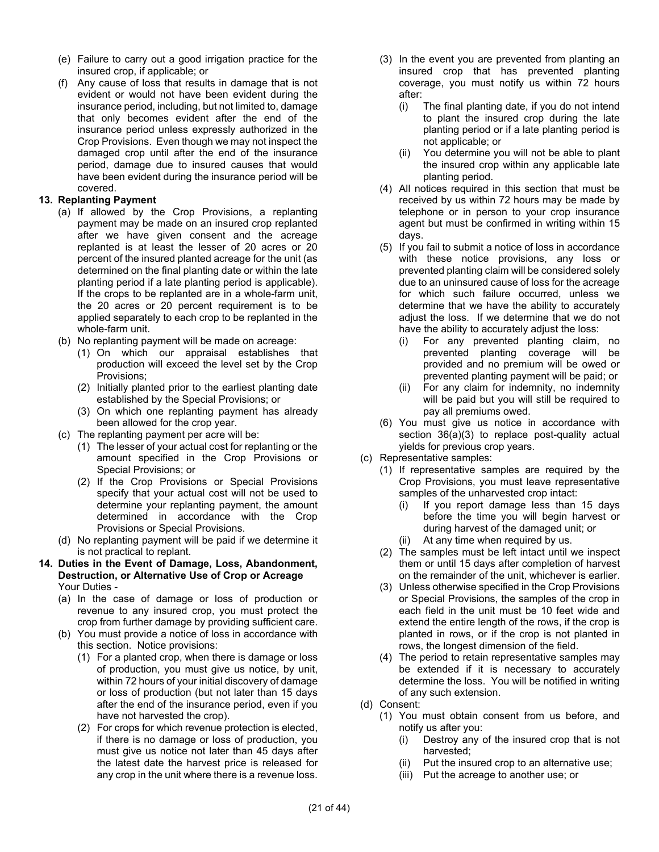- (e) Failure to carry out a good irrigation practice for the insured crop, if applicable; or
- (f) Any cause of loss that results in damage that is not evident or would not have been evident during the insurance period, including, but not limited to, damage that only becomes evident after the end of the insurance period unless expressly authorized in the Crop Provisions. Even though we may not inspect the damaged crop until after the end of the insurance period, damage due to insured causes that would have been evident during the insurance period will be covered.

## **13. Replanting Payment**

- (a) If allowed by the Crop Provisions, a replanting payment may be made on an insured crop replanted after we have given consent and the acreage replanted is at least the lesser of 20 acres or 20 percent of the insured planted acreage for the unit (as determined on the final planting date or within the late planting period if a late planting period is applicable). If the crops to be replanted are in a whole-farm unit, the 20 acres or 20 percent requirement is to be applied separately to each crop to be replanted in the whole-farm unit.
- (b) No replanting payment will be made on acreage:
	- (1) On which our appraisal establishes that production will exceed the level set by the Crop Provisions;
	- (2) Initially planted prior to the earliest planting date established by the Special Provisions; or
	- (3) On which one replanting payment has already been allowed for the crop year.
- (c) The replanting payment per acre will be:
	- (1) The lesser of your actual cost for replanting or the amount specified in the Crop Provisions or Special Provisions; or
	- (2) If the Crop Provisions or Special Provisions specify that your actual cost will not be used to determine your replanting payment, the amount determined in accordance with the Crop Provisions or Special Provisions.
- (d) No replanting payment will be paid if we determine it is not practical to replant.
- **14. Duties in the Event of Damage, Loss, Abandonment, Destruction, or Alternative Use of Crop or Acreage** Your Duties -
	- (a) In the case of damage or loss of production or revenue to any insured crop, you must protect the crop from further damage by providing sufficient care.
	- (b) You must provide a notice of loss in accordance with this section. Notice provisions:
		- (1) For a planted crop, when there is damage or loss of production, you must give us notice, by unit, within 72 hours of your initial discovery of damage or loss of production (but not later than 15 days after the end of the insurance period, even if you have not harvested the crop).
		- (2) For crops for which revenue protection is elected, if there is no damage or loss of production, you must give us notice not later than 45 days after the latest date the harvest price is released for any crop in the unit where there is a revenue loss.
- (3) In the event you are prevented from planting an insured crop that has prevented planting coverage, you must notify us within 72 hours after:
	- (i) The final planting date, if you do not intend to plant the insured crop during the late planting period or if a late planting period is not applicable; or
	- (ii) You determine you will not be able to plant the insured crop within any applicable late planting period.
- (4) All notices required in this section that must be received by us within 72 hours may be made by telephone or in person to your crop insurance agent but must be confirmed in writing within 15 days.
- (5) If you fail to submit a notice of loss in accordance with these notice provisions, any loss or prevented planting claim will be considered solely due to an uninsured cause of loss for the acreage for which such failure occurred, unless we determine that we have the ability to accurately adjust the loss. If we determine that we do not have the ability to accurately adjust the loss:
	- (i) For any prevented planting claim, no prevented planting coverage will be provided and no premium will be owed or prevented planting payment will be paid; or
	- (ii) For any claim for indemnity, no indemnity will be paid but you will still be required to pay all premiums owed.
- (6) You must give us notice in accordance with section 36(a)(3) to replace post-quality actual yields for previous crop years.
- (c) Representative samples:
	- (1) If representative samples are required by the Crop Provisions, you must leave representative samples of the unharvested crop intact:
		- (i) If you report damage less than 15 days before the time you will begin harvest or during harvest of the damaged unit; or
		- (ii) At any time when required by us.
	- (2) The samples must be left intact until we inspect them or until 15 days after completion of harvest on the remainder of the unit, whichever is earlier.
	- (3) Unless otherwise specified in the Crop Provisions or Special Provisions, the samples of the crop in each field in the unit must be 10 feet wide and extend the entire length of the rows, if the crop is planted in rows, or if the crop is not planted in rows, the longest dimension of the field.
	- (4) The period to retain representative samples may be extended if it is necessary to accurately determine the loss. You will be notified in writing of any such extension.
- (d) Consent:
	- (1) You must obtain consent from us before, and notify us after you:
		- (i) Destroy any of the insured crop that is not harvested;
		- (ii) Put the insured crop to an alternative use;
		- (iii) Put the acreage to another use; or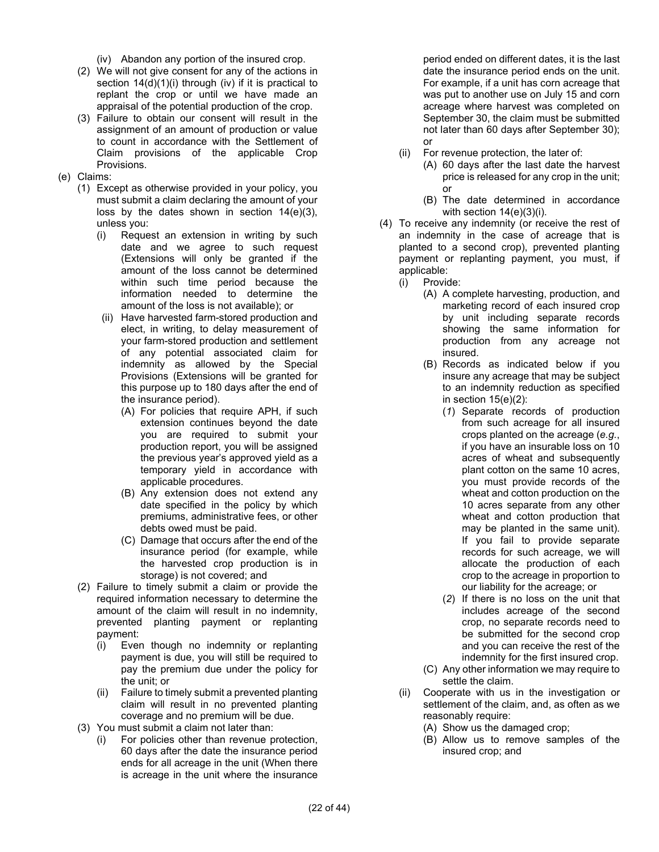(iv) Abandon any portion of the insured crop.

- (2) We will not give consent for any of the actions in section  $14(d)(1)(i)$  through (iv) if it is practical to replant the crop or until we have made an appraisal of the potential production of the crop.
- (3) Failure to obtain our consent will result in the assignment of an amount of production or value to count in accordance with the Settlement of Claim provisions of the applicable Crop Provisions.
- (e) Claims:
	- (1) Except as otherwise provided in your policy, you must submit a claim declaring the amount of your loss by the dates shown in section 14(e)(3), unless you:
		- (i) Request an extension in writing by such date and we agree to such request (Extensions will only be granted if the amount of the loss cannot be determined within such time period because the information needed to determine the amount of the loss is not available); or
		- (ii) Have harvested farm-stored production and elect, in writing, to delay measurement of your farm-stored production and settlement of any potential associated claim for indemnity as allowed by the Special Provisions (Extensions will be granted for this purpose up to 180 days after the end of the insurance period).
			- (A) For policies that require APH, if such extension continues beyond the date you are required to submit your production report, you will be assigned the previous year's approved yield as a temporary yield in accordance with applicable procedures.
			- (B) Any extension does not extend any date specified in the policy by which premiums, administrative fees, or other debts owed must be paid.
			- (C) Damage that occurs after the end of the insurance period (for example, while the harvested crop production is in storage) is not covered; and
	- (2) Failure to timely submit a claim or provide the required information necessary to determine the amount of the claim will result in no indemnity, prevented planting payment or replanting payment:
		- (i) Even though no indemnity or replanting payment is due, you will still be required to pay the premium due under the policy for the unit; or
		- (ii) Failure to timely submit a prevented planting claim will result in no prevented planting coverage and no premium will be due.
	- (3) You must submit a claim not later than:
		- (i) For policies other than revenue protection, 60 days after the date the insurance period ends for all acreage in the unit (When there is acreage in the unit where the insurance

period ended on different dates, it is the last date the insurance period ends on the unit. For example, if a unit has corn acreage that was put to another use on July 15 and corn acreage where harvest was completed on September 30, the claim must be submitted not later than 60 days after September 30); or

- (ii) For revenue protection, the later of:
	- (A) 60 days after the last date the harvest price is released for any crop in the unit; or
	- (B) The date determined in accordance with section 14(e)(3)(i).
- (4) To receive any indemnity (or receive the rest of an indemnity in the case of acreage that is planted to a second crop), prevented planting payment or replanting payment, you must, if applicable:
	- (i) Provide:
		- (A) A complete harvesting, production, and marketing record of each insured crop by unit including separate records showing the same information for production from any acreage not insured.
		- (B) Records as indicated below if you insure any acreage that may be subject to an indemnity reduction as specified in section  $15(e)(2)$ :
			- (*1*) Separate records of production from such acreage for all insured crops planted on the acreage (*e.g.*, if you have an insurable loss on 10 acres of wheat and subsequently plant cotton on the same 10 acres, you must provide records of the wheat and cotton production on the 10 acres separate from any other wheat and cotton production that may be planted in the same unit). If you fail to provide separate records for such acreage, we will allocate the production of each crop to the acreage in proportion to our liability for the acreage; or
			- (*2*) If there is no loss on the unit that includes acreage of the second crop, no separate records need to be submitted for the second crop and you can receive the rest of the indemnity for the first insured crop.
		- (C) Any other information we may require to settle the claim.
	- (ii) Cooperate with us in the investigation or settlement of the claim, and, as often as we reasonably require:
		- (A) Show us the damaged crop;
		- (B) Allow us to remove samples of the insured crop; and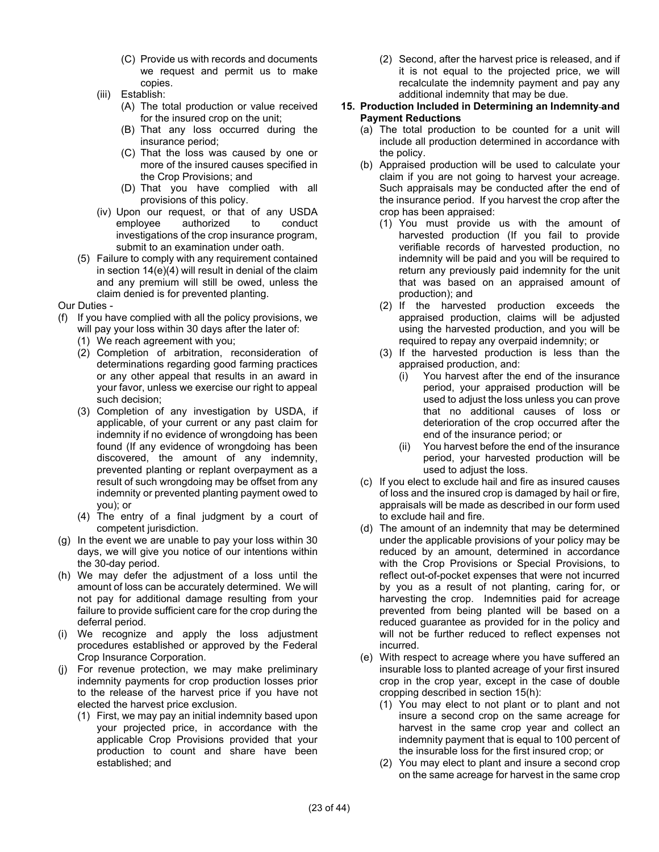- (C) Provide us with records and documents we request and permit us to make copies.
- (iii) Establish:
	- (A) The total production or value received for the insured crop on the unit;
	- (B) That any loss occurred during the insurance period;
	- (C) That the loss was caused by one or more of the insured causes specified in the Crop Provisions; and
	- (D) That you have complied with all provisions of this policy.
- (iv) Upon our request, or that of any USDA employee authorized to conduct investigations of the crop insurance program, submit to an examination under oath.
- (5) Failure to comply with any requirement contained in section 14(e)(4) will result in denial of the claim and any premium will still be owed, unless the claim denied is for prevented planting.

Our Duties -

- (f) If you have complied with all the policy provisions, we will pay your loss within 30 days after the later of:
	- (1) We reach agreement with you;
	- (2) Completion of arbitration, reconsideration of determinations regarding good farming practices or any other appeal that results in an award in your favor, unless we exercise our right to appeal such decision;
	- (3) Completion of any investigation by USDA, if applicable, of your current or any past claim for indemnity if no evidence of wrongdoing has been found (If any evidence of wrongdoing has been discovered, the amount of any indemnity, prevented planting or replant overpayment as a result of such wrongdoing may be offset from any indemnity or prevented planting payment owed to you); or
	- (4) The entry of a final judgment by a court of competent jurisdiction.
- (g) In the event we are unable to pay your loss within 30 days, we will give you notice of our intentions within the 30-day period.
- (h) We may defer the adjustment of a loss until the amount of loss can be accurately determined. We will not pay for additional damage resulting from your failure to provide sufficient care for the crop during the deferral period.
- (i) We recognize and apply the loss adjustment procedures established or approved by the Federal Crop Insurance Corporation.
- (j) For revenue protection, we may make preliminary indemnity payments for crop production losses prior to the release of the harvest price if you have not elected the harvest price exclusion.
	- (1) First, we may pay an initial indemnity based upon your projected price, in accordance with the applicable Crop Provisions provided that your production to count and share have been established; and

(2) Second, after the harvest price is released, and if it is not equal to the projected price, we will recalculate the indemnity payment and pay any additional indemnity that may be due.

## **15. Production Included in Determining an Indemnity and Payment Reductions**

- (a) The total production to be counted for a unit will include all production determined in accordance with the policy.
- (b) Appraised production will be used to calculate your claim if you are not going to harvest your acreage. Such appraisals may be conducted after the end of the insurance period. If you harvest the crop after the crop has been appraised:
	- (1) You must provide us with the amount of harvested production (If you fail to provide verifiable records of harvested production, no indemnity will be paid and you will be required to return any previously paid indemnity for the unit that was based on an appraised amount of production); and
	- (2) If the harvested production exceeds the appraised production, claims will be adjusted using the harvested production, and you will be required to repay any overpaid indemnity; or
	- (3) If the harvested production is less than the appraised production, and:
		- (i) You harvest after the end of the insurance period, your appraised production will be used to adjust the loss unless you can prove that no additional causes of loss or deterioration of the crop occurred after the end of the insurance period; or
		- (ii) You harvest before the end of the insurance period, your harvested production will be used to adjust the loss.
- (c) If you elect to exclude hail and fire as insured causes of loss and the insured crop is damaged by hail or fire, appraisals will be made as described in our form used to exclude hail and fire.
- (d) The amount of an indemnity that may be determined under the applicable provisions of your policy may be reduced by an amount, determined in accordance with the Crop Provisions or Special Provisions, to reflect out-of-pocket expenses that were not incurred by you as a result of not planting, caring for, or harvesting the crop. Indemnities paid for acreage prevented from being planted will be based on a reduced guarantee as provided for in the policy and will not be further reduced to reflect expenses not incurred.
- (e) With respect to acreage where you have suffered an insurable loss to planted acreage of your first insured crop in the crop year, except in the case of double cropping described in section 15(h):
	- (1) You may elect to not plant or to plant and not insure a second crop on the same acreage for harvest in the same crop year and collect an indemnity payment that is equal to 100 percent of the insurable loss for the first insured crop; or
	- (2) You may elect to plant and insure a second crop on the same acreage for harvest in the same crop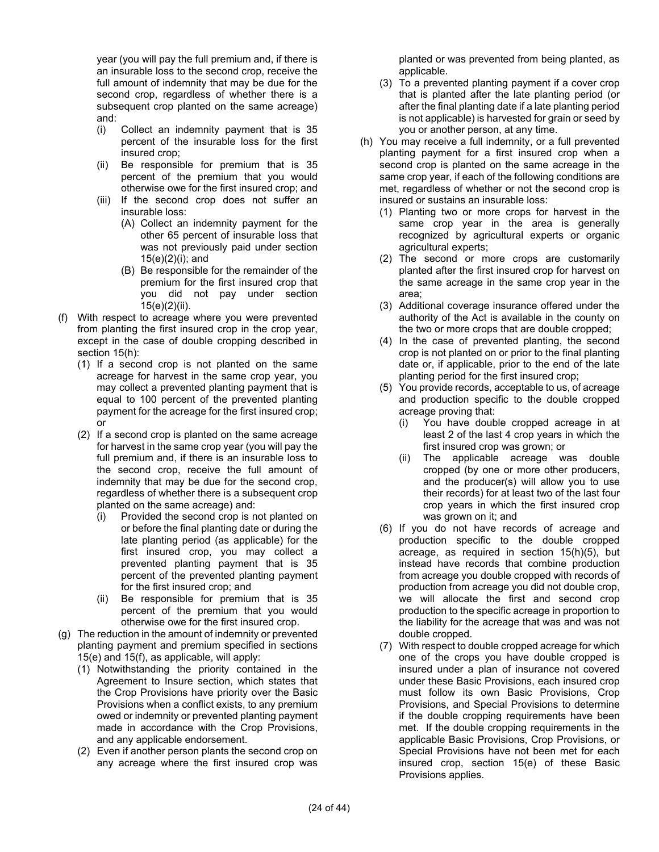year (you will pay the full premium and, if there is an insurable loss to the second crop, receive the full amount of indemnity that may be due for the second crop, regardless of whether there is a subsequent crop planted on the same acreage) and:

- (i) Collect an indemnity payment that is 35 percent of the insurable loss for the first insured crop;
- (ii) Be responsible for premium that is 35 percent of the premium that you would otherwise owe for the first insured crop; and
- (iii) If the second crop does not suffer an insurable loss:
	- (A) Collect an indemnity payment for the other 65 percent of insurable loss that was not previously paid under section 15(e)(2)(i); and
	- (B) Be responsible for the remainder of the premium for the first insured crop that you did not pay under section 15(e)(2)(ii).
- (f) With respect to acreage where you were prevented from planting the first insured crop in the crop year, except in the case of double cropping described in section 15(h):
	- (1) If a second crop is not planted on the same acreage for harvest in the same crop year, you may collect a prevented planting payment that is equal to 100 percent of the prevented planting payment for the acreage for the first insured crop; or
	- (2) If a second crop is planted on the same acreage for harvest in the same crop year (you will pay the full premium and, if there is an insurable loss to the second crop, receive the full amount of indemnity that may be due for the second crop, regardless of whether there is a subsequent crop planted on the same acreage) and:
		- (i) Provided the second crop is not planted on or before the final planting date or during the late planting period (as applicable) for the first insured crop, you may collect a prevented planting payment that is 35 percent of the prevented planting payment for the first insured crop; and
		- (ii) Be responsible for premium that is 35 percent of the premium that you would otherwise owe for the first insured crop.
- (g) The reduction in the amount of indemnity or prevented planting payment and premium specified in sections 15(e) and 15(f), as applicable, will apply:
	- (1) Notwithstanding the priority contained in the Agreement to Insure section, which states that the Crop Provisions have priority over the Basic Provisions when a conflict exists, to any premium owed or indemnity or prevented planting payment made in accordance with the Crop Provisions, and any applicable endorsement.
	- (2) Even if another person plants the second crop on any acreage where the first insured crop was

planted or was prevented from being planted, as applicable.

- (3) To a prevented planting payment if a cover crop that is planted after the late planting period (or after the final planting date if a late planting period is not applicable) is harvested for grain or seed by you or another person, at any time.
- (h) You may receive a full indemnity, or a full prevented planting payment for a first insured crop when a second crop is planted on the same acreage in the same crop year, if each of the following conditions are met, regardless of whether or not the second crop is insured or sustains an insurable loss:
	- (1) Planting two or more crops for harvest in the same crop year in the area is generally recognized by agricultural experts or organic agricultural experts;
	- (2) The second or more crops are customarily planted after the first insured crop for harvest on the same acreage in the same crop year in the area;
	- (3) Additional coverage insurance offered under the authority of the Act is available in the county on the two or more crops that are double cropped;
	- (4) In the case of prevented planting, the second crop is not planted on or prior to the final planting date or, if applicable, prior to the end of the late planting period for the first insured crop;
	- (5) You provide records, acceptable to us, of acreage and production specific to the double cropped acreage proving that:
		- (i) You have double cropped acreage in at least 2 of the last 4 crop years in which the first insured crop was grown; or
		- (ii) The applicable acreage was double cropped (by one or more other producers, and the producer(s) will allow you to use their records) for at least two of the last four crop years in which the first insured crop was grown on it; and
	- (6) If you do not have records of acreage and production specific to the double cropped acreage, as required in section 15(h)(5), but instead have records that combine production from acreage you double cropped with records of production from acreage you did not double crop, we will allocate the first and second crop production to the specific acreage in proportion to the liability for the acreage that was and was not double cropped.
	- (7) With respect to double cropped acreage for which one of the crops you have double cropped is insured under a plan of insurance not covered under these Basic Provisions, each insured crop must follow its own Basic Provisions, Crop Provisions, and Special Provisions to determine if the double cropping requirements have been met. If the double cropping requirements in the applicable Basic Provisions, Crop Provisions, or Special Provisions have not been met for each insured crop, section 15(e) of these Basic Provisions applies.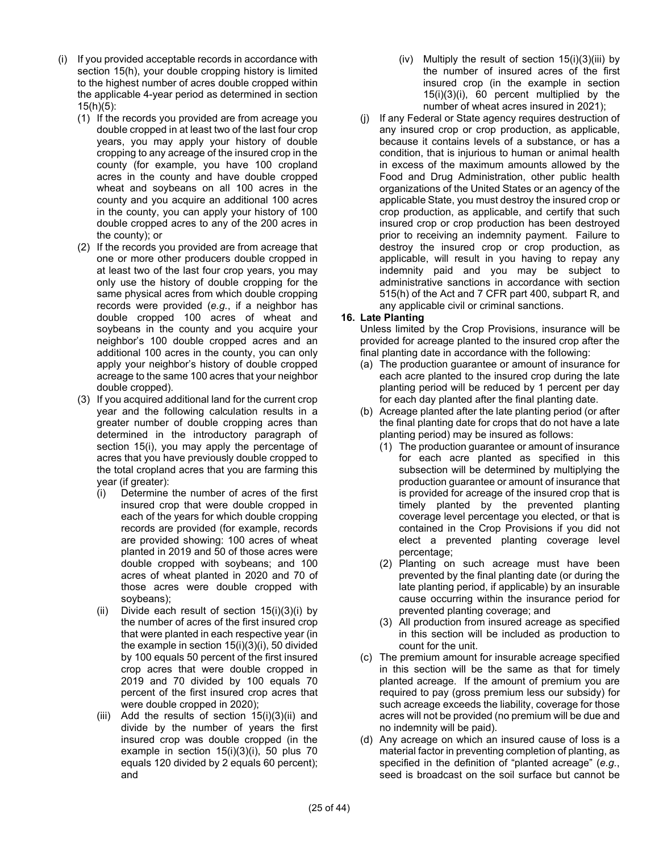- (i) If you provided acceptable records in accordance with section 15(h), your double cropping history is limited to the highest number of acres double cropped within the applicable 4-year period as determined in section 15(h)(5):
	- (1) If the records you provided are from acreage you double cropped in at least two of the last four crop years, you may apply your history of double cropping to any acreage of the insured crop in the county (for example, you have 100 cropland acres in the county and have double cropped wheat and soybeans on all 100 acres in the county and you acquire an additional 100 acres in the county, you can apply your history of 100 double cropped acres to any of the 200 acres in the county); or
	- (2) If the records you provided are from acreage that one or more other producers double cropped in at least two of the last four crop years, you may only use the history of double cropping for the same physical acres from which double cropping records were provided (*e.g.*, if a neighbor has double cropped 100 acres of wheat and soybeans in the county and you acquire your neighbor's 100 double cropped acres and an additional 100 acres in the county, you can only apply your neighbor's history of double cropped acreage to the same 100 acres that your neighbor double cropped).
	- (3) If you acquired additional land for the current crop year and the following calculation results in a greater number of double cropping acres than determined in the introductory paragraph of section 15(i), you may apply the percentage of acres that you have previously double cropped to the total cropland acres that you are farming this year (if greater):
		- (i) Determine the number of acres of the first insured crop that were double cropped in each of the years for which double cropping records are provided (for example, records are provided showing: 100 acres of wheat planted in 2019 and 50 of those acres were double cropped with soybeans; and 100 acres of wheat planted in 2020 and 70 of those acres were double cropped with soybeans);
		- (ii) Divide each result of section  $15(i)(3)(i)$  by the number of acres of the first insured crop that were planted in each respective year (in the example in section 15(i)(3)(i), 50 divided by 100 equals 50 percent of the first insured crop acres that were double cropped in 2019 and 70 divided by 100 equals 70 percent of the first insured crop acres that were double cropped in 2020);
		- (iii) Add the results of section  $15(i)(3)(ii)$  and divide by the number of years the first insured crop was double cropped (in the example in section 15(i)(3)(i), 50 plus 70 equals 120 divided by 2 equals 60 percent); and
- (iv) Multiply the result of section  $15(i)(3)(iii)$  by the number of insured acres of the first insured crop (in the example in section 15(i)(3)(i), 60 percent multiplied by the number of wheat acres insured in 2021);
- (j) If any Federal or State agency requires destruction of any insured crop or crop production, as applicable, because it contains levels of a substance, or has a condition, that is injurious to human or animal health in excess of the maximum amounts allowed by the Food and Drug Administration, other public health organizations of the United States or an agency of the applicable State, you must destroy the insured crop or crop production, as applicable, and certify that such insured crop or crop production has been destroyed prior to receiving an indemnity payment. Failure to destroy the insured crop or crop production, as applicable, will result in you having to repay any indemnity paid and you may be subject to administrative sanctions in accordance with section 515(h) of the Act and 7 CFR part 400, subpart R, and any applicable civil or criminal sanctions.

## **16. Late Planting**

Unless limited by the Crop Provisions, insurance will be provided for acreage planted to the insured crop after the final planting date in accordance with the following:

- (a) The production guarantee or amount of insurance for each acre planted to the insured crop during the late planting period will be reduced by 1 percent per day for each day planted after the final planting date.
- (b) Acreage planted after the late planting period (or after the final planting date for crops that do not have a late planting period) may be insured as follows:
	- (1) The production guarantee or amount of insurance for each acre planted as specified in this subsection will be determined by multiplying the production guarantee or amount of insurance that is provided for acreage of the insured crop that is timely planted by the prevented planting coverage level percentage you elected, or that is contained in the Crop Provisions if you did not elect a prevented planting coverage level percentage;
	- (2) Planting on such acreage must have been prevented by the final planting date (or during the late planting period, if applicable) by an insurable cause occurring within the insurance period for prevented planting coverage; and
	- (3) All production from insured acreage as specified in this section will be included as production to count for the unit.
- (c) The premium amount for insurable acreage specified in this section will be the same as that for timely planted acreage. If the amount of premium you are required to pay (gross premium less our subsidy) for such acreage exceeds the liability, coverage for those acres will not be provided (no premium will be due and no indemnity will be paid).
- (d) Any acreage on which an insured cause of loss is a material factor in preventing completion of planting, as specified in the definition of "planted acreage" (*e.g.*, seed is broadcast on the soil surface but cannot be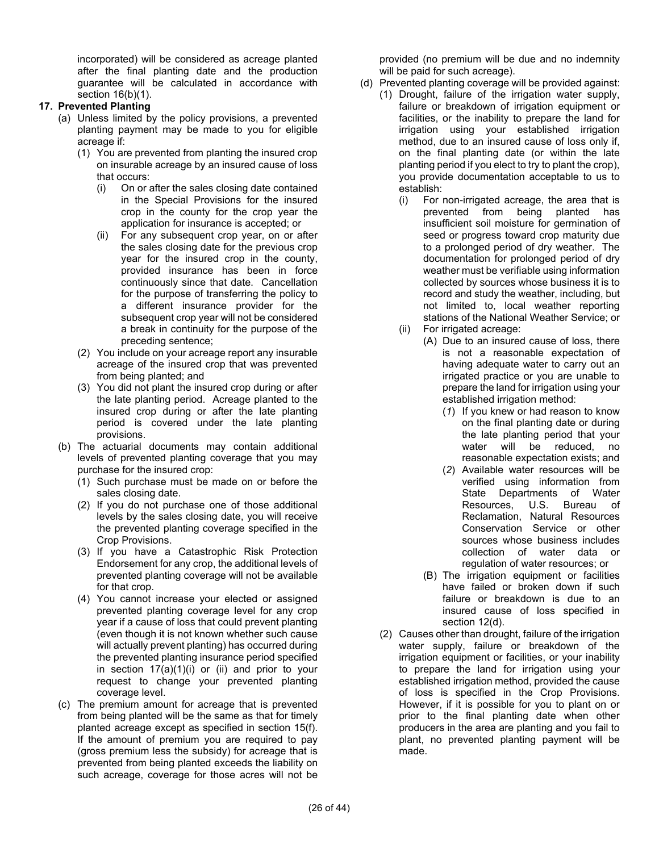incorporated) will be considered as acreage planted after the final planting date and the production guarantee will be calculated in accordance with section 16(b)(1).

## **17. Prevented Planting**

- (a) Unless limited by the policy provisions, a prevented planting payment may be made to you for eligible acreage if:
	- (1) You are prevented from planting the insured crop on insurable acreage by an insured cause of loss that occurs:
		- (i) On or after the sales closing date contained in the Special Provisions for the insured crop in the county for the crop year the application for insurance is accepted; or
		- (ii) For any subsequent crop year, on or after the sales closing date for the previous crop year for the insured crop in the county, provided insurance has been in force continuously since that date. Cancellation for the purpose of transferring the policy to a different insurance provider for the subsequent crop year will not be considered a break in continuity for the purpose of the preceding sentence;
	- (2) You include on your acreage report any insurable acreage of the insured crop that was prevented from being planted; and
	- (3) You did not plant the insured crop during or after the late planting period. Acreage planted to the insured crop during or after the late planting period is covered under the late planting provisions.
- (b) The actuarial documents may contain additional levels of prevented planting coverage that you may purchase for the insured crop:
	- (1) Such purchase must be made on or before the sales closing date.
	- (2) If you do not purchase one of those additional levels by the sales closing date, you will receive the prevented planting coverage specified in the Crop Provisions.
	- (3) If you have a Catastrophic Risk Protection Endorsement for any crop, the additional levels of prevented planting coverage will not be available for that crop.
	- (4) You cannot increase your elected or assigned prevented planting coverage level for any crop year if a cause of loss that could prevent planting (even though it is not known whether such cause will actually prevent planting) has occurred during the prevented planting insurance period specified in section  $17(a)(1)(i)$  or (ii) and prior to your request to change your prevented planting coverage level.
- (c) The premium amount for acreage that is prevented from being planted will be the same as that for timely planted acreage except as specified in section 15(f). If the amount of premium you are required to pay (gross premium less the subsidy) for acreage that is prevented from being planted exceeds the liability on such acreage, coverage for those acres will not be

provided (no premium will be due and no indemnity will be paid for such acreage).

- (d) Prevented planting coverage will be provided against:
	- (1) Drought, failure of the irrigation water supply, failure or breakdown of irrigation equipment or facilities, or the inability to prepare the land for irrigation using your established irrigation method, due to an insured cause of loss only if, on the final planting date (or within the late planting period if you elect to try to plant the crop), you provide documentation acceptable to us to establish:
		- (i) For non-irrigated acreage, the area that is prevented from being planted has insufficient soil moisture for germination of seed or progress toward crop maturity due to a prolonged period of dry weather. The documentation for prolonged period of dry weather must be verifiable using information collected by sources whose business it is to record and study the weather, including, but not limited to, local weather reporting stations of the National Weather Service; or
		- (ii) For irrigated acreage:
			- (A) Due to an insured cause of loss, there is not a reasonable expectation of having adequate water to carry out an irrigated practice or you are unable to prepare the land for irrigation using your established irrigation method:
				- (*1*) If you knew or had reason to know on the final planting date or during the late planting period that your water will be reduced, no reasonable expectation exists; and
				- (*2*) Available water resources will be verified using information from State Departments of Water Resources, U.S. Bureau of Reclamation, Natural Resources Conservation Service or other sources whose business includes collection of water data or regulation of water resources; or
			- (B) The irrigation equipment or facilities have failed or broken down if such failure or breakdown is due to an insured cause of loss specified in section 12(d).
	- (2) Causes other than drought, failure of the irrigation water supply, failure or breakdown of the irrigation equipment or facilities, or your inability to prepare the land for irrigation using your established irrigation method, provided the cause of loss is specified in the Crop Provisions. However, if it is possible for you to plant on or prior to the final planting date when other producers in the area are planting and you fail to plant, no prevented planting payment will be made.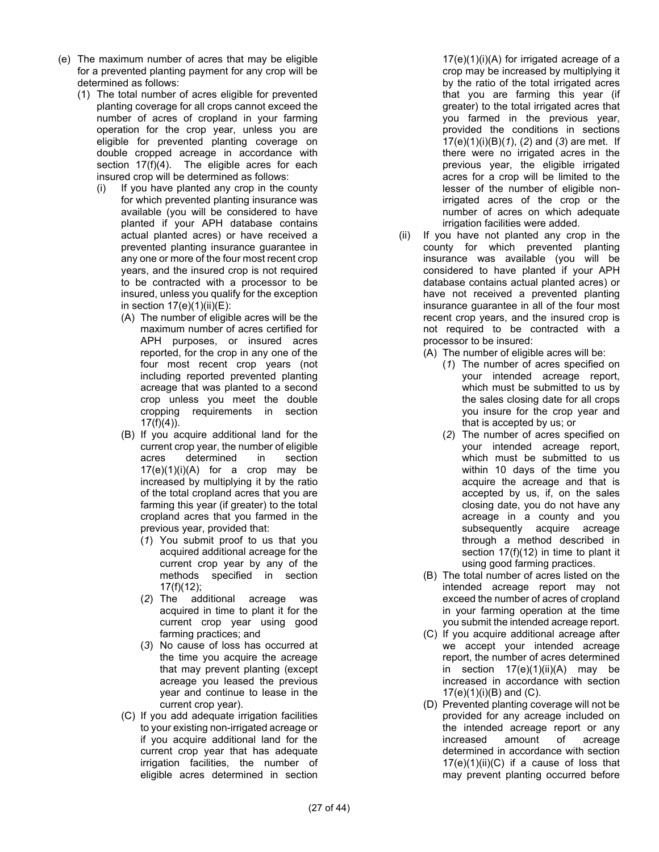- (e) The maximum number of acres that may be eligible for a prevented planting payment for any crop will be determined as follows:
	- (1) The total number of acres eligible for prevented planting coverage for all crops cannot exceed the number of acres of cropland in your farming operation for the crop year, unless you are eligible for prevented planting coverage on double cropped acreage in accordance with section 17(f)(4). The eligible acres for each insured crop will be determined as follows:
		- (i) If you have planted any crop in the county for which prevented planting insurance was available (you will be considered to have planted if your APH database contains actual planted acres) or have received a prevented planting insurance guarantee in any one or more of the four most recent crop years, and the insured crop is not required to be contracted with a processor to be insured, unless you qualify for the exception in section  $17(e)(1)(ii)(E)$ :
			- (A) The number of eligible acres will be the maximum number of acres certified for APH purposes, or insured acres reported, for the crop in any one of the four most recent crop years (not including reported prevented planting acreage that was planted to a second crop unless you meet the double cropping requirements in section  $17(f)(4)$ ).
			- (B) If you acquire additional land for the current crop year, the number of eligible acres determined in section  $17(e)(1)(i)(A)$  for a crop may be increased by multiplying it by the ratio of the total cropland acres that you are farming this year (if greater) to the total cropland acres that you farmed in the previous year, provided that:
				- (*1*) You submit proof to us that you acquired additional acreage for the current crop year by any of the methods specified in section  $17(f)(12)$ ;
				- (*2*) The additional acreage was acquired in time to plant it for the current crop year using good farming practices; and
				- (*3*) No cause of loss has occurred at the time you acquire the acreage that may prevent planting (except acreage you leased the previous year and continue to lease in the current crop year).
			- (C) If you add adequate irrigation facilities to your existing non-irrigated acreage or if you acquire additional land for the current crop year that has adequate irrigation facilities, the number of eligible acres determined in section

17(e)(1)(i)(A) for irrigated acreage of a crop may be increased by multiplying it by the ratio of the total irrigated acres that you are farming this year (if greater) to the total irrigated acres that you farmed in the previous year, provided the conditions in sections 17(e)(1)(i)(B)(*1*), (*2*) and (*3*) are met. If there were no irrigated acres in the previous year, the eligible irrigated acres for a crop will be limited to the lesser of the number of eligible nonirrigated acres of the crop or the number of acres on which adequate irrigation facilities were added.

- (ii) If you have not planted any crop in the county for which prevented planting insurance was available (you will be considered to have planted if your APH database contains actual planted acres) or have not received a prevented planting insurance guarantee in all of the four most recent crop years, and the insured crop is not required to be contracted with a processor to be insured:
	- (A) The number of eligible acres will be:
		- (*1*) The number of acres specified on your intended acreage report, which must be submitted to us by the sales closing date for all crops you insure for the crop year and that is accepted by us; or
		- (*2*) The number of acres specified on your intended acreage report, which must be submitted to us within 10 days of the time you acquire the acreage and that is accepted by us, if, on the sales closing date, you do not have any acreage in a county and you subsequently acquire acreage through a method described in section 17(f)(12) in time to plant it using good farming practices.
	- (B) The total number of acres listed on the intended acreage report may not exceed the number of acres of cropland in your farming operation at the time you submit the intended acreage report.
	- (C) If you acquire additional acreage after we accept your intended acreage report, the number of acres determined in section  $17(e)(1)(ii)(A)$  may be increased in accordance with section  $17(e)(1)(i)(B)$  and  $(C)$ .
	- (D) Prevented planting coverage will not be provided for any acreage included on the intended acreage report or any increased amount of acreage determined in accordance with section  $17(e)(1)(ii)(C)$  if a cause of loss that may prevent planting occurred before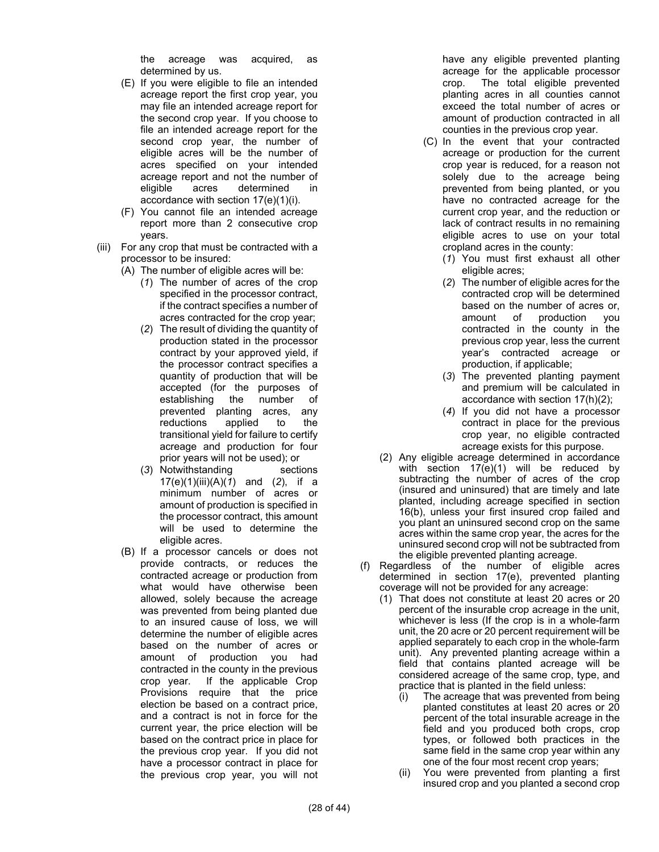the acreage was acquired, as determined by us.

- (E) If you were eligible to file an intended acreage report the first crop year, you may file an intended acreage report for the second crop year. If you choose to file an intended acreage report for the second crop year, the number of eligible acres will be the number of acres specified on your intended acreage report and not the number of eligible acres determined in accordance with section 17(e)(1)(i).
- (F) You cannot file an intended acreage report more than 2 consecutive crop years.
- (iii) For any crop that must be contracted with a processor to be insured:
	- (A) The number of eligible acres will be:
		- (*1*) The number of acres of the crop specified in the processor contract, if the contract specifies a number of acres contracted for the crop year;
		- (*2*) The result of dividing the quantity of production stated in the processor contract by your approved yield, if the processor contract specifies a quantity of production that will be accepted (for the purposes of establishing the number of prevented planting acres, any reductions applied to the transitional yield for failure to certify acreage and production for four prior years will not be used); or
		- (*3*) Notwithstanding sections 17(e)(1)(iii)(A)(*1*) and (*2*), if a minimum number of acres or amount of production is specified in the processor contract, this amount will be used to determine the eligible acres.
	- (B) If a processor cancels or does not provide contracts, or reduces the contracted acreage or production from what would have otherwise been allowed, solely because the acreage was prevented from being planted due to an insured cause of loss, we will determine the number of eligible acres based on the number of acres or amount of production you had contracted in the county in the previous crop year. If the applicable Crop Provisions require that the price election be based on a contract price, and a contract is not in force for the current year, the price election will be based on the contract price in place for the previous crop year. If you did not have a processor contract in place for the previous crop year, you will not

have any eligible prevented planting acreage for the applicable processor crop. The total eligible prevented planting acres in all counties cannot exceed the total number of acres or amount of production contracted in all counties in the previous crop year.

- (C) In the event that your contracted acreage or production for the current crop year is reduced, for a reason not solely due to the acreage being prevented from being planted, or you have no contracted acreage for the current crop year, and the reduction or lack of contract results in no remaining eligible acres to use on your total cropland acres in the county:
	- (*1*) You must first exhaust all other eligible acres;
	- (*2*) The number of eligible acres for the contracted crop will be determined based on the number of acres or, amount of production you contracted in the county in the previous crop year, less the current year's contracted acreage or production, if applicable;
	- (*3*) The prevented planting payment and premium will be calculated in accordance with section 17(h)(2);
	- (*4*) If you did not have a processor contract in place for the previous crop year, no eligible contracted acreage exists for this purpose.
- (2) Any eligible acreage determined in accordance with section 17(e)(1) will be reduced by subtracting the number of acres of the crop (insured and uninsured) that are timely and late planted, including acreage specified in section 16(b), unless your first insured crop failed and you plant an uninsured second crop on the same acres within the same crop year, the acres for the uninsured second crop will not be subtracted from the eligible prevented planting acreage.
- (f) Regardless of the number of eligible acres determined in section 17(e), prevented planting coverage will not be provided for any acreage:
	- (1) That does not constitute at least 20 acres or 20 percent of the insurable crop acreage in the unit, whichever is less (If the crop is in a whole-farm unit, the 20 acre or 20 percent requirement will be applied separately to each crop in the whole-farm unit). Any prevented planting acreage within a field that contains planted acreage will be considered acreage of the same crop, type, and practice that is planted in the field unless:
		- (i) The acreage that was prevented from being planted constitutes at least 20 acres or 20 percent of the total insurable acreage in the field and you produced both crops, crop types, or followed both practices in the same field in the same crop year within any one of the four most recent crop years;
		- (ii) You were prevented from planting a first insured crop and you planted a second crop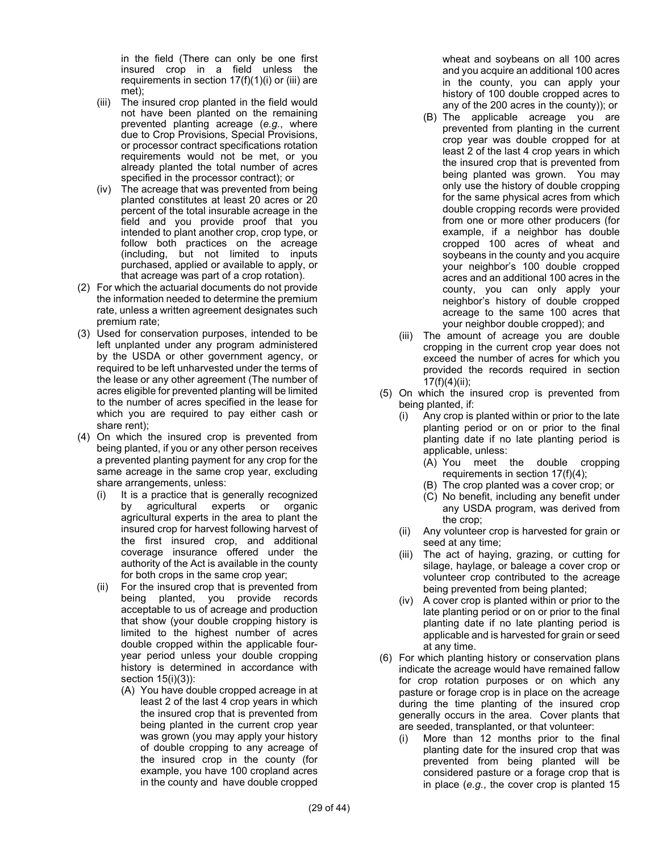in the field (There can only be one first insured crop in a field unless the requirements in section  $17(f)(1)(i)$  or (iii) are met);

- (iii) The insured crop planted in the field would not have been planted on the remaining prevented planting acreage (*e.g.*, where due to Crop Provisions, Special Provisions, or processor contract specifications rotation requirements would not be met, or you already planted the total number of acres specified in the processor contract); or
- (iv) The acreage that was prevented from being planted constitutes at least 20 acres or 20 percent of the total insurable acreage in the field and you provide proof that you intended to plant another crop, crop type, or follow both practices on the acreage (including, but not limited to inputs purchased, applied or available to apply, or that acreage was part of a crop rotation).
- (2) For which the actuarial documents do not provide the information needed to determine the premium rate, unless a written agreement designates such premium rate;
- (3) Used for conservation purposes, intended to be left unplanted under any program administered by the USDA or other government agency, or required to be left unharvested under the terms of the lease or any other agreement (The number of acres eligible for prevented planting will be limited to the number of acres specified in the lease for which you are required to pay either cash or share rent);
- (4) On which the insured crop is prevented from being planted, if you or any other person receives a prevented planting payment for any crop for the same acreage in the same crop year, excluding share arrangements, unless:
	- (i) It is a practice that is generally recognized by agricultural experts or organic agricultural experts in the area to plant the insured crop for harvest following harvest of the first insured crop, and additional coverage insurance offered under the authority of the Act is available in the county for both crops in the same crop year;
	- (ii) For the insured crop that is prevented from being planted, you provide records acceptable to us of acreage and production that show (your double cropping history is limited to the highest number of acres double cropped within the applicable fouryear period unless your double cropping history is determined in accordance with section 15(i)(3)):
		- (A) You have double cropped acreage in at least 2 of the last 4 crop years in which the insured crop that is prevented from being planted in the current crop year was grown (you may apply your history of double cropping to any acreage of the insured crop in the county (for example, you have 100 cropland acres in the county and have double cropped

wheat and soybeans on all 100 acres and you acquire an additional 100 acres in the county, you can apply your history of 100 double cropped acres to any of the 200 acres in the county)); or

- (B) The applicable acreage you are prevented from planting in the current crop year was double cropped for at least 2 of the last 4 crop years in which the insured crop that is prevented from being planted was grown. You may only use the history of double cropping for the same physical acres from which double cropping records were provided from one or more other producers (for example, if a neighbor has double cropped 100 acres of wheat and soybeans in the county and you acquire your neighbor's 100 double cropped acres and an additional 100 acres in the county, you can only apply your neighbor's history of double cropped acreage to the same 100 acres that your neighbor double cropped); and
- (iii) The amount of acreage you are double cropping in the current crop year does not exceed the number of acres for which you provided the records required in section  $17(f)(4)(ii);$
- (5) On which the insured crop is prevented from being planted, if:
	- (i) Any crop is planted within or prior to the late planting period or on or prior to the final planting date if no late planting period is applicable, unless:
		- (A) You meet the double cropping requirements in section 17(f)(4);
		- (B) The crop planted was a cover crop; or
		- (C) No benefit, including any benefit under any USDA program, was derived from the crop;
	- (ii) Any volunteer crop is harvested for grain or seed at any time;
	- (iii) The act of haying, grazing, or cutting for silage, haylage, or baleage a cover crop or volunteer crop contributed to the acreage being prevented from being planted;
	- (iv) A cover crop is planted within or prior to the late planting period or on or prior to the final planting date if no late planting period is applicable and is harvested for grain or seed at any time.
- (6) For which planting history or conservation plans indicate the acreage would have remained fallow for crop rotation purposes or on which any pasture or forage crop is in place on the acreage during the time planting of the insured crop generally occurs in the area. Cover plants that are seeded, transplanted, or that volunteer:
	- (i) More than 12 months prior to the final planting date for the insured crop that was prevented from being planted will be considered pasture or a forage crop that is in place (*e.g.*, the cover crop is planted 15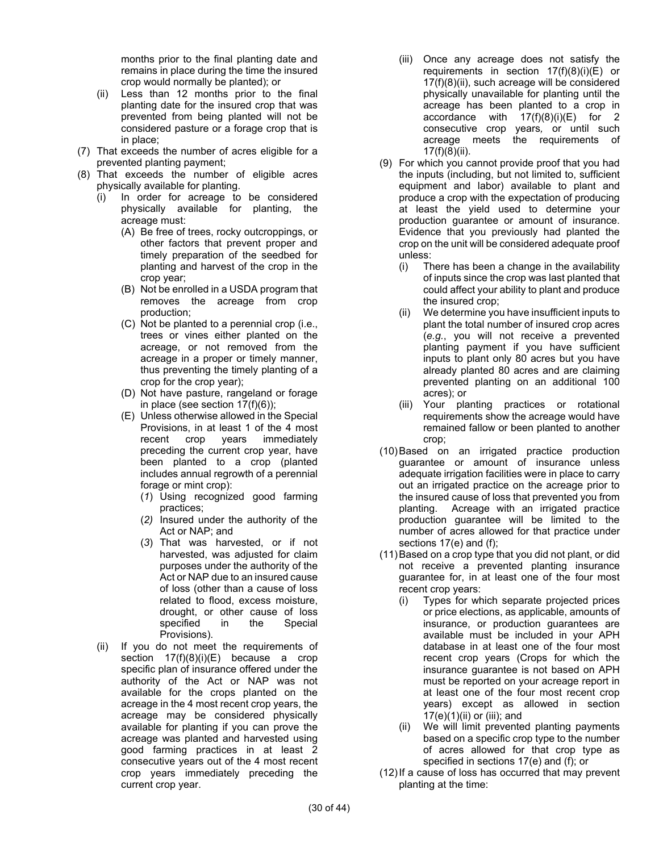months prior to the final planting date and remains in place during the time the insured crop would normally be planted); or

- (ii) Less than 12 months prior to the final planting date for the insured crop that was prevented from being planted will not be considered pasture or a forage crop that is in place;
- (7) That exceeds the number of acres eligible for a prevented planting payment;
- (8) That exceeds the number of eligible acres physically available for planting.
	- (i) In order for acreage to be considered physically available for planting, the acreage must:
		- (A) Be free of trees, rocky outcroppings, or other factors that prevent proper and timely preparation of the seedbed for planting and harvest of the crop in the crop year;
		- (B) Not be enrolled in a USDA program that removes the acreage from crop production;
		- (C) Not be planted to a perennial crop (i.e., trees or vines either planted on the acreage, or not removed from the acreage in a proper or timely manner, thus preventing the timely planting of a crop for the crop year);
		- (D) Not have pasture, rangeland or forage in place (see section  $17(f)(6)$ );
		- (E) Unless otherwise allowed in the Special Provisions, in at least 1 of the 4 most recent crop years immediately preceding the current crop year, have been planted to a crop (planted includes annual regrowth of a perennial forage or mint crop):
			- (*1*) Using recognized good farming practices;
			- (*2)* Insured under the authority of the Act or NAP; and
			- (*3*) That was harvested, or if not harvested, was adjusted for claim purposes under the authority of the Act or NAP due to an insured cause of loss (other than a cause of loss related to flood, excess moisture, drought, or other cause of loss specified in the Special Provisions).
	- (ii) If you do not meet the requirements of section 17(f)(8)(i)(E) because a crop specific plan of insurance offered under the authority of the Act or NAP was not available for the crops planted on the acreage in the 4 most recent crop years, the acreage may be considered physically available for planting if you can prove the acreage was planted and harvested using good farming practices in at least 2 consecutive years out of the 4 most recent crop years immediately preceding the current crop year.
- (iii) Once any acreage does not satisfy the requirements in section 17(f)(8)(i)(E) or 17(f)(8)(ii), such acreage will be considered physically unavailable for planting until the acreage has been planted to a crop in accordance with 17(f)(8)(i)(E) for 2 consecutive crop years*,* or until such acreage meets the requirements of 17(f)(8)(ii).
- (9) For which you cannot provide proof that you had the inputs (including, but not limited to, sufficient equipment and labor) available to plant and produce a crop with the expectation of producing at least the yield used to determine your production guarantee or amount of insurance. Evidence that you previously had planted the crop on the unit will be considered adequate proof unless:
	- (i) There has been a change in the availability of inputs since the crop was last planted that could affect your ability to plant and produce the insured crop;
	- (ii) We determine you have insufficient inputs to plant the total number of insured crop acres (*e.g.*, you will not receive a prevented planting payment if you have sufficient inputs to plant only 80 acres but you have already planted 80 acres and are claiming prevented planting on an additional 100 acres); or
	- (iii) Your planting practices or rotational requirements show the acreage would have remained fallow or been planted to another crop;
- (10)Based on an irrigated practice production guarantee or amount of insurance unless adequate irrigation facilities were in place to carry out an irrigated practice on the acreage prior to the insured cause of loss that prevented you from planting. Acreage with an irrigated practice production guarantee will be limited to the number of acres allowed for that practice under sections 17(e) and (f);
- (11)Based on a crop type that you did not plant, or did not receive a prevented planting insurance guarantee for, in at least one of the four most recent crop years:
	- (i) Types for which separate projected prices or price elections, as applicable, amounts of insurance, or production guarantees are available must be included in your APH database in at least one of the four most recent crop years (Crops for which the insurance guarantee is not based on APH must be reported on your acreage report in at least one of the four most recent crop years) except as allowed in section 17(e)(1)(ii) or (iii); and
	- (ii) We will limit prevented planting payments based on a specific crop type to the number of acres allowed for that crop type as specified in sections 17(e) and (f); or
- (12)If a cause of loss has occurred that may prevent planting at the time: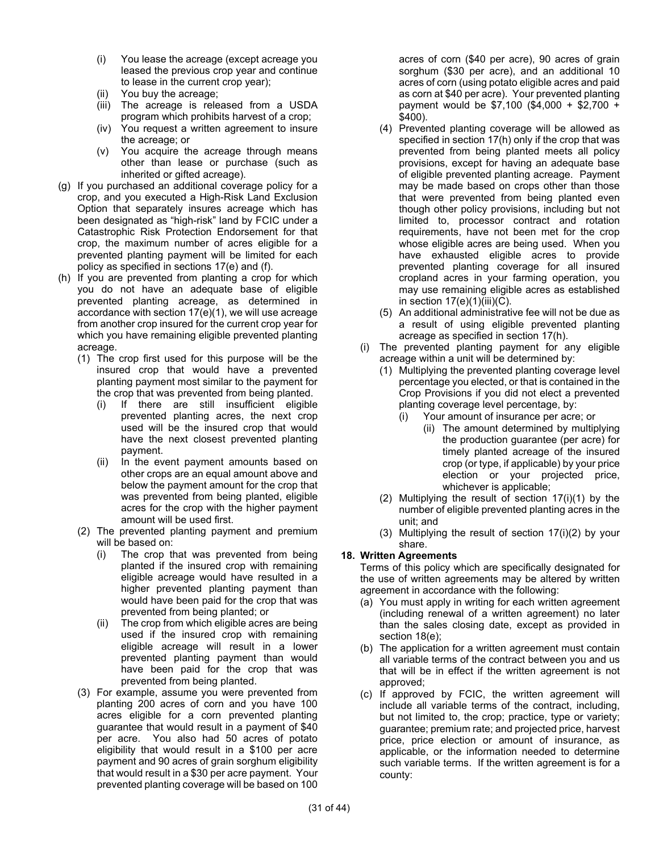- (i) You lease the acreage (except acreage you leased the previous crop year and continue to lease in the current crop year);
- (ii) You buy the acreage;
- (iii) The acreage is released from a USDA program which prohibits harvest of a crop;
- (iv) You request a written agreement to insure the acreage; or
- (v) You acquire the acreage through means other than lease or purchase (such as inherited or gifted acreage).
- (g) If you purchased an additional coverage policy for a crop, and you executed a High-Risk Land Exclusion Option that separately insures acreage which has been designated as "high-risk" land by FCIC under a Catastrophic Risk Protection Endorsement for that crop, the maximum number of acres eligible for a prevented planting payment will be limited for each policy as specified in sections 17(e) and (f).
- (h) If you are prevented from planting a crop for which you do not have an adequate base of eligible prevented planting acreage, as determined in accordance with section 17(e)(1), we will use acreage from another crop insured for the current crop year for which you have remaining eligible prevented planting acreage.
	- (1) The crop first used for this purpose will be the insured crop that would have a prevented planting payment most similar to the payment for the crop that was prevented from being planted.
		- (i) If there are still insufficient eligible prevented planting acres, the next crop used will be the insured crop that would have the next closest prevented planting payment.
		- (ii) In the event payment amounts based on other crops are an equal amount above and below the payment amount for the crop that was prevented from being planted, eligible acres for the crop with the higher payment amount will be used first.
	- (2) The prevented planting payment and premium will be based on:
		- (i) The crop that was prevented from being planted if the insured crop with remaining eligible acreage would have resulted in a higher prevented planting payment than would have been paid for the crop that was prevented from being planted; or
		- (ii) The crop from which eligible acres are being used if the insured crop with remaining eligible acreage will result in a lower prevented planting payment than would have been paid for the crop that was prevented from being planted.
	- (3) For example, assume you were prevented from planting 200 acres of corn and you have 100 acres eligible for a corn prevented planting guarantee that would result in a payment of \$40 per acre. You also had 50 acres of potato eligibility that would result in a \$100 per acre payment and 90 acres of grain sorghum eligibility that would result in a \$30 per acre payment. Your prevented planting coverage will be based on 100

acres of corn (\$40 per acre), 90 acres of grain sorghum (\$30 per acre), and an additional 10 acres of corn (using potato eligible acres and paid as corn at \$40 per acre). Your prevented planting payment would be \$7,100 (\$4,000 + \$2,700 + \$400).

- (4) Prevented planting coverage will be allowed as specified in section 17(h) only if the crop that was prevented from being planted meets all policy provisions, except for having an adequate base of eligible prevented planting acreage. Payment may be made based on crops other than those that were prevented from being planted even though other policy provisions, including but not limited to, processor contract and rotation requirements, have not been met for the crop whose eligible acres are being used. When you have exhausted eligible acres to provide prevented planting coverage for all insured cropland acres in your farming operation, you may use remaining eligible acres as established in section  $17(e)(1)(iii)(C)$ .
- (5) An additional administrative fee will not be due as a result of using eligible prevented planting acreage as specified in section 17(h).
- (i) The prevented planting payment for any eligible acreage within a unit will be determined by:
	- (1) Multiplying the prevented planting coverage level percentage you elected, or that is contained in the Crop Provisions if you did not elect a prevented planting coverage level percentage, by:
		- (i) Your amount of insurance per acre; or
			- (ii) The amount determined by multiplying the production guarantee (per acre) for timely planted acreage of the insured crop (or type, if applicable) by your price election or your projected price, whichever is applicable;
	- (2) Multiplying the result of section 17(i)(1) by the number of eligible prevented planting acres in the unit; and
	- (3) Multiplying the result of section 17(i)(2) by your share.

## **18. Written Agreements**

Terms of this policy which are specifically designated for the use of written agreements may be altered by written agreement in accordance with the following:

- (a) You must apply in writing for each written agreement (including renewal of a written agreement) no later than the sales closing date, except as provided in section 18(e);
- (b) The application for a written agreement must contain all variable terms of the contract between you and us that will be in effect if the written agreement is not approved;
- (c) If approved by FCIC, the written agreement will include all variable terms of the contract, including, but not limited to, the crop; practice, type or variety; guarantee; premium rate; and projected price, harvest price, price election or amount of insurance, as applicable, or the information needed to determine such variable terms. If the written agreement is for a county: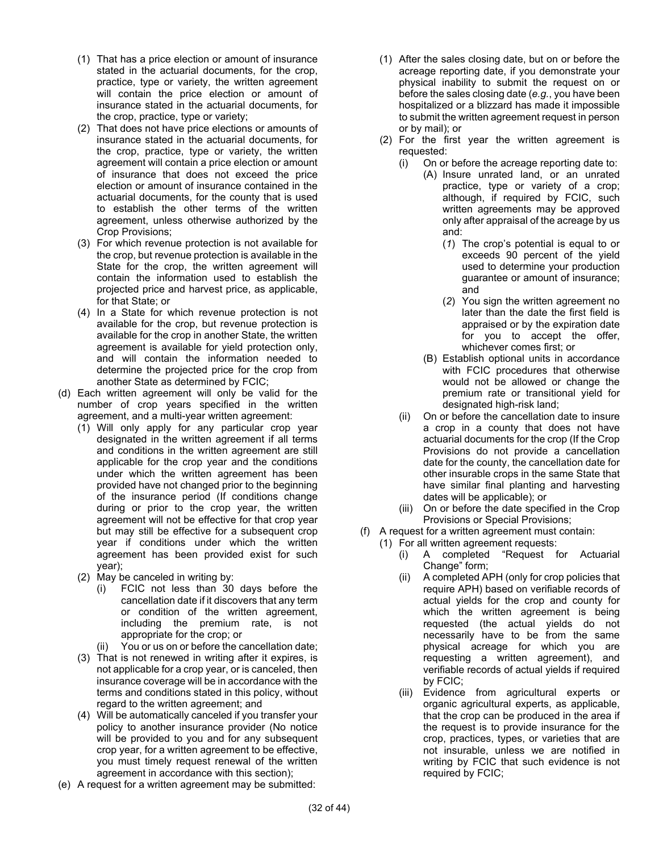- (1) That has a price election or amount of insurance stated in the actuarial documents, for the crop, practice, type or variety, the written agreement will contain the price election or amount of insurance stated in the actuarial documents, for the crop, practice, type or variety;
- (2) That does not have price elections or amounts of insurance stated in the actuarial documents, for the crop, practice, type or variety, the written agreement will contain a price election or amount of insurance that does not exceed the price election or amount of insurance contained in the actuarial documents, for the county that is used to establish the other terms of the written agreement, unless otherwise authorized by the Crop Provisions;
- (3) For which revenue protection is not available for the crop, but revenue protection is available in the State for the crop, the written agreement will contain the information used to establish the projected price and harvest price, as applicable, for that State; or
- (4) In a State for which revenue protection is not available for the crop, but revenue protection is available for the crop in another State, the written agreement is available for yield protection only, and will contain the information needed to determine the projected price for the crop from another State as determined by FCIC;
- (d) Each written agreement will only be valid for the number of crop years specified in the written agreement, and a multi-year written agreement:
	- (1) Will only apply for any particular crop year designated in the written agreement if all terms and conditions in the written agreement are still applicable for the crop year and the conditions under which the written agreement has been provided have not changed prior to the beginning of the insurance period (If conditions change during or prior to the crop year, the written agreement will not be effective for that crop year but may still be effective for a subsequent crop year if conditions under which the written agreement has been provided exist for such year);
	- (2) May be canceled in writing by:
		- (i) FCIC not less than 30 days before the cancellation date if it discovers that any term or condition of the written agreement, including the premium rate, is not appropriate for the crop; or
		- (ii) You or us on or before the cancellation date;
	- (3) That is not renewed in writing after it expires, is not applicable for a crop year, or is canceled, then insurance coverage will be in accordance with the terms and conditions stated in this policy, without regard to the written agreement; and
	- (4) Will be automatically canceled if you transfer your policy to another insurance provider (No notice will be provided to you and for any subsequent crop year, for a written agreement to be effective, you must timely request renewal of the written agreement in accordance with this section);
- (e) A request for a written agreement may be submitted:
- (1) After the sales closing date, but on or before the acreage reporting date, if you demonstrate your physical inability to submit the request on or before the sales closing date (*e.g.*, you have been hospitalized or a blizzard has made it impossible to submit the written agreement request in person or by mail); or
- (2) For the first year the written agreement is requested:
	- (i) On or before the acreage reporting date to:
		- (A) Insure unrated land, or an unrated practice, type or variety of a crop; although, if required by FCIC, such written agreements may be approved only after appraisal of the acreage by us and:
			- (*1*) The crop's potential is equal to or exceeds 90 percent of the yield used to determine your production guarantee or amount of insurance; and
			- (*2*) You sign the written agreement no later than the date the first field is appraised or by the expiration date for you to accept the offer, whichever comes first; or
		- (B) Establish optional units in accordance with FCIC procedures that otherwise would not be allowed or change the premium rate or transitional yield for designated high-risk land;
	- (ii) On or before the cancellation date to insure a crop in a county that does not have actuarial documents for the crop (If the Crop Provisions do not provide a cancellation date for the county, the cancellation date for other insurable crops in the same State that have similar final planting and harvesting dates will be applicable); or
	- (iii) On or before the date specified in the Crop Provisions or Special Provisions;
- (f) A request for a written agreement must contain:
	- (1) For all written agreement requests:
		- (i) A completed "Request for Actuarial Change" form;
		- (ii) A completed APH (only for crop policies that require APH) based on verifiable records of actual yields for the crop and county for which the written agreement is being requested (the actual yields do not necessarily have to be from the same physical acreage for which you are requesting a written agreement), and verifiable records of actual yields if required by FCIC;
		- (iii) Evidence from agricultural experts or organic agricultural experts, as applicable, that the crop can be produced in the area if the request is to provide insurance for the crop, practices, types, or varieties that are not insurable, unless we are notified in writing by FCIC that such evidence is not required by FCIC;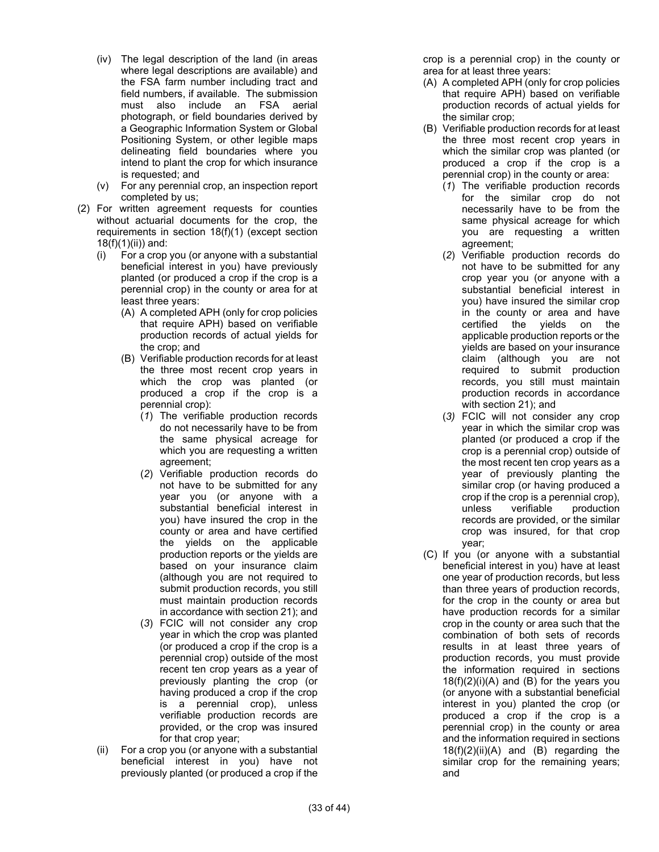- (iv) The legal description of the land (in areas where legal descriptions are available) and the FSA farm number including tract and field numbers, if available. The submission must also include an FSA aerial photograph, or field boundaries derived by a Geographic Information System or Global Positioning System, or other legible maps delineating field boundaries where you intend to plant the crop for which insurance is requested; and
- (v) For any perennial crop, an inspection report completed by us;
- (2) For written agreement requests for counties without actuarial documents for the crop, the requirements in section 18(f)(1) (except section 18(f)(1)(ii)) and:
	- (i) For a crop you (or anyone with a substantial beneficial interest in you) have previously planted (or produced a crop if the crop is a perennial crop) in the county or area for at least three years:
		- (A) A completed APH (only for crop policies that require APH) based on verifiable production records of actual yields for the crop; and
		- (B) Verifiable production records for at least the three most recent crop years in which the crop was planted (or produced a crop if the crop is a perennial crop):
			- (*1*) The verifiable production records do not necessarily have to be from the same physical acreage for which you are requesting a written agreement;
			- (*2*) Verifiable production records do not have to be submitted for any year you (or anyone with a substantial beneficial interest in you) have insured the crop in the county or area and have certified the yields on the applicable production reports or the yields are based on your insurance claim (although you are not required to submit production records, you still must maintain production records in accordance with section 21); and
			- (*3*) FCIC will not consider any crop year in which the crop was planted (or produced a crop if the crop is a perennial crop) outside of the most recent ten crop years as a year of previously planting the crop (or having produced a crop if the crop is a perennial crop), unless verifiable production records are provided, or the crop was insured for that crop year;
	- (ii) For a crop you (or anyone with a substantial beneficial interest in you) have not previously planted (or produced a crop if the

crop is a perennial crop) in the county or area for at least three years:

- (A) A completed APH (only for crop policies that require APH) based on verifiable production records of actual yields for the similar crop;
- (B) Verifiable production records for at least the three most recent crop years in which the similar crop was planted (or produced a crop if the crop is a perennial crop) in the county or area:
	- (*1*) The verifiable production records for the similar crop do not necessarily have to be from the same physical acreage for which you are requesting a written agreement;
	- (*2*) Verifiable production records do not have to be submitted for any crop year you (or anyone with a substantial beneficial interest in you) have insured the similar crop in the county or area and have certified the yields on the applicable production reports or the yields are based on your insurance claim (although you are not required to submit production records, you still must maintain production records in accordance with section 21); and
	- (*3)* FCIC will not consider any crop year in which the similar crop was planted (or produced a crop if the crop is a perennial crop) outside of the most recent ten crop years as a year of previously planting the similar crop (or having produced a crop if the crop is a perennial crop), unless verifiable production records are provided, or the similar crop was insured, for that crop year;
- (C) If you (or anyone with a substantial beneficial interest in you) have at least one year of production records, but less than three years of production records, for the crop in the county or area but have production records for a similar crop in the county or area such that the combination of both sets of records results in at least three years of production records, you must provide the information required in sections  $18(f)(2)(i)(A)$  and  $(B)$  for the years you (or anyone with a substantial beneficial interest in you) planted the crop (or produced a crop if the crop is a perennial crop) in the county or area and the information required in sections 18(f)(2)(ii)(A) and (B) regarding the similar crop for the remaining years; and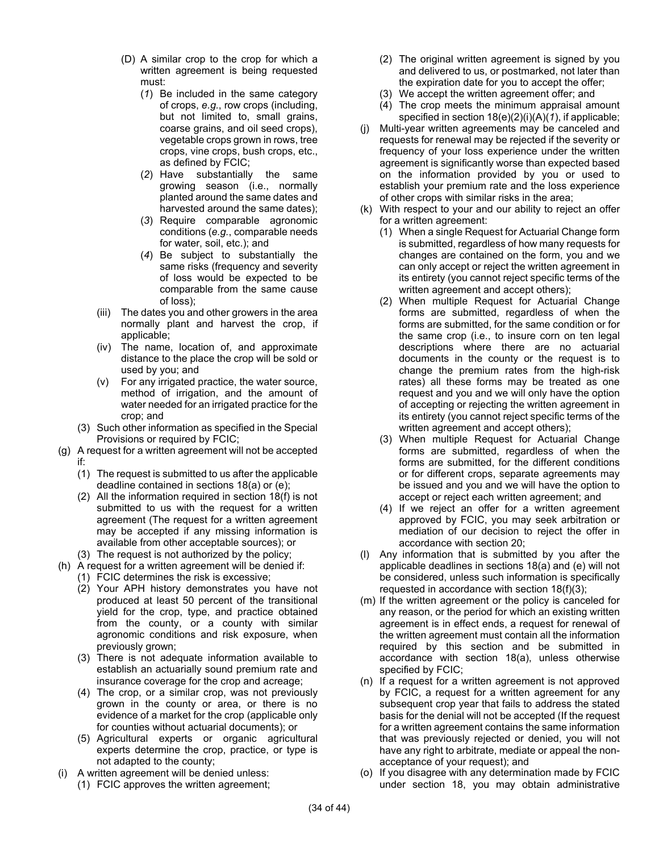- (D) A similar crop to the crop for which a written agreement is being requested must:
	- (*1*) Be included in the same category of crops, *e.g.*, row crops (including, but not limited to, small grains, coarse grains, and oil seed crops), vegetable crops grown in rows, tree crops, vine crops, bush crops, etc., as defined by FCIC;
	- (*2*) Have substantially the same growing season (i.e., normally planted around the same dates and harvested around the same dates);
	- (*3*) Require comparable agronomic conditions (*e.g.*, comparable needs for water, soil, etc.); and
	- (*4*) Be subject to substantially the same risks (frequency and severity of loss would be expected to be comparable from the same cause of loss);
- (iii) The dates you and other growers in the area normally plant and harvest the crop, if applicable;
- (iv) The name, location of, and approximate distance to the place the crop will be sold or used by you; and
- (v) For any irrigated practice, the water source, method of irrigation, and the amount of water needed for an irrigated practice for the crop; and
- (3) Such other information as specified in the Special Provisions or required by FCIC;
- (g) A request for a written agreement will not be accepted if:
	- (1) The request is submitted to us after the applicable deadline contained in sections 18(a) or (e);
	- (2) All the information required in section 18(f) is not submitted to us with the request for a written agreement (The request for a written agreement may be accepted if any missing information is available from other acceptable sources); or
	- (3) The request is not authorized by the policy;
- (h) A request for a written agreement will be denied if:
- (1) FCIC determines the risk is excessive;
	- (2) Your APH history demonstrates you have not produced at least 50 percent of the transitional yield for the crop, type, and practice obtained from the county, or a county with similar agronomic conditions and risk exposure, when previously grown;
	- (3) There is not adequate information available to establish an actuarially sound premium rate and insurance coverage for the crop and acreage;
	- (4) The crop, or a similar crop, was not previously grown in the county or area, or there is no evidence of a market for the crop (applicable only for counties without actuarial documents); or
	- (5) Agricultural experts or organic agricultural experts determine the crop, practice, or type is not adapted to the county;
- (i) A written agreement will be denied unless:
	- (1) FCIC approves the written agreement;
- (2) The original written agreement is signed by you and delivered to us, or postmarked, not later than the expiration date for you to accept the offer;
- (3) We accept the written agreement offer; and
- (4) The crop meets the minimum appraisal amount specified in section 18(e)(2)(i)(A)(*1*), if applicable;
- (j) Multi-year written agreements may be canceled and requests for renewal may be rejected if the severity or frequency of your loss experience under the written agreement is significantly worse than expected based on the information provided by you or used to establish your premium rate and the loss experience of other crops with similar risks in the area;
- (k) With respect to your and our ability to reject an offer for a written agreement:
	- (1) When a single Request for Actuarial Change form is submitted, regardless of how many requests for changes are contained on the form, you and we can only accept or reject the written agreement in its entirety (you cannot reject specific terms of the written agreement and accept others);
	- (2) When multiple Request for Actuarial Change forms are submitted, regardless of when the forms are submitted, for the same condition or for the same crop (i.e., to insure corn on ten legal descriptions where there are no actuarial documents in the county or the request is to change the premium rates from the high-risk rates) all these forms may be treated as one request and you and we will only have the option of accepting or rejecting the written agreement in its entirety (you cannot reject specific terms of the written agreement and accept others);
	- (3) When multiple Request for Actuarial Change forms are submitted, regardless of when the forms are submitted, for the different conditions or for different crops, separate agreements may be issued and you and we will have the option to accept or reject each written agreement; and
	- (4) If we reject an offer for a written agreement approved by FCIC, you may seek arbitration or mediation of our decision to reject the offer in accordance with section 20;
- (l) Any information that is submitted by you after the applicable deadlines in sections 18(a) and (e) will not be considered, unless such information is specifically requested in accordance with section 18(f)(3);
- (m) If the written agreement or the policy is canceled for any reason, or the period for which an existing written agreement is in effect ends, a request for renewal of the written agreement must contain all the information required by this section and be submitted in accordance with section 18(a), unless otherwise specified by FCIC;
- (n) If a request for a written agreement is not approved by FCIC, a request for a written agreement for any subsequent crop year that fails to address the stated basis for the denial will not be accepted (If the request for a written agreement contains the same information that was previously rejected or denied, you will not have any right to arbitrate, mediate or appeal the nonacceptance of your request); and
- (o) If you disagree with any determination made by FCIC under section 18, you may obtain administrative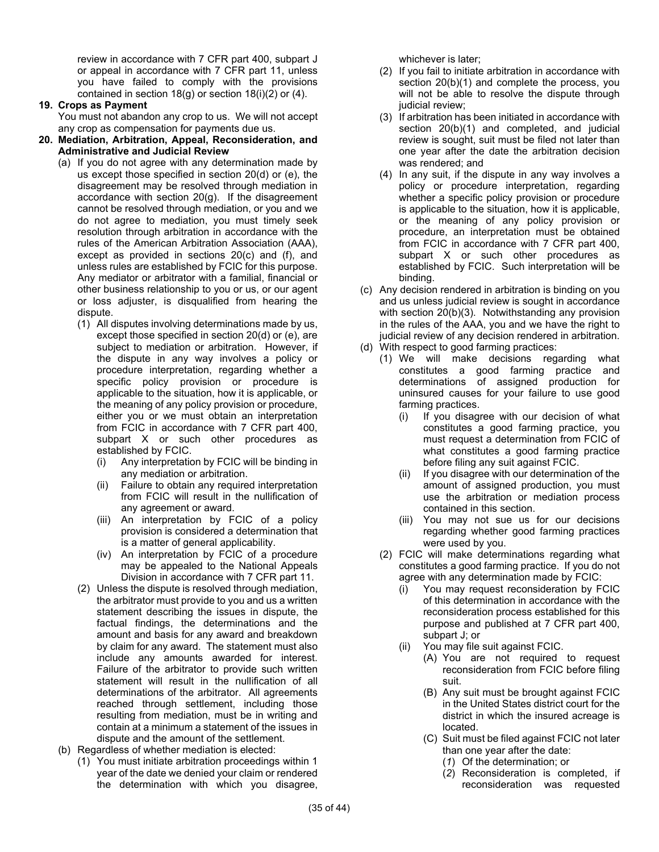review in accordance with 7 CFR part 400, subpart J or appeal in accordance with 7 CFR part 11, unless you have failed to comply with the provisions contained in section 18(g) or section 18(i)(2) or (4).

## **19. Crops as Payment**

You must not abandon any crop to us. We will not accept any crop as compensation for payments due us.

- **20. Mediation, Arbitration, Appeal, Reconsideration, and Administrative and Judicial Review**
	- (a) If you do not agree with any determination made by us except those specified in section 20(d) or (e), the disagreement may be resolved through mediation in accordance with section 20(g). If the disagreement cannot be resolved through mediation, or you and we do not agree to mediation, you must timely seek resolution through arbitration in accordance with the rules of the American Arbitration Association (AAA), except as provided in sections 20(c) and (f), and unless rules are established by FCIC for this purpose. Any mediator or arbitrator with a familial, financial or other business relationship to you or us, or our agent or loss adjuster, is disqualified from hearing the dispute.
		- (1) All disputes involving determinations made by us, except those specified in section 20(d) or (e), are subject to mediation or arbitration. However, if the dispute in any way involves a policy or procedure interpretation, regarding whether a specific policy provision or procedure is applicable to the situation, how it is applicable, or the meaning of any policy provision or procedure, either you or we must obtain an interpretation from FCIC in accordance with 7 CFR part 400, subpart X or such other procedures as established by FCIC.
			- (i) Any interpretation by FCIC will be binding in any mediation or arbitration.
			- (ii) Failure to obtain any required interpretation from FCIC will result in the nullification of any agreement or award.
			- (iii) An interpretation by FCIC of a policy provision is considered a determination that is a matter of general applicability.
			- (iv) An interpretation by FCIC of a procedure may be appealed to the National Appeals Division in accordance with 7 CFR part 11.
		- (2) Unless the dispute is resolved through mediation, the arbitrator must provide to you and us a written statement describing the issues in dispute, the factual findings, the determinations and the amount and basis for any award and breakdown by claim for any award. The statement must also include any amounts awarded for interest. Failure of the arbitrator to provide such written statement will result in the nullification of all determinations of the arbitrator. All agreements reached through settlement, including those resulting from mediation, must be in writing and contain at a minimum a statement of the issues in dispute and the amount of the settlement.
	- (b) Regardless of whether mediation is elected:
		- (1) You must initiate arbitration proceedings within 1 year of the date we denied your claim or rendered the determination with which you disagree,

whichever is later;

- (2) If you fail to initiate arbitration in accordance with section 20(b)(1) and complete the process, you will not be able to resolve the dispute through judicial review;
- (3) If arbitration has been initiated in accordance with section 20(b)(1) and completed, and judicial review is sought, suit must be filed not later than one year after the date the arbitration decision was rendered; and
- (4) In any suit, if the dispute in any way involves a policy or procedure interpretation, regarding whether a specific policy provision or procedure is applicable to the situation, how it is applicable, or the meaning of any policy provision or procedure, an interpretation must be obtained from FCIC in accordance with 7 CFR part 400, subpart X or such other procedures as established by FCIC. Such interpretation will be binding.
- (c) Any decision rendered in arbitration is binding on you and us unless judicial review is sought in accordance with section 20(b)(3). Notwithstanding any provision in the rules of the AAA, you and we have the right to judicial review of any decision rendered in arbitration.
- (d) With respect to good farming practices:
	- (1) We will make decisions regarding what constitutes a good farming practice and determinations of assigned production for uninsured causes for your failure to use good farming practices.
		- (i) If you disagree with our decision of what constitutes a good farming practice, you must request a determination from FCIC of what constitutes a good farming practice before filing any suit against FCIC.
		- (ii) If you disagree with our determination of the amount of assigned production, you must use the arbitration or mediation process contained in this section.
		- (iii) You may not sue us for our decisions regarding whether good farming practices were used by you.
	- (2) FCIC will make determinations regarding what constitutes a good farming practice. If you do not agree with any determination made by FCIC:
		- (i) You may request reconsideration by FCIC of this determination in accordance with the reconsideration process established for this purpose and published at 7 CFR part 400, subpart J; or
		- (ii) You may file suit against FCIC.
			- (A) You are not required to request reconsideration from FCIC before filing suit.
			- (B) Any suit must be brought against FCIC in the United States district court for the district in which the insured acreage is located.
			- (C) Suit must be filed against FCIC not later than one year after the date:
				- (*1*) Of the determination; or
				- (*2*) Reconsideration is completed, if reconsideration was requested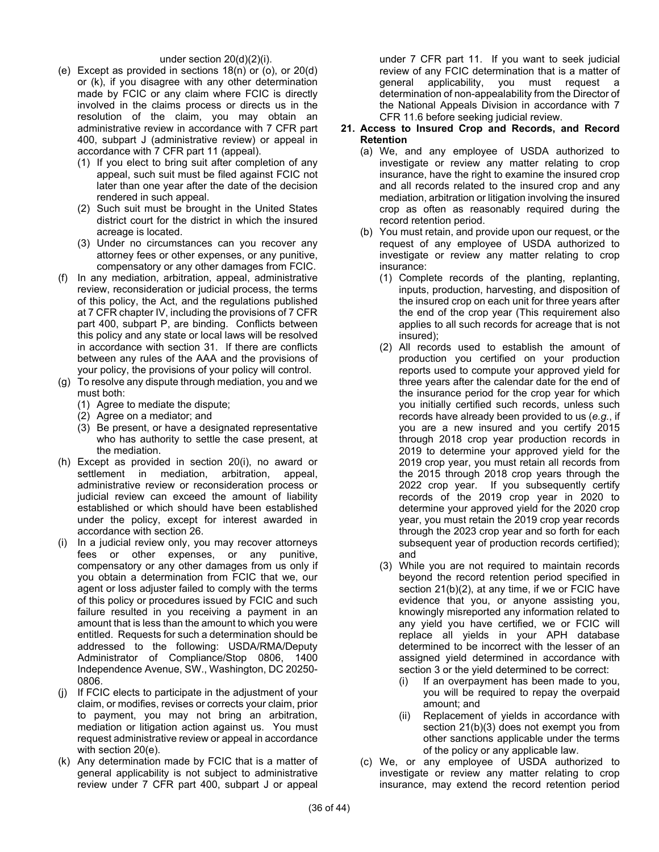#### under section 20(d)(2)(i).

- (e) Except as provided in sections 18(n) or (o), or 20(d) or (k), if you disagree with any other determination made by FCIC or any claim where FCIC is directly involved in the claims process or directs us in the resolution of the claim, you may obtain an administrative review in accordance with 7 CFR part 400, subpart J (administrative review) or appeal in accordance with 7 CFR part 11 (appeal).
	- (1) If you elect to bring suit after completion of any appeal, such suit must be filed against FCIC not later than one year after the date of the decision rendered in such appeal.
	- (2) Such suit must be brought in the United States district court for the district in which the insured acreage is located.
	- (3) Under no circumstances can you recover any attorney fees or other expenses, or any punitive, compensatory or any other damages from FCIC.
- (f) In any mediation, arbitration, appeal, administrative review, reconsideration or judicial process, the terms of this policy, the Act, and the regulations published at 7 CFR chapter IV, including the provisions of 7 CFR part 400, subpart P, are binding. Conflicts between this policy and any state or local laws will be resolved in accordance with section 31. If there are conflicts between any rules of the AAA and the provisions of your policy, the provisions of your policy will control.
- (g) To resolve any dispute through mediation, you and we must both:
	- (1) Agree to mediate the dispute;
	- (2) Agree on a mediator; and
	- (3) Be present, or have a designated representative who has authority to settle the case present, at the mediation.
- (h) Except as provided in section 20(i), no award or settlement in mediation, arbitration, appeal, administrative review or reconsideration process or judicial review can exceed the amount of liability established or which should have been established under the policy, except for interest awarded in accordance with section 26.
- (i) In a judicial review only, you may recover attorneys fees or other expenses, or any punitive, compensatory or any other damages from us only if you obtain a determination from FCIC that we, our agent or loss adjuster failed to comply with the terms of this policy or procedures issued by FCIC and such failure resulted in you receiving a payment in an amount that is less than the amount to which you were entitled. Requests for such a determination should be addressed to the following: USDA/RMA/Deputy Administrator of Compliance/Stop 0806, 1400 Independence Avenue, SW., Washington, DC 20250- 0806.
- (j) If FCIC elects to participate in the adjustment of your claim, or modifies, revises or corrects your claim, prior to payment, you may not bring an arbitration, mediation or litigation action against us. You must request administrative review or appeal in accordance with section 20(e).
- (k) Any determination made by FCIC that is a matter of general applicability is not subject to administrative review under 7 CFR part 400, subpart J or appeal

under 7 CFR part 11. If you want to seek judicial review of any FCIC determination that is a matter of general applicability, you must request a determination of non-appealability from the Director of the National Appeals Division in accordance with 7 CFR 11.6 before seeking judicial review.

#### **21. Access to Insured Crop and Records, and Record Retention**

- (a) We, and any employee of USDA authorized to investigate or review any matter relating to crop insurance, have the right to examine the insured crop and all records related to the insured crop and any mediation, arbitration or litigation involving the insured crop as often as reasonably required during the record retention period.
- (b) You must retain, and provide upon our request, or the request of any employee of USDA authorized to investigate or review any matter relating to crop insurance:
	- (1) Complete records of the planting, replanting, inputs, production, harvesting, and disposition of the insured crop on each unit for three years after the end of the crop year (This requirement also applies to all such records for acreage that is not insured);
	- (2) All records used to establish the amount of production you certified on your production reports used to compute your approved yield for three years after the calendar date for the end of the insurance period for the crop year for which you initially certified such records, unless such records have already been provided to us (*e.g.*, if you are a new insured and you certify 2015 through 2018 crop year production records in 2019 to determine your approved yield for the 2019 crop year, you must retain all records from the 2015 through 2018 crop years through the 2022 crop year. If you subsequently certify records of the 2019 crop year in 2020 to determine your approved yield for the 2020 crop year, you must retain the 2019 crop year records through the 2023 crop year and so forth for each subsequent year of production records certified); and
	- (3) While you are not required to maintain records beyond the record retention period specified in section 21(b)(2), at any time, if we or FCIC have evidence that you, or anyone assisting you, knowingly misreported any information related to any yield you have certified, we or FCIC will replace all yields in your APH database determined to be incorrect with the lesser of an assigned yield determined in accordance with section 3 or the yield determined to be correct:
		- (i) If an overpayment has been made to you, you will be required to repay the overpaid amount; and
		- (ii) Replacement of yields in accordance with section 21(b)(3) does not exempt you from other sanctions applicable under the terms of the policy or any applicable law.
- (c) We, or any employee of USDA authorized to investigate or review any matter relating to crop insurance, may extend the record retention period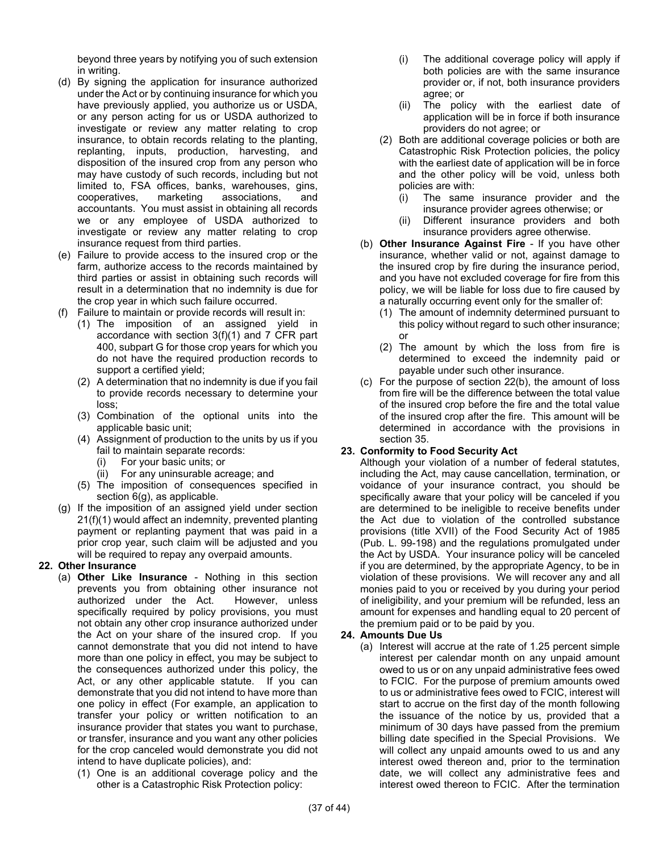beyond three years by notifying you of such extension in writing.

- (d) By signing the application for insurance authorized under the Act or by continuing insurance for which you have previously applied, you authorize us or USDA, or any person acting for us or USDA authorized to investigate or review any matter relating to crop insurance, to obtain records relating to the planting, replanting, inputs, production, harvesting, and disposition of the insured crop from any person who may have custody of such records, including but not limited to, FSA offices, banks, warehouses, gins, cooperatives, marketing associations, and accountants. You must assist in obtaining all records we or any employee of USDA authorized to investigate or review any matter relating to crop insurance request from third parties.
- (e) Failure to provide access to the insured crop or the farm, authorize access to the records maintained by third parties or assist in obtaining such records will result in a determination that no indemnity is due for the crop year in which such failure occurred.
- (f) Failure to maintain or provide records will result in:
	- (1) The imposition of an assigned yield in accordance with section 3(f)(1) and 7 CFR part 400, subpart G for those crop years for which you do not have the required production records to support a certified yield;
	- (2) A determination that no indemnity is due if you fail to provide records necessary to determine your loss;
	- (3) Combination of the optional units into the applicable basic unit;
	- (4) Assignment of production to the units by us if you fail to maintain separate records:
		- (i) For your basic units; or
		- (ii) For any uninsurable acreage; and
	- (5) The imposition of consequences specified in section 6(g), as applicable.
- (g) If the imposition of an assigned yield under section 21(f)(1) would affect an indemnity, prevented planting payment or replanting payment that was paid in a prior crop year, such claim will be adjusted and you will be required to repay any overpaid amounts.

## **22. Other Insurance**

- (a) **Other Like Insurance** Nothing in this section prevents you from obtaining other insurance not authorized under the Act. However, unless specifically required by policy provisions, you must not obtain any other crop insurance authorized under the Act on your share of the insured crop. If you cannot demonstrate that you did not intend to have more than one policy in effect, you may be subject to the consequences authorized under this policy, the Act, or any other applicable statute. If you can demonstrate that you did not intend to have more than one policy in effect (For example, an application to transfer your policy or written notification to an insurance provider that states you want to purchase, or transfer, insurance and you want any other policies for the crop canceled would demonstrate you did not intend to have duplicate policies), and:
	- (1) One is an additional coverage policy and the other is a Catastrophic Risk Protection policy:
- (i) The additional coverage policy will apply if both policies are with the same insurance provider or, if not, both insurance providers agree; or
- (ii) The policy with the earliest date of application will be in force if both insurance providers do not agree; or
- (2) Both are additional coverage policies or both are Catastrophic Risk Protection policies, the policy with the earliest date of application will be in force and the other policy will be void, unless both policies are with:
	- (i) The same insurance provider and the insurance provider agrees otherwise; or
	- (ii) Different insurance providers and both insurance providers agree otherwise.
- (b) **Other Insurance Against Fire** If you have other insurance, whether valid or not, against damage to the insured crop by fire during the insurance period, and you have not excluded coverage for fire from this policy, we will be liable for loss due to fire caused by a naturally occurring event only for the smaller of:
	- (1) The amount of indemnity determined pursuant to this policy without regard to such other insurance; or
	- (2) The amount by which the loss from fire is determined to exceed the indemnity paid or payable under such other insurance.
- (c) For the purpose of section 22(b), the amount of loss from fire will be the difference between the total value of the insured crop before the fire and the total value of the insured crop after the fire. This amount will be determined in accordance with the provisions in section 35.

## **23. Conformity to Food Security Act**

Although your violation of a number of federal statutes, including the Act, may cause cancellation, termination, or voidance of your insurance contract, you should be specifically aware that your policy will be canceled if you are determined to be ineligible to receive benefits under the Act due to violation of the controlled substance provisions (title XVII) of the Food Security Act of 1985 (Pub. L. 99-198) and the regulations promulgated under the Act by USDA. Your insurance policy will be canceled if you are determined, by the appropriate Agency, to be in violation of these provisions. We will recover any and all monies paid to you or received by you during your period of ineligibility, and your premium will be refunded, less an amount for expenses and handling equal to 20 percent of the premium paid or to be paid by you.

## **24. Amounts Due Us**

(a) Interest will accrue at the rate of 1.25 percent simple interest per calendar month on any unpaid amount owed to us or on any unpaid administrative fees owed to FCIC. For the purpose of premium amounts owed to us or administrative fees owed to FCIC, interest will start to accrue on the first day of the month following the issuance of the notice by us, provided that a minimum of 30 days have passed from the premium billing date specified in the Special Provisions. We will collect any unpaid amounts owed to us and any interest owed thereon and, prior to the termination date, we will collect any administrative fees and interest owed thereon to FCIC. After the termination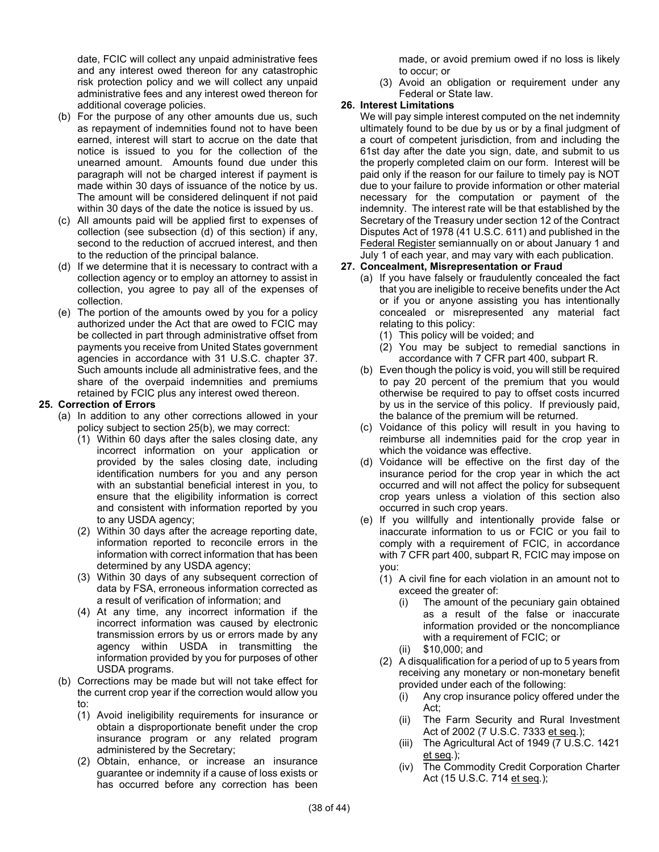date, FCIC will collect any unpaid administrative fees and any interest owed thereon for any catastrophic risk protection policy and we will collect any unpaid administrative fees and any interest owed thereon for additional coverage policies.

- (b) For the purpose of any other amounts due us, such as repayment of indemnities found not to have been earned, interest will start to accrue on the date that notice is issued to you for the collection of the unearned amount. Amounts found due under this paragraph will not be charged interest if payment is made within 30 days of issuance of the notice by us. The amount will be considered delinquent if not paid within 30 days of the date the notice is issued by us.
- (c) All amounts paid will be applied first to expenses of collection (see subsection (d) of this section) if any, second to the reduction of accrued interest, and then to the reduction of the principal balance.
- (d) If we determine that it is necessary to contract with a collection agency or to employ an attorney to assist in collection, you agree to pay all of the expenses of collection.
- (e) The portion of the amounts owed by you for a policy authorized under the Act that are owed to FCIC may be collected in part through administrative offset from payments you receive from United States government agencies in accordance with 31 U.S.C. chapter 37. Such amounts include all administrative fees, and the share of the overpaid indemnities and premiums retained by FCIC plus any interest owed thereon.

#### **25. Correction of Errors**

- (a) In addition to any other corrections allowed in your policy subject to section 25(b), we may correct:
	- (1) Within 60 days after the sales closing date, any incorrect information on your application or provided by the sales closing date, including identification numbers for you and any person with an substantial beneficial interest in you, to ensure that the eligibility information is correct and consistent with information reported by you to any USDA agency;
	- (2) Within 30 days after the acreage reporting date, information reported to reconcile errors in the information with correct information that has been determined by any USDA agency;
	- (3) Within 30 days of any subsequent correction of data by FSA, erroneous information corrected as a result of verification of information; and
	- (4) At any time, any incorrect information if the incorrect information was caused by electronic transmission errors by us or errors made by any agency within USDA in transmitting the information provided by you for purposes of other USDA programs.
- (b) Corrections may be made but will not take effect for the current crop year if the correction would allow you to:
	- (1) Avoid ineligibility requirements for insurance or obtain a disproportionate benefit under the crop insurance program or any related program administered by the Secretary;
	- (2) Obtain, enhance, or increase an insurance guarantee or indemnity if a cause of loss exists or has occurred before any correction has been

made, or avoid premium owed if no loss is likely to occur; or

(3) Avoid an obligation or requirement under any Federal or State law.

## **26. Interest Limitations**

We will pay simple interest computed on the net indemnity ultimately found to be due by us or by a final judgment of a court of competent jurisdiction, from and including the 61st day after the date you sign, date, and submit to us the properly completed claim on our form. Interest will be paid only if the reason for our failure to timely pay is NOT due to your failure to provide information or other material necessary for the computation or payment of the indemnity. The interest rate will be that established by the Secretary of the Treasury under section 12 of the Contract Disputes Act of 1978 (41 U.S.C. 611) and published in the Federal Register semiannually on or about January 1 and July 1 of each year, and may vary with each publication.

## **27. Concealment, Misrepresentation or Fraud**

- (a) If you have falsely or fraudulently concealed the fact that you are ineligible to receive benefits under the Act or if you or anyone assisting you has intentionally concealed or misrepresented any material fact relating to this policy:
	- (1) This policy will be voided; and
	- (2) You may be subject to remedial sanctions in accordance with 7 CFR part 400, subpart R.
- (b) Even though the policy is void, you will still be required to pay 20 percent of the premium that you would otherwise be required to pay to offset costs incurred by us in the service of this policy. If previously paid, the balance of the premium will be returned.
- (c) Voidance of this policy will result in you having to reimburse all indemnities paid for the crop year in which the voidance was effective.
- (d) Voidance will be effective on the first day of the insurance period for the crop year in which the act occurred and will not affect the policy for subsequent crop years unless a violation of this section also occurred in such crop years.
- (e) If you willfully and intentionally provide false or inaccurate information to us or FCIC or you fail to comply with a requirement of FCIC, in accordance with 7 CFR part 400, subpart R, FCIC may impose on you:
	- (1) A civil fine for each violation in an amount not to exceed the greater of:
		- (i) The amount of the pecuniary gain obtained as a result of the false or inaccurate information provided or the noncompliance with a requirement of FCIC; or
		- (ii) \$10,000; and
	- (2) A disqualification for a period of up to 5 years from receiving any monetary or non-monetary benefit provided under each of the following:
		- (i) Any crop insurance policy offered under the Act;
		- (ii) The Farm Security and Rural Investment Act of 2002 (7 U.S.C. 7333 et seq*.*);
		- (iii) The Agricultural Act of 1949 (7 U.S.C. 1421 et seq*.*);
		- (iv) The Commodity Credit Corporation Charter Act (15 U.S.C. 714 et seq*.*);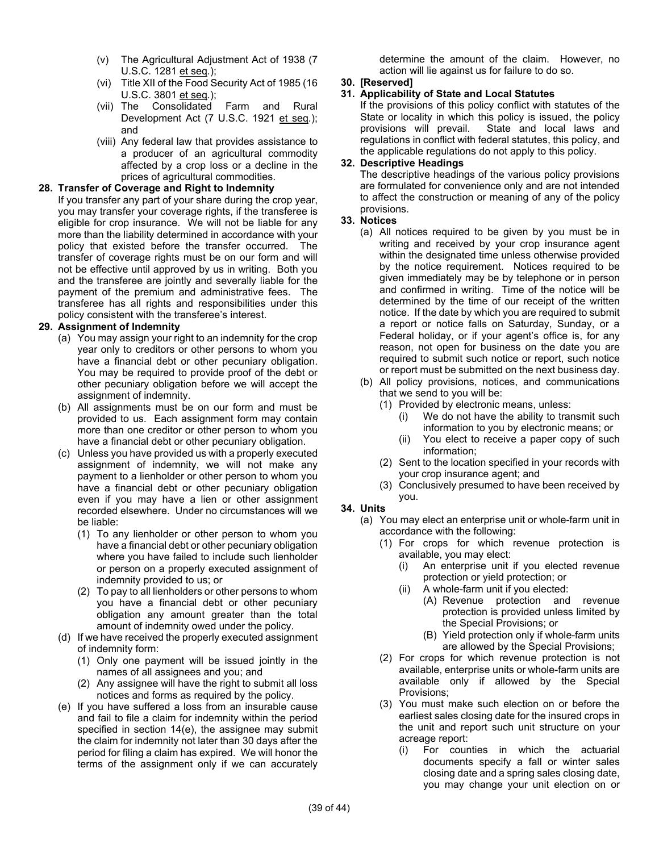- (v) The Agricultural Adjustment Act of 1938 (7 U.S.C. 1281 et seq*.*);
- (vi) Title XII of the Food Security Act of 1985 (16 U.S.C. 3801 et seq*.*);
- (vii) The Consolidated Farm and Rural Development Act (7 U.S.C. 1921 et seq*.*); and
- (viii) Any federal law that provides assistance to a producer of an agricultural commodity affected by a crop loss or a decline in the prices of agricultural commodities.

## **28. Transfer of Coverage and Right to Indemnity**

If you transfer any part of your share during the crop year, you may transfer your coverage rights, if the transferee is eligible for crop insurance. We will not be liable for any more than the liability determined in accordance with your policy that existed before the transfer occurred. The transfer of coverage rights must be on our form and will not be effective until approved by us in writing. Both you and the transferee are jointly and severally liable for the payment of the premium and administrative fees. The transferee has all rights and responsibilities under this policy consistent with the transferee's interest.

## **29. Assignment of Indemnity**

- (a) You may assign your right to an indemnity for the crop year only to creditors or other persons to whom you have a financial debt or other pecuniary obligation. You may be required to provide proof of the debt or other pecuniary obligation before we will accept the assignment of indemnity.
- (b) All assignments must be on our form and must be provided to us. Each assignment form may contain more than one creditor or other person to whom you have a financial debt or other pecuniary obligation.
- (c) Unless you have provided us with a properly executed assignment of indemnity, we will not make any payment to a lienholder or other person to whom you have a financial debt or other pecuniary obligation even if you may have a lien or other assignment recorded elsewhere. Under no circumstances will we be liable:
	- (1) To any lienholder or other person to whom you have a financial debt or other pecuniary obligation where you have failed to include such lienholder or person on a properly executed assignment of indemnity provided to us; or
	- (2) To pay to all lienholders or other persons to whom you have a financial debt or other pecuniary obligation any amount greater than the total amount of indemnity owed under the policy.
- (d) If we have received the properly executed assignment of indemnity form:
	- (1) Only one payment will be issued jointly in the names of all assignees and you; and
	- (2) Any assignee will have the right to submit all loss notices and forms as required by the policy.
- (e) If you have suffered a loss from an insurable cause and fail to file a claim for indemnity within the period specified in section 14(e), the assignee may submit the claim for indemnity not later than 30 days after the period for filing a claim has expired. We will honor the terms of the assignment only if we can accurately

determine the amount of the claim. However, no action will lie against us for failure to do so.

## **30. [Reserved]**

## **31. Applicability of State and Local Statutes**

If the provisions of this policy conflict with statutes of the State or locality in which this policy is issued, the policy provisions will prevail. State and local laws and regulations in conflict with federal statutes, this policy, and the applicable regulations do not apply to this policy.

#### **32. Descriptive Headings**

The descriptive headings of the various policy provisions are formulated for convenience only and are not intended to affect the construction or meaning of any of the policy provisions.

#### **33. Notices**

- (a) All notices required to be given by you must be in writing and received by your crop insurance agent within the designated time unless otherwise provided by the notice requirement. Notices required to be given immediately may be by telephone or in person and confirmed in writing. Time of the notice will be determined by the time of our receipt of the written notice. If the date by which you are required to submit a report or notice falls on Saturday, Sunday, or a Federal holiday, or if your agent's office is, for any reason, not open for business on the date you are required to submit such notice or report, such notice or report must be submitted on the next business day.
- (b) All policy provisions, notices, and communications that we send to you will be:
	- (1) Provided by electronic means, unless:
		- (i) We do not have the ability to transmit such information to you by electronic means; or
		- (ii) You elect to receive a paper copy of such information;
	- (2) Sent to the location specified in your records with your crop insurance agent; and
	- (3) Conclusively presumed to have been received by you.

#### **34. Units**

- (a) You may elect an enterprise unit or whole-farm unit in accordance with the following:
	- (1) For crops for which revenue protection is available, you may elect:
		- (i) An enterprise unit if you elected revenue protection or yield protection; or
		- (ii) A whole-farm unit if you elected:
			- (A) Revenue protection and revenue protection is provided unless limited by the Special Provisions; or
			- (B) Yield protection only if whole-farm units are allowed by the Special Provisions;
	- (2) For crops for which revenue protection is not available, enterprise units or whole-farm units are available only if allowed by the Special Provisions;
	- (3) You must make such election on or before the earliest sales closing date for the insured crops in the unit and report such unit structure on your acreage report:
		- (i) For counties in which the actuarial documents specify a fall or winter sales closing date and a spring sales closing date, you may change your unit election on or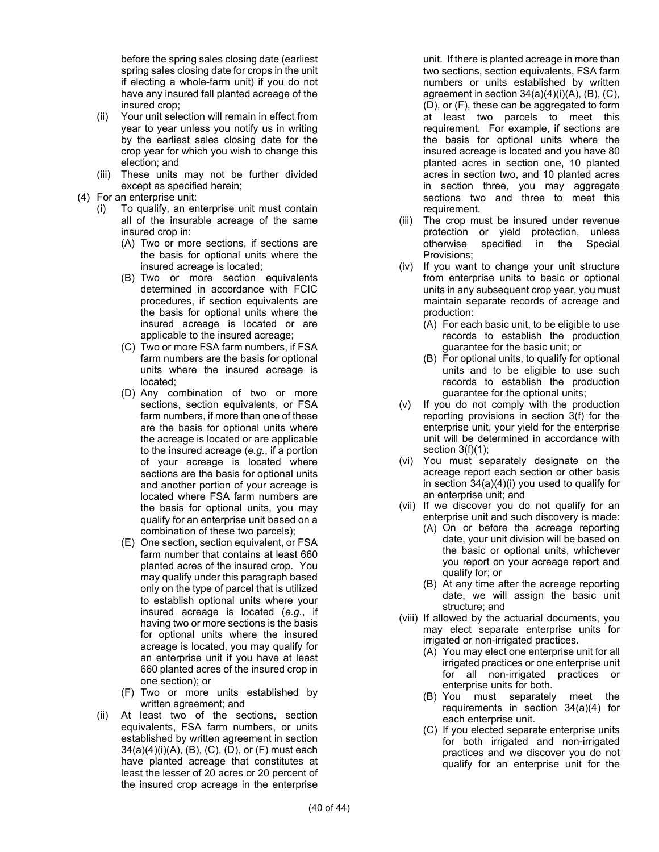before the spring sales closing date (earliest spring sales closing date for crops in the unit if electing a whole-farm unit) if you do not have any insured fall planted acreage of the insured crop;

- (ii) Your unit selection will remain in effect from year to year unless you notify us in writing by the earliest sales closing date for the crop year for which you wish to change this election; and
- (iii) These units may not be further divided except as specified herein;
- (4) For an enterprise unit:
	- (i) To qualify, an enterprise unit must contain all of the insurable acreage of the same insured crop in:
		- (A) Two or more sections, if sections are the basis for optional units where the insured acreage is located;
		- (B) Two or more section equivalents determined in accordance with FCIC procedures, if section equivalents are the basis for optional units where the insured acreage is located or are applicable to the insured acreage;
		- (C) Two or more FSA farm numbers, if FSA farm numbers are the basis for optional units where the insured acreage is located;
		- (D) Any combination of two or more sections, section equivalents, or FSA farm numbers, if more than one of these are the basis for optional units where the acreage is located or are applicable to the insured acreage (*e.g.*, if a portion of your acreage is located where sections are the basis for optional units and another portion of your acreage is located where FSA farm numbers are the basis for optional units, you may qualify for an enterprise unit based on a combination of these two parcels);
		- (E) One section, section equivalent, or FSA farm number that contains at least 660 planted acres of the insured crop. You may qualify under this paragraph based only on the type of parcel that is utilized to establish optional units where your insured acreage is located (*e.g.*, if having two or more sections is the basis for optional units where the insured acreage is located, you may qualify for an enterprise unit if you have at least 660 planted acres of the insured crop in one section); or
		- (F) Two or more units established by written agreement; and
	- (ii) At least two of the sections, section equivalents, FSA farm numbers, or units established by written agreement in section 34(a)(4)(i)(A), (B), (C), (D), or (F) must each have planted acreage that constitutes at least the lesser of 20 acres or 20 percent of the insured crop acreage in the enterprise

unit. If there is planted acreage in more than two sections, section equivalents, FSA farm numbers or units established by written agreement in section  $34(a)(4)(i)(A)$ ,  $(B)$ ,  $(C)$ , (D), or (F), these can be aggregated to form at least two parcels to meet this requirement. For example, if sections are the basis for optional units where the insured acreage is located and you have 80 planted acres in section one, 10 planted acres in section two, and 10 planted acres in section three, you may aggregate sections two and three to meet this requirement.

- (iii) The crop must be insured under revenue protection or yield protection, unless otherwise specified in the Special Provisions;
- (iv) If you want to change your unit structure from enterprise units to basic or optional units in any subsequent crop year, you must maintain separate records of acreage and production:
	- (A) For each basic unit, to be eligible to use records to establish the production guarantee for the basic unit; or
	- (B) For optional units, to qualify for optional units and to be eligible to use such records to establish the production guarantee for the optional units;
- (v) If you do not comply with the production reporting provisions in section 3(f) for the enterprise unit, your yield for the enterprise unit will be determined in accordance with section  $3(f)(1)$ ;
- (vi) You must separately designate on the acreage report each section or other basis in section 34(a)(4)(i) you used to qualify for an enterprise unit; and
- (vii) If we discover you do not qualify for an enterprise unit and such discovery is made:
	- (A) On or before the acreage reporting date, your unit division will be based on the basic or optional units, whichever you report on your acreage report and qualify for; or
	- (B) At any time after the acreage reporting date, we will assign the basic unit structure; and
- (viii) If allowed by the actuarial documents, you may elect separate enterprise units for irrigated or non-irrigated practices.
	- (A) You may elect one enterprise unit for all irrigated practices or one enterprise unit for all non-irrigated practices or enterprise units for both.
	- (B) You must separately meet the requirements in section 34(a)(4) for each enterprise unit.
	- (C) If you elected separate enterprise units for both irrigated and non-irrigated practices and we discover you do not qualify for an enterprise unit for the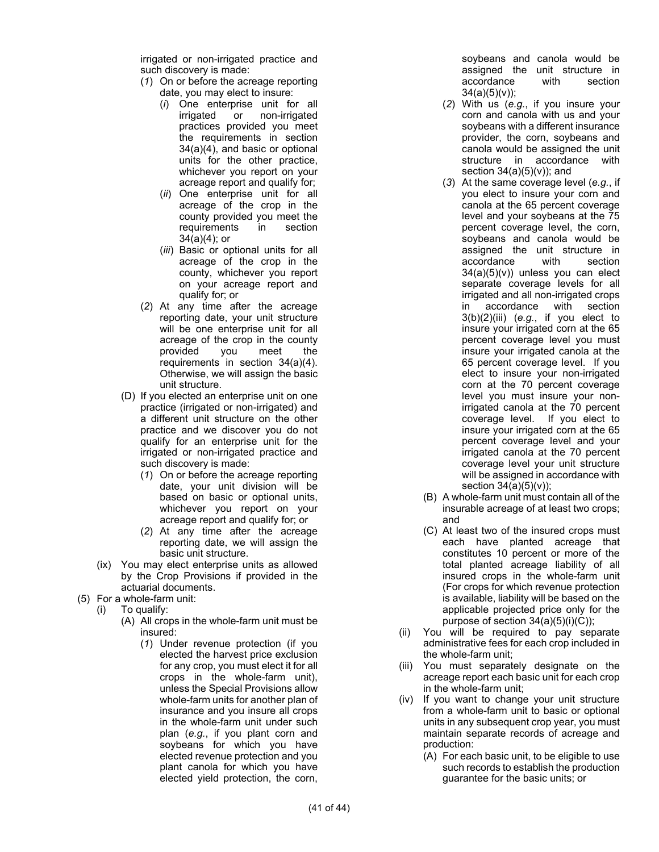irrigated or non-irrigated practice and such discovery is made:

- (*1*) On or before the acreage reporting date, you may elect to insure:
	- (*i*) One enterprise unit for all irrigated or non-irrigated practices provided you meet the requirements in section 34(a)(4), and basic or optional units for the other practice, whichever you report on your acreage report and qualify for;
	- (*ii*) One enterprise unit for all acreage of the crop in the county provided you meet the requirements in section 34(a)(4); or
	- (*iii*) Basic or optional units for all acreage of the crop in the county, whichever you report on your acreage report and qualify for; or
- (*2*) At any time after the acreage reporting date, your unit structure will be one enterprise unit for all acreage of the crop in the county provided you meet the requirements in section 34(a)(4). Otherwise, we will assign the basic unit structure.
- (D) If you elected an enterprise unit on one practice (irrigated or non-irrigated) and a different unit structure on the other practice and we discover you do not qualify for an enterprise unit for the irrigated or non-irrigated practice and such discovery is made:
	- (*1*) On or before the acreage reporting date, your unit division will be based on basic or optional units, whichever you report on your acreage report and qualify for; or
	- (*2*) At any time after the acreage reporting date, we will assign the basic unit structure.
- (ix) You may elect enterprise units as allowed by the Crop Provisions if provided in the actuarial documents.
- (5) For a whole-farm unit:
	- (i) To qualify:
		- (A) All crops in the whole-farm unit must be insured:
			- (*1*) Under revenue protection (if you elected the harvest price exclusion for any crop, you must elect it for all crops in the whole-farm unit), unless the Special Provisions allow whole-farm units for another plan of insurance and you insure all crops in the whole-farm unit under such plan (*e.g.*, if you plant corn and soybeans for which you have elected revenue protection and you plant canola for which you have elected yield protection, the corn,

soybeans and canola would be assigned the unit structure in accordance with section  $34(a)(5)(v)$ ;

- (*2*) With us (*e.g.*, if you insure your corn and canola with us and your soybeans with a different insurance provider, the corn, soybeans and canola would be assigned the unit structure in accordance with section  $34(a)(5)(v)$ ; and
- (*3*) At the same coverage level (*e.g.*, if you elect to insure your corn and canola at the 65 percent coverage level and your soybeans at the 75 percent coverage level, the corn, soybeans and canola would be assigned the unit structure in accordance with section 34(a)(5)(v)) unless you can elect separate coverage levels for all irrigated and all non-irrigated crops in accordance with section 3(b)(2)(iii) (*e.g.*, if you elect to insure your irrigated corn at the 65 percent coverage level you must insure your irrigated canola at the 65 percent coverage level. If you elect to insure your non-irrigated corn at the 70 percent coverage level you must insure your nonirrigated canola at the 70 percent coverage level. If you elect to insure your irrigated corn at the 65 percent coverage level and your irrigated canola at the 70 percent coverage level your unit structure will be assigned in accordance with section 34(a)(5)(v));
- (B) A whole-farm unit must contain all of the insurable acreage of at least two crops; and
- (C) At least two of the insured crops must each have planted acreage that constitutes 10 percent or more of the total planted acreage liability of all insured crops in the whole-farm unit (For crops for which revenue protection is available, liability will be based on the applicable projected price only for the purpose of section  $34(a)(5)(i)(C)$ ;
- (ii) You will be required to pay separate administrative fees for each crop included in the whole-farm unit;
- (iii) You must separately designate on the acreage report each basic unit for each crop in the whole-farm unit;
- (iv) If you want to change your unit structure from a whole-farm unit to basic or optional units in any subsequent crop year, you must maintain separate records of acreage and production:
	- (A) For each basic unit, to be eligible to use such records to establish the production guarantee for the basic units; or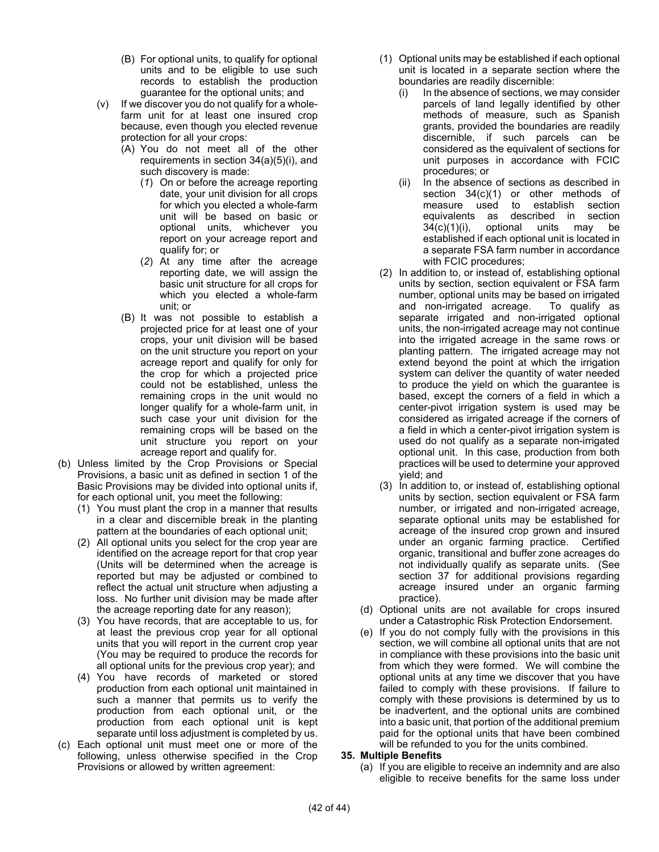- (B) For optional units, to qualify for optional units and to be eligible to use such records to establish the production guarantee for the optional units; and
- (v) If we discover you do not qualify for a wholefarm unit for at least one insured crop because, even though you elected revenue protection for all your crops:
	- (A) You do not meet all of the other requirements in section 34(a)(5)(i), and such discovery is made:
		- (*1*) On or before the acreage reporting date, your unit division for all crops for which you elected a whole-farm unit will be based on basic or optional units, whichever you report on your acreage report and qualify for; or
		- (*2*) At any time after the acreage reporting date, we will assign the basic unit structure for all crops for which you elected a whole-farm unit; or
	- (B) It was not possible to establish a projected price for at least one of your crops, your unit division will be based on the unit structure you report on your acreage report and qualify for only for the crop for which a projected price could not be established, unless the remaining crops in the unit would no longer qualify for a whole-farm unit, in such case your unit division for the remaining crops will be based on the unit structure you report on your acreage report and qualify for.
- (b) Unless limited by the Crop Provisions or Special Provisions, a basic unit as defined in section 1 of the Basic Provisions may be divided into optional units if, for each optional unit, you meet the following:
	- (1) You must plant the crop in a manner that results in a clear and discernible break in the planting pattern at the boundaries of each optional unit;
	- (2) All optional units you select for the crop year are identified on the acreage report for that crop year (Units will be determined when the acreage is reported but may be adjusted or combined to reflect the actual unit structure when adjusting a loss. No further unit division may be made after the acreage reporting date for any reason);
	- (3) You have records, that are acceptable to us, for at least the previous crop year for all optional units that you will report in the current crop year (You may be required to produce the records for all optional units for the previous crop year); and
	- (4) You have records of marketed or stored production from each optional unit maintained in such a manner that permits us to verify the production from each optional unit, or the production from each optional unit is kept separate until loss adjustment is completed by us.
- (c) Each optional unit must meet one or more of the following, unless otherwise specified in the Crop Provisions or allowed by written agreement:
- (1) Optional units may be established if each optional unit is located in a separate section where the boundaries are readily discernible:
	- (i) In the absence of sections, we may consider parcels of land legally identified by other methods of measure, such as Spanish grants, provided the boundaries are readily discernible, if such parcels can be considered as the equivalent of sections for unit purposes in accordance with FCIC procedures; or
	- (ii) In the absence of sections as described in section 34(c)(1) or other methods of measure used to establish section equivalents as described in section 34(c)(1)(i), optional units may be established if each optional unit is located in a separate FSA farm number in accordance with FCIC procedures;
- (2) In addition to, or instead of, establishing optional units by section, section equivalent or FSA farm number, optional units may be based on irrigated and non-irrigated acreage. To qualify as separate irrigated and non-irrigated optional units, the non-irrigated acreage may not continue into the irrigated acreage in the same rows or planting pattern. The irrigated acreage may not extend beyond the point at which the irrigation system can deliver the quantity of water needed to produce the yield on which the guarantee is based, except the corners of a field in which a center-pivot irrigation system is used may be considered as irrigated acreage if the corners of a field in which a center-pivot irrigation system is used do not qualify as a separate non-irrigated optional unit. In this case, production from both practices will be used to determine your approved yield; and
- (3) In addition to, or instead of, establishing optional units by section, section equivalent or FSA farm number, or irrigated and non-irrigated acreage, separate optional units may be established for acreage of the insured crop grown and insured under an organic farming practice. Certified organic, transitional and buffer zone acreages do not individually qualify as separate units. (See section 37 for additional provisions regarding acreage insured under an organic farming practice).
- (d) Optional units are not available for crops insured under a Catastrophic Risk Protection Endorsement.
- (e) If you do not comply fully with the provisions in this section, we will combine all optional units that are not in compliance with these provisions into the basic unit from which they were formed. We will combine the optional units at any time we discover that you have failed to comply with these provisions. If failure to comply with these provisions is determined by us to be inadvertent, and the optional units are combined into a basic unit, that portion of the additional premium paid for the optional units that have been combined will be refunded to you for the units combined.

#### **35. Multiple Benefits**

(a) If you are eligible to receive an indemnity and are also eligible to receive benefits for the same loss under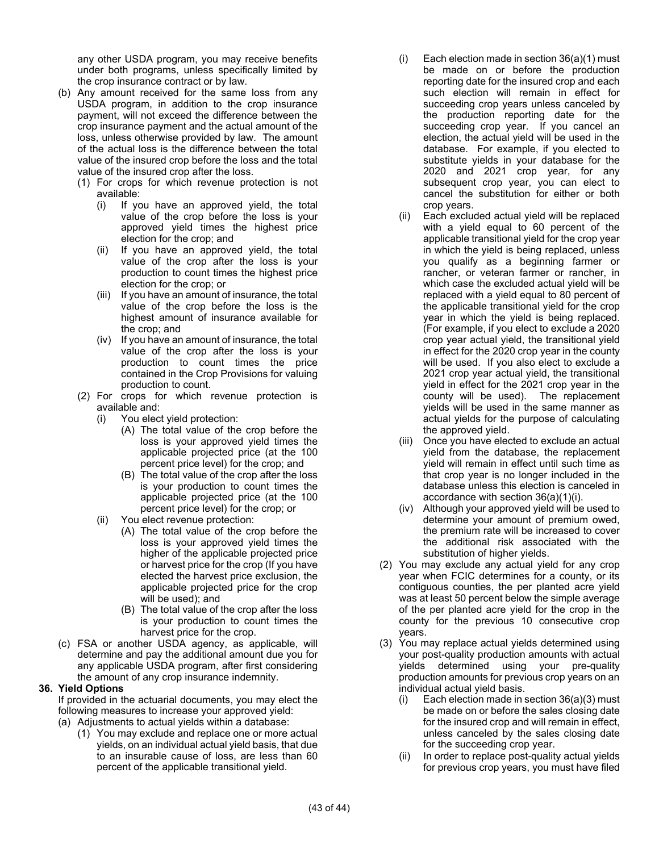any other USDA program, you may receive benefits under both programs, unless specifically limited by the crop insurance contract or by law.

- (b) Any amount received for the same loss from any USDA program, in addition to the crop insurance payment, will not exceed the difference between the crop insurance payment and the actual amount of the loss, unless otherwise provided by law. The amount of the actual loss is the difference between the total value of the insured crop before the loss and the total value of the insured crop after the loss.
	- (1) For crops for which revenue protection is not available:
		- (i) If you have an approved yield, the total value of the crop before the loss is your approved yield times the highest price election for the crop; and
		- (ii) If you have an approved yield, the total value of the crop after the loss is your production to count times the highest price election for the crop; or
		- (iii) If you have an amount of insurance, the total value of the crop before the loss is the highest amount of insurance available for the crop; and
		- (iv) If you have an amount of insurance, the total value of the crop after the loss is your production to count times the price contained in the Crop Provisions for valuing production to count.
	- (2) For crops for which revenue protection is available and:
		- (i) You elect yield protection:
			- (A) The total value of the crop before the loss is your approved yield times the applicable projected price (at the 100 percent price level) for the crop; and
			- (B) The total value of the crop after the loss is your production to count times the applicable projected price (at the 100 percent price level) for the crop; or
		- (ii) You elect revenue protection:
			- (A) The total value of the crop before the loss is your approved yield times the higher of the applicable projected price or harvest price for the crop (If you have elected the harvest price exclusion, the applicable projected price for the crop will be used); and
			- (B) The total value of the crop after the loss is your production to count times the harvest price for the crop.
- (c) FSA or another USDA agency, as applicable, will determine and pay the additional amount due you for any applicable USDA program, after first considering the amount of any crop insurance indemnity.

#### **36. Yield Options**

If provided in the actuarial documents, you may elect the following measures to increase your approved yield: (a) Adjustments to actual yields within a database:

(1) You may exclude and replace one or more actual yields, on an individual actual yield basis, that due to an insurable cause of loss, are less than 60 percent of the applicable transitional yield.

- (i) Each election made in section 36(a)(1) must be made on or before the production reporting date for the insured crop and each such election will remain in effect for succeeding crop years unless canceled by the production reporting date for the succeeding crop year. If you cancel an election, the actual yield will be used in the database. For example, if you elected to substitute yields in your database for the 2020 and 2021 crop year, for any subsequent crop year, you can elect to cancel the substitution for either or both crop years.
- (ii) Each excluded actual yield will be replaced with a yield equal to 60 percent of the applicable transitional yield for the crop year in which the yield is being replaced, unless you qualify as a beginning farmer or rancher, or veteran farmer or rancher, in which case the excluded actual yield will be replaced with a yield equal to 80 percent of the applicable transitional yield for the crop year in which the yield is being replaced. (For example, if you elect to exclude a 2020 crop year actual yield, the transitional yield in effect for the 2020 crop year in the county will be used. If you also elect to exclude a 2021 crop year actual yield, the transitional yield in effect for the 2021 crop year in the county will be used). The replacement yields will be used in the same manner as actual yields for the purpose of calculating the approved yield.
- (iii) Once you have elected to exclude an actual yield from the database, the replacement yield will remain in effect until such time as that crop year is no longer included in the database unless this election is canceled in accordance with section 36(a)(1)(i).
- (iv) Although your approved yield will be used to determine your amount of premium owed, the premium rate will be increased to cover the additional risk associated with the substitution of higher yields.
- (2) You may exclude any actual yield for any crop year when FCIC determines for a county, or its contiguous counties, the per planted acre yield was at least 50 percent below the simple average of the per planted acre yield for the crop in the county for the previous 10 consecutive crop years.
- (3) You may replace actual yields determined using your post-quality production amounts with actual yields determined using your pre-quality production amounts for previous crop years on an individual actual yield basis.
	- (i) Each election made in section 36(a)(3) must be made on or before the sales closing date for the insured crop and will remain in effect, unless canceled by the sales closing date for the succeeding crop year.
	- (ii) In order to replace post-quality actual yields for previous crop years, you must have filed